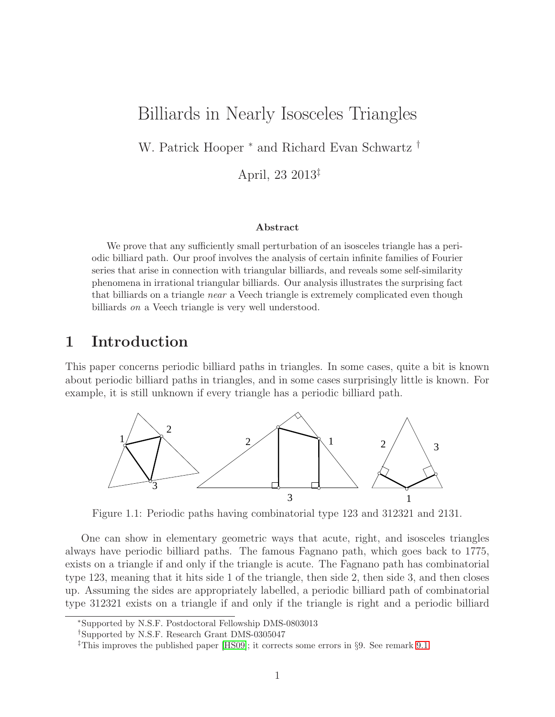# Billiards in Nearly Isosceles Triangles

W. Patrick Hooper <sup>∗</sup> and Richard Evan Schwartz †

April, 23 2013‡

#### Abstract

We prove that any sufficiently small perturbation of an isosceles triangle has a periodic billiard path. Our proof involves the analysis of certain infinite families of Fourier series that arise in connection with triangular billiards, and reveals some self-similarity phenomena in irrational triangular billiards. Our analysis illustrates the surprising fact that billiards on a triangle near a Veech triangle is extremely complicated even though billiards on a Veech triangle is very well understood.

# 1 Introduction

This paper concerns periodic billiard paths in triangles. In some cases, quite a bit is known about periodic billiard paths in triangles, and in some cases surprisingly little is known. For example, it is still unknown if every triangle has a periodic billiard path.



Figure 1.1: Periodic paths having combinatorial type 123 and 312321 and 2131.

One can show in elementary geometric ways that acute, right, and isosceles triangles always have periodic billiard paths. The famous Fagnano path, which goes back to 1775, exists on a triangle if and only if the triangle is acute. The Fagnano path has combinatorial type 123, meaning that it hits side 1 of the triangle, then side 2, then side 3, and then closes up. Assuming the sides are appropriately labelled, a periodic billiard path of combinatorial type 312321 exists on a triangle if and only if the triangle is right and a periodic billiard

<sup>∗</sup>Supported by N.S.F. Postdoctoral Fellowship DMS-0803013

<sup>†</sup>Supported by N.S.F. Research Grant DMS-0305047

<sup>‡</sup>This improves the published paper [\[HS09\]](#page-80-0); it corrects some errors in §9. See remark [9.1.](#page-68-0)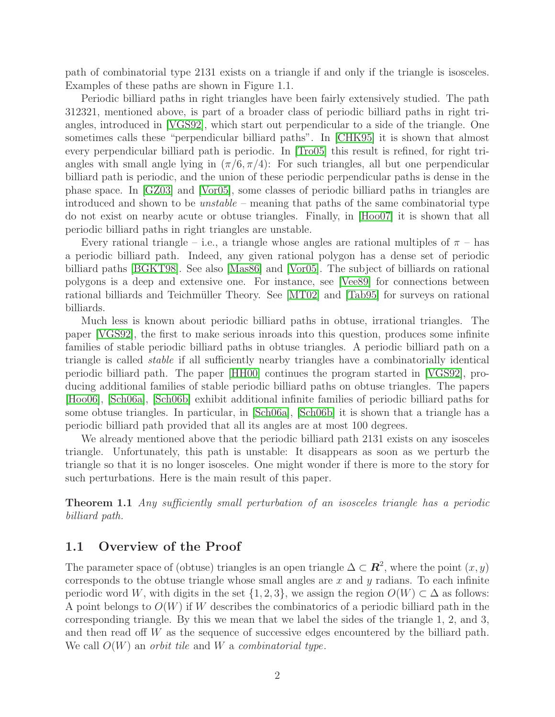path of combinatorial type 2131 exists on a triangle if and only if the triangle is isosceles. Examples of these paths are shown in Figure 1.1.

Periodic billiard paths in right triangles have been fairly extensively studied. The path 312321, mentioned above, is part of a broader class of periodic billiard paths in right triangles, introduced in [\[VGS92\]](#page-81-0), which start out perpendicular to a side of the triangle. One sometimes calls these "perpendicular billiard paths". In [\[CHK95\]](#page-80-1) it is shown that almost every perpendicular billiard path is periodic. In [\[Tro05\]](#page-80-2) this result is refined, for right triangles with small angle lying in  $(\pi/6, \pi/4)$ : For such triangles, all but one perpendicular billiard path is periodic, and the union of these periodic perpendicular paths is dense in the phase space. In [\[GZ03\]](#page-80-3) and [\[Vor05\]](#page-81-1), some classes of periodic billiard paths in triangles are introduced and shown to be unstable – meaning that paths of the same combinatorial type do not exist on nearby acute or obtuse triangles. Finally, in [\[Hoo07\]](#page-80-4) it is shown that all periodic billiard paths in right triangles are unstable.

Every rational triangle – i.e., a triangle whose angles are rational multiples of  $\pi$  – has a periodic billiard path. Indeed, any given rational polygon has a dense set of periodic billiard paths [\[BGKT98\]](#page-80-5). See also [\[Mas86\]](#page-80-6) and [\[Vor05\]](#page-81-1). The subject of billiards on rational polygons is a deep and extensive one. For instance, see [\[Vee89\]](#page-80-7) for connections between rational billiards and Teichmüller Theory. See [\[MT02\]](#page-80-8) and [\[Tab95\]](#page-80-9) for surveys on rational billiards.

Much less is known about periodic billiard paths in obtuse, irrational triangles. The paper [\[VGS92\]](#page-81-0), the first to make serious inroads into this question, produces some infinite families of stable periodic billiard paths in obtuse triangles. A periodic billiard path on a triangle is called stable if all sufficiently nearby triangles have a combinatorially identical periodic billiard path. The paper [\[HH00\]](#page-80-10) continues the program started in [\[VGS92\]](#page-81-0), producing additional families of stable periodic billiard paths on obtuse triangles. The papers [\[Hoo06\]](#page-80-11), [\[Sch06a\]](#page-80-12), [\[Sch06b\]](#page-80-13) exhibit additional infinite families of periodic billiard paths for some obtuse triangles. In particular, in [\[Sch06a\]](#page-80-12), [\[Sch06b\]](#page-80-13) it is shown that a triangle has a periodic billiard path provided that all its angles are at most 100 degrees.

We already mentioned above that the periodic billiard path 2131 exists on any isosceles triangle. Unfortunately, this path is unstable: It disappears as soon as we perturb the triangle so that it is no longer isosceles. One might wonder if there is more to the story for such perturbations. Here is the main result of this paper.

<span id="page-1-0"></span>**Theorem 1.1** Any sufficiently small perturbation of an isosceles triangle has a periodic billiard path.

### 1.1 Overview of the Proof

The parameter space of (obtuse) triangles is an open triangle  $\Delta \subset \mathbb{R}^2$ , where the point  $(x, y)$ corresponds to the obtuse triangle whose small angles are  $x$  and  $y$  radians. To each infinite periodic word W, with digits in the set  $\{1, 2, 3\}$ , we assign the region  $O(W) \subset \Delta$  as follows: A point belongs to  $O(W)$  if W describes the combinatorics of a periodic billiard path in the corresponding triangle. By this we mean that we label the sides of the triangle 1, 2, and 3, and then read off W as the sequence of successive edges encountered by the billiard path. We call  $O(W)$  an *orbit tile* and W a *combinatorial type.*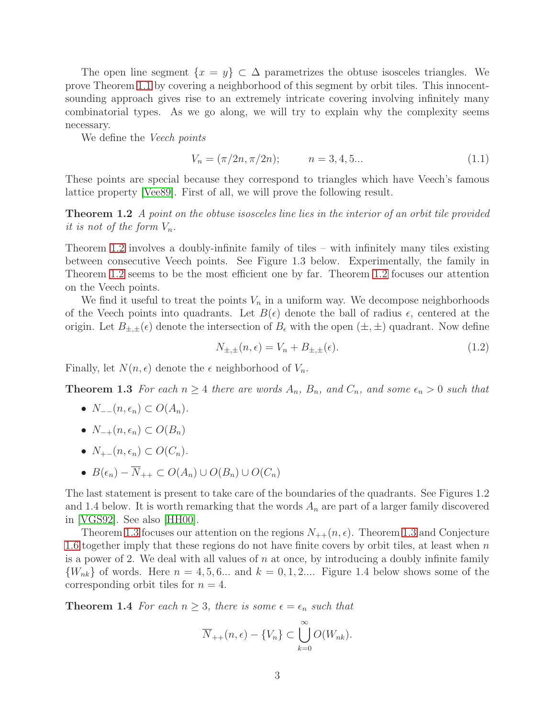The open line segment  $\{x = y\} \subset \Delta$  parametrizes the obtuse isosceles triangles. We prove Theorem [1.1](#page-1-0) by covering a neighborhood of this segment by orbit tiles. This innocentsounding approach gives rise to an extremely intricate covering involving infinitely many combinatorial types. As we go along, we will try to explain why the complexity seems necessary.

We define the *Veech points* 

$$
V_n = (\pi/2n, \pi/2n); \qquad n = 3, 4, 5... \tag{1.1}
$$

<span id="page-2-0"></span>These points are special because they correspond to triangles which have Veech's famous lattice property [\[Vee89\]](#page-80-7). First of all, we will prove the following result.

**Theorem 1.2** A point on the obtuse isosceles line lies in the interior of an orbit tile provided it is not of the form  $V_n$ .

Theorem [1.2](#page-2-0) involves a doubly-infinite family of tiles – with infinitely many tiles existing between consecutive Veech points. See Figure 1.3 below. Experimentally, the family in Theorem [1.2](#page-2-0) seems to be the most efficient one by far. Theorem [1.2](#page-2-0) focuses our attention on the Veech points.

We find it useful to treat the points  $V_n$  in a uniform way. We decompose neighborhoods of the Veech points into quadrants. Let  $B(\epsilon)$  denote the ball of radius  $\epsilon$ , centered at the origin. Let  $B_{\pm,\pm}(\epsilon)$  denote the intersection of  $B_{\epsilon}$  with the open  $(\pm,\pm)$  quadrant. Now define

$$
N_{\pm,\pm}(n,\epsilon) = V_n + B_{\pm,\pm}(\epsilon). \tag{1.2}
$$

<span id="page-2-1"></span>Finally, let  $N(n, \epsilon)$  denote the  $\epsilon$  neighborhood of  $V_n$ .

**Theorem 1.3** For each  $n \geq 4$  there are words  $A_n$ ,  $B_n$ , and  $C_n$ , and some  $\epsilon_n > 0$  such that

- $N_{-}^-(n, \epsilon_n) \subset O(A_n)$ .
- $N_{-+}(n, \epsilon_n) \subset O(B_n)$
- $N_{+-}(n, \epsilon_n) \subset O(C_n)$ .
- $B(\epsilon_n) \overline{N}_{++} \subset O(A_n) \cup O(B_n) \cup O(C_n)$

The last statement is present to take care of the boundaries of the quadrants. See Figures 1.2 and 1.4 below. It is worth remarking that the words  $A_n$  are part of a larger family discovered in [\[VGS92\]](#page-81-0). See also [\[HH00\]](#page-80-10).

Theorem [1.3](#page-2-1) focuses our attention on the regions  $N_{++}(n, \epsilon)$ . Theorem 1.3 and Conjecture [1.6](#page-3-0) together imply that these regions do not have finite covers by orbit tiles, at least when  $n$ is a power of 2. We deal with all values of  $n$  at once, by introducing a doubly infinite family  ${W_{nk}}$  of words. Here  $n = 4, 5, 6...$  and  $k = 0, 1, 2...$  Figure 1.4 below shows some of the corresponding orbit tiles for  $n = 4$ .

<span id="page-2-2"></span>**Theorem 1.4** For each  $n \geq 3$ , there is some  $\epsilon = \epsilon_n$  such that

$$
\overline{N}_{++}(n,\epsilon) - \{V_n\} \subset \bigcup_{k=0}^{\infty} O(W_{nk}).
$$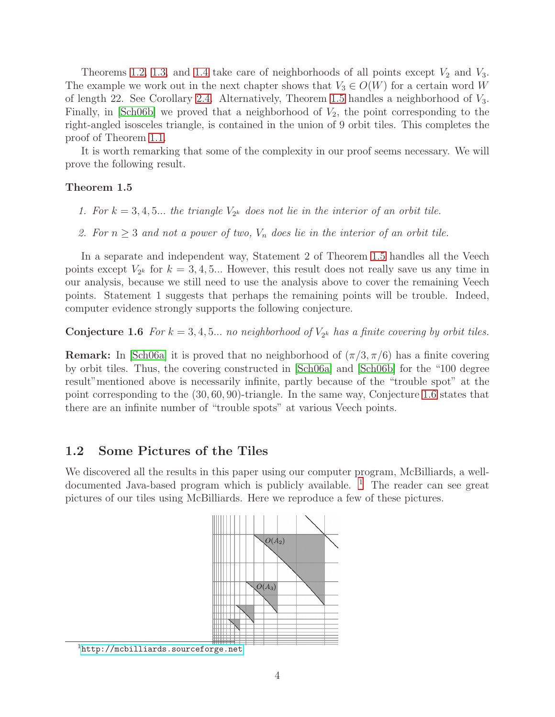Theorems [1.2,](#page-2-0) [1.3,](#page-2-1) and [1.4](#page-2-2) take care of neighborhoods of all points except  $V_2$  and  $V_3$ . The example we work out in the next chapter shows that  $V_3 \in O(W)$  for a certain word W of length 22. See Corollary [2.4.](#page-10-0) Alternatively, Theorem [1.5](#page-3-1) handles a neighborhood of  $V_3$ . Finally, in [\[Sch06b\]](#page-80-13) we proved that a neighborhood of  $V_2$ , the point corresponding to the right-angled isosceles triangle, is contained in the union of 9 orbit tiles. This completes the proof of Theorem [1.1.](#page-1-0)

<span id="page-3-1"></span>It is worth remarking that some of the complexity in our proof seems necessary. We will prove the following result.

#### Theorem 1.5

- 1. For  $k = 3, 4, 5...$  the triangle  $V_{2^k}$  does not lie in the interior of an orbit tile.
- 2. For  $n \geq 3$  and not a power of two,  $V_n$  does lie in the interior of an orbit tile.

In a separate and independent way, Statement 2 of Theorem [1.5](#page-3-1) handles all the Veech points except  $V_{2^k}$  for  $k = 3, 4, 5...$  However, this result does not really save us any time in our analysis, because we still need to use the analysis above to cover the remaining Veech points. Statement 1 suggests that perhaps the remaining points will be trouble. Indeed, computer evidence strongly supports the following conjecture.

<span id="page-3-0"></span>**Conjecture 1.6** For  $k = 3, 4, 5...$  no neighborhood of  $V_{2^k}$  has a finite covering by orbit tiles.

**Remark:** In  $\text{Sch06a}$  it is proved that no neighborhood of  $(\pi/3, \pi/6)$  has a finite covering by orbit tiles. Thus, the covering constructed in [\[Sch06a\]](#page-80-12) and [\[Sch06b\]](#page-80-13) for the "100 degree result"mentioned above is necessarily infinite, partly because of the "trouble spot" at the point corresponding to the (30, 60, 90)-triangle. In the same way, Conjecture [1.6](#page-3-0) states that there are an infinite number of "trouble spots" at various Veech points.

### 1.2 Some Pictures of the Tiles

We discovered all the results in this paper using our computer program, McBilliards, a welldocumented Java-based program which is publicly available. [1](#page-3-2) The reader can see great pictures of our tiles using McBilliards. Here we reproduce a few of these pictures.



<span id="page-3-2"></span><sup>1</sup><http://mcbilliards.sourceforge.net>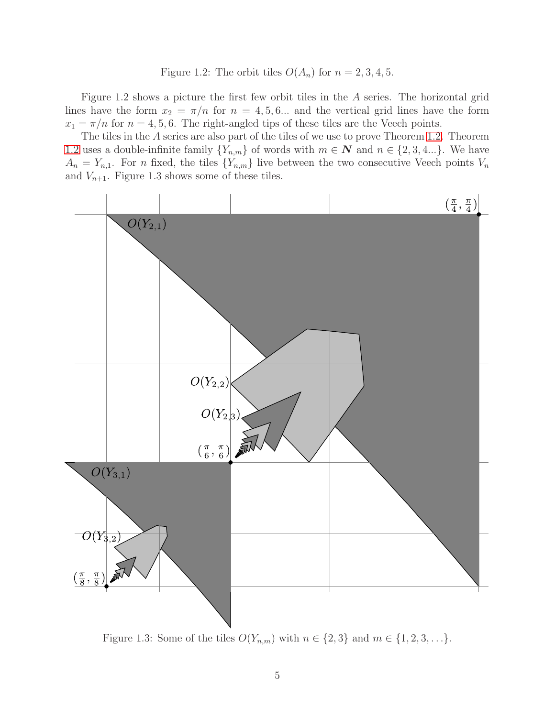#### Figure 1.2: The orbit tiles  $O(A_n)$  for  $n = 2, 3, 4, 5$ .

Figure 1.2 shows a picture the first few orbit tiles in the A series. The horizontal grid lines have the form  $x_2 = \pi/n$  for  $n = 4, 5, 6...$  and the vertical grid lines have the form  $x_1 = \pi/n$  for  $n = 4, 5, 6$ . The right-angled tips of these tiles are the Veech points.

The tiles in the A series are also part of the tiles of we use to prove Theorem [1.2.](#page-2-0) Theorem [1.2](#page-2-0) uses a double-infinite family  $\{Y_{n,m}\}$  of words with  $m \in \mathbb{N}$  and  $n \in \{2, 3, 4...\}$ . We have  $A_n = Y_{n,1}$ . For n fixed, the tiles  $\{Y_{n,m}\}$  live between the two consecutive Veech points  $V_n$ and  $V_{n+1}$ . Figure 1.3 shows some of these tiles.



Figure 1.3: Some of the tiles  $O(Y_{n,m})$  with  $n \in \{2,3\}$  and  $m \in \{1,2,3,\ldots\}$ .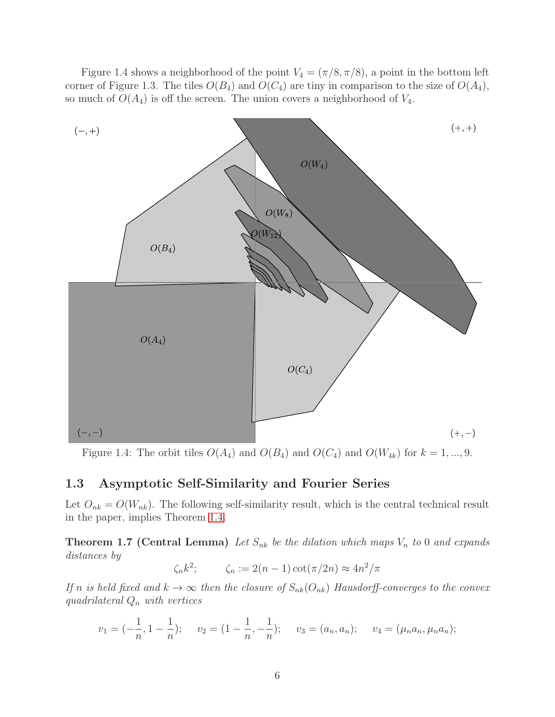Figure 1.4 shows a neighborhood of the point  $V_4 = (\pi/8, \pi/8)$ , a point in the bottom left corner of Figure 1.3. The tiles  $O(B_4)$  and  $O(C_4)$  are tiny in comparison to the size of  $O(A_4)$ , so much of  $O(A_4)$  is off the screen. The union covers a neighborhood of  $V_4$ .



Figure 1.4: The orbit tiles  $O(A_4)$  and  $O(B_4)$  and  $O(C_4)$  and  $O(W_{4k})$  for  $k = 1, ..., 9$ .

### 1.3 Asymptotic Self-Similarity and Fourier Series

<span id="page-5-0"></span>Let  $O_{nk} = O(W_{nk})$ . The following self-similarity result, which is the central technical result in the paper, implies Theorem [1.4.](#page-2-2)

**Theorem 1.7 (Central Lemma)** Let  $S_{nk}$  be the dilation which maps  $V_n$  to 0 and expands distances by

$$
\zeta_n k^2; \qquad \zeta_n := 2(n-1)\cot(\pi/2n) \approx 4n^2/\pi
$$

If n is held fixed and  $k \to \infty$  then the closure of  $S_{nk}(O_{nk})$  Hausdorff-converges to the convex quadrilateral  $Q_n$  with vertices

$$
v_1 = \left(-\frac{1}{n}, 1 - \frac{1}{n}\right);
$$
  $v_2 = \left(1 - \frac{1}{n}, -\frac{1}{n}\right);$   $v_3 = (a_n, a_n);$   $v_4 = (\mu_n a_n, \mu_n a_n);$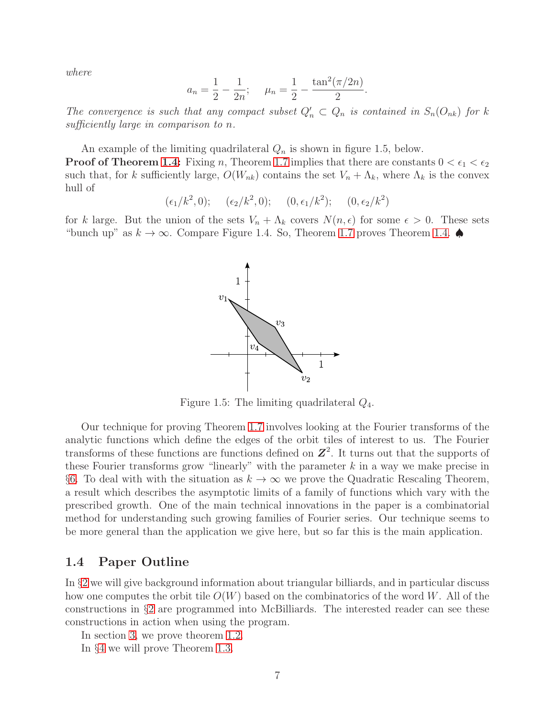where

$$
a_n = \frac{1}{2} - \frac{1}{2n};
$$
  $\mu_n = \frac{1}{2} - \frac{\tan^2(\pi/2n)}{2}.$ 

The convergence is such that any compact subset  $Q'_n \subset Q_n$  is contained in  $S_n(O_{nk})$  for k sufficiently large in comparison to n.

An example of the limiting quadrilateral  $Q_n$  is shown in figure 1.5, below.

**Proof of Theorem [1.4:](#page-2-2)** Fixing n, Theorem [1.7](#page-5-0) implies that there are constants  $0 < \epsilon_1 < \epsilon_2$ such that, for k sufficiently large,  $O(W_{nk})$  contains the set  $V_n + \Lambda_k$ , where  $\Lambda_k$  is the convex hull of

 $(\epsilon_1/k^2, 0); \quad (\epsilon_2/k^2, 0); \quad (0, \epsilon_1/k^2); \quad (0, \epsilon_2/k^2)$ 

for k large. But the union of the sets  $V_n + \Lambda_k$  covers  $N(n, \epsilon)$  for some  $\epsilon > 0$ . These sets "bunch up" as  $k \to \infty$ . Compare Figure 1.4. So, Theorem [1.7](#page-5-0) proves Theorem [1.4.](#page-2-2)



Figure 1.5: The limiting quadrilateral  $Q_4$ .

Our technique for proving Theorem [1.7](#page-5-0) involves looking at the Fourier transforms of the analytic functions which define the edges of the orbit tiles of interest to us. The Fourier transforms of these functions are functions defined on  $\mathbb{Z}^2$ . It turns out that the supports of these Fourier transforms grow "linearly" with the parameter  $k$  in a way we make precise in §[6.](#page-45-0) To deal with with the situation as  $k \to \infty$  we prove the Quadratic Rescaling Theorem, a result which describes the asymptotic limits of a family of functions which vary with the prescribed growth. One of the main technical innovations in the paper is a combinatorial method for understanding such growing families of Fourier series. Our technique seems to be more general than the application we give here, but so far this is the main application.

### 1.4 Paper Outline

In §[2](#page-8-0) we will give background information about triangular billiards, and in particular discuss how one computes the orbit tile  $O(W)$  based on the combinatorics of the word W. All of the constructions in §[2](#page-8-0) are programmed into McBilliards. The interested reader can see these constructions in action when using the program.

In section [3,](#page-19-0) we prove theorem [1.2.](#page-2-0)

In §[4](#page-25-0) we will prove Theorem [1.3.](#page-2-1)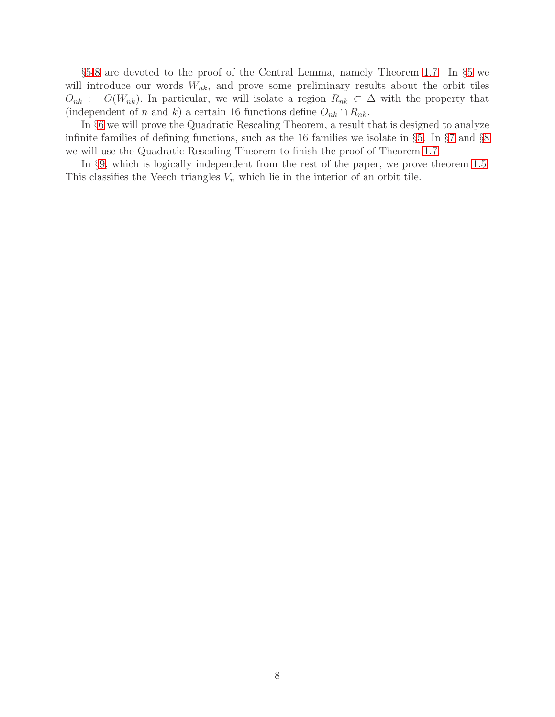§[5-](#page-37-0)[8](#page-58-0) are devoted to the proof of the Central Lemma, namely Theorem [1.7.](#page-5-0) In §[5](#page-37-0) we will introduce our words  $W_{nk}$ , and prove some preliminary results about the orbit tiles  $O_{nk} := O(W_{nk})$ . In particular, we will isolate a region  $R_{nk} \subset \Delta$  with the property that (independent of n and k) a certain 16 functions define  $O_{nk} \cap R_{nk}$ .

In §[6](#page-45-0) we will prove the Quadratic Rescaling Theorem, a result that is designed to analyze infinite families of defining functions, such as the 16 families we isolate in §[5.](#page-37-0) In §[7](#page-54-0) and §[8](#page-58-0) we will use the Quadratic Rescaling Theorem to finish the proof of Theorem [1.7.](#page-5-0)

In §[9,](#page-68-1) which is logically independent from the rest of the paper, we prove theorem [1.5.](#page-3-1) This classifies the Veech triangles  $V_n$  which lie in the interior of an orbit tile.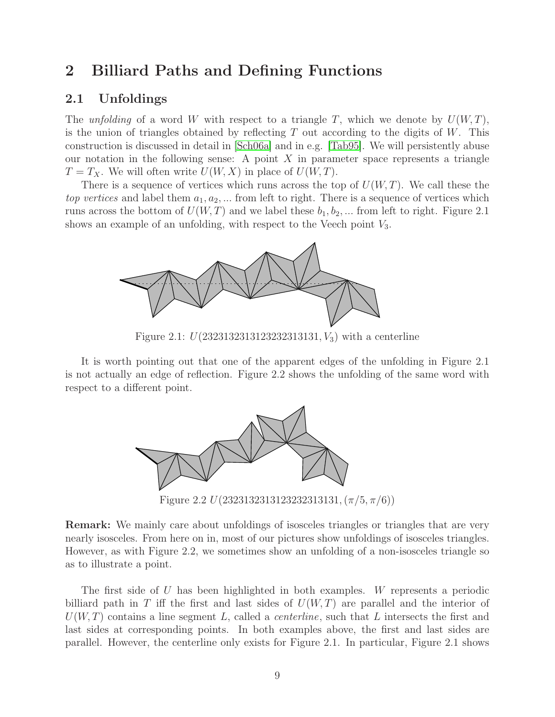# <span id="page-8-0"></span>2 Billiard Paths and Defining Functions

### 2.1 Unfoldings

The unfolding of a word W with respect to a triangle T, which we denote by  $U(W,T)$ , is the union of triangles obtained by reflecting  $T$  out according to the digits of  $W$ . This construction is discussed in detail in [\[Sch06a\]](#page-80-12) and in e.g. [\[Tab95\]](#page-80-9). We will persistently abuse our notation in the following sense: A point  $X$  in parameter space represents a triangle  $T = T_X$ . We will often write  $U(W, X)$  in place of  $U(W, T)$ .

There is a sequence of vertices which runs across the top of  $U(W, T)$ . We call these the top vertices and label them  $a_1, a_2, \ldots$  from left to right. There is a sequence of vertices which runs across the bottom of  $U(W, T)$  and we label these  $b_1, b_2, \dots$  from left to right. Figure 2.1 shows an example of an unfolding, with respect to the Veech point  $V_3$ .



Figure 2.1:  $U(2323132313123232313131, V_3)$  with a centerline

It is worth pointing out that one of the apparent edges of the unfolding in Figure 2.1 is not actually an edge of reflection. Figure 2.2 shows the unfolding of the same word with respect to a different point.



Figure 2.2  $U(2323132313123232313131, (\pi/5, \pi/6))$ 

Remark: We mainly care about unfoldings of isosceles triangles or triangles that are very nearly isosceles. From here on in, most of our pictures show unfoldings of isosceles triangles. However, as with Figure 2.2, we sometimes show an unfolding of a non-isosceles triangle so as to illustrate a point.

The first side of U has been highlighted in both examples. W represents a periodic billiard path in T iff the first and last sides of  $U(W,T)$  are parallel and the interior of  $U(W, T)$  contains a line segment L, called a *centerline*, such that L intersects the first and last sides at corresponding points. In both examples above, the first and last sides are parallel. However, the centerline only exists for Figure 2.1. In particular, Figure 2.1 shows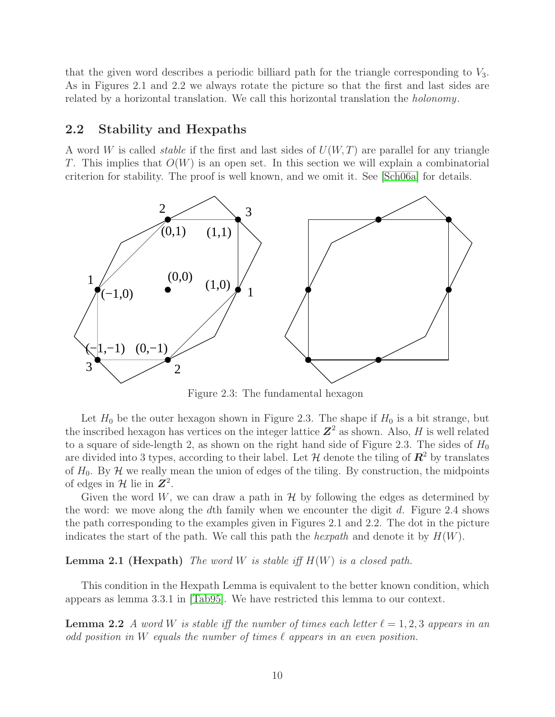that the given word describes a periodic billiard path for the triangle corresponding to  $V_3$ . As in Figures 2.1 and 2.2 we always rotate the picture so that the first and last sides are related by a horizontal translation. We call this horizontal translation the holonomy.

### 2.2 Stability and Hexpaths

A word W is called *stable* if the first and last sides of  $U(W, T)$  are parallel for any triangle T. This implies that  $O(W)$  is an open set. In this section we will explain a combinatorial criterion for stability. The proof is well known, and we omit it. See [\[Sch06a\]](#page-80-12) for details.



Figure 2.3: The fundamental hexagon

Let  $H_0$  be the outer hexagon shown in Figure 2.3. The shape if  $H_0$  is a bit strange, but the inscribed hexagon has vertices on the integer lattice  $\mathbb{Z}^2$  as shown. Also, H is well related to a square of side-length 2, as shown on the right hand side of Figure 2.3. The sides of  $H_0$ are divided into 3 types, according to their label. Let  $\mathcal H$  denote the tiling of  $\mathbb R^2$  by translates of  $H_0$ . By  $H$  we really mean the union of edges of the tiling. By construction, the midpoints of edges in  $\mathcal{H}$  lie in  $\mathbb{Z}^2$ .

Given the word W, we can draw a path in  $\mathcal{H}$  by following the edges as determined by the word: we move along the dth family when we encounter the digit  $d$ . Figure 2.4 shows the path corresponding to the examples given in Figures 2.1 and 2.2. The dot in the picture indicates the start of the path. We call this path the *hexpath* and denote it by  $H(W)$ .

**Lemma 2.1 (Hexpath)** The word W is stable iff  $H(W)$  is a closed path.

This condition in the Hexpath Lemma is equivalent to the better known condition, which appears as lemma 3.3.1 in [\[Tab95\]](#page-80-9). We have restricted this lemma to our context.

**Lemma 2.2** A word W is stable iff the number of times each letter  $\ell = 1, 2, 3$  appears in an odd position in W equals the number of times  $\ell$  appears in an even position.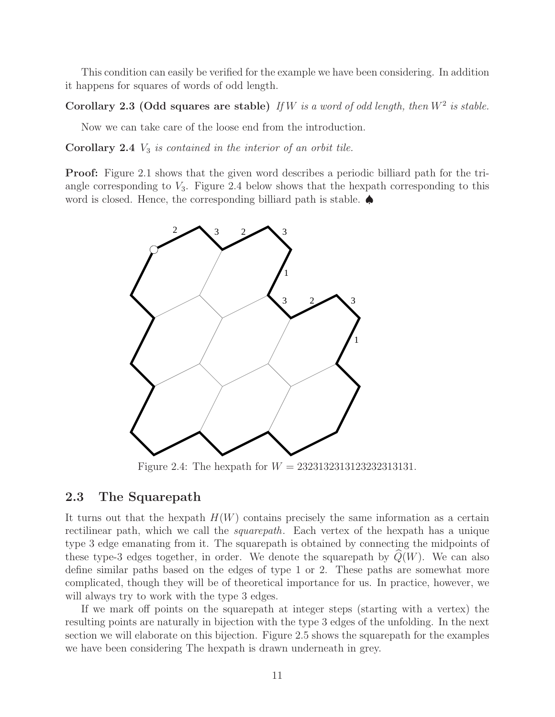<span id="page-10-1"></span>This condition can easily be verified for the example we have been considering. In addition it happens for squares of words of odd length.

Corollary 2.3 (Odd squares are stable) If W is a word of odd length, then  $W^2$  is stable.

<span id="page-10-0"></span>Now we can take care of the loose end from the introduction.

**Corollary 2.4**  $V_3$  is contained in the interior of an orbit tile.

Proof: Figure 2.1 shows that the given word describes a periodic billiard path for the triangle corresponding to  $V_3$ . Figure 2.4 below shows that the hexpath corresponding to this word is closed. Hence, the corresponding billiard path is stable. ♠



Figure 2.4: The hexpath for  $W = 2323132313123232313131$ .

### 2.3 The Squarepath

It turns out that the hexpath  $H(W)$  contains precisely the same information as a certain rectilinear path, which we call the *squarepath*. Each vertex of the hexpath has a unique type 3 edge emanating from it. The squarepath is obtained by connecting the midpoints of these type-3 edges together, in order. We denote the squarepath by  $Q(W)$ . We can also define similar paths based on the edges of type 1 or 2. These paths are somewhat more complicated, though they will be of theoretical importance for us. In practice, however, we will always try to work with the type 3 edges.

If we mark off points on the squarepath at integer steps (starting with a vertex) the resulting points are naturally in bijection with the type 3 edges of the unfolding. In the next section we will elaborate on this bijection. Figure 2.5 shows the squarepath for the examples we have been considering The hexpath is drawn underneath in grey.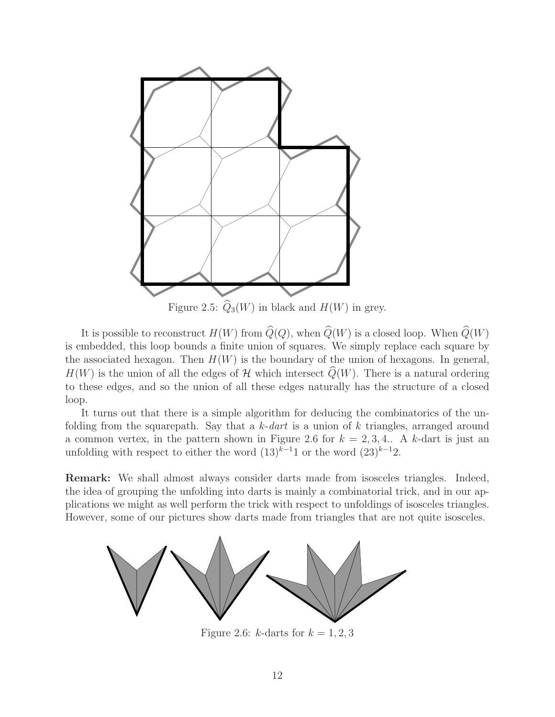

Figure 2.5:  $\widehat{Q}_3(W)$  in black and  $H(W)$  in grey.

It is possible to reconstruct  $H(W)$  from  $\widehat{Q}(Q)$ , when  $\widehat{Q}(W)$  is a closed loop. When  $\widehat{Q}(W)$ is embedded, this loop bounds a finite union of squares. We simply replace each square by the associated hexagon. Then  $H(W)$  is the boundary of the union of hexagons. In general,  $H(W)$  is the union of all the edges of H which intersect  $\widehat{Q}(W)$ . There is a natural ordering to these edges, and so the union of all these edges naturally has the structure of a closed loop.

It turns out that there is a simple algorithm for deducing the combinatorics of the unfolding from the squarepath. Say that a  $k$ -dart is a union of k triangles, arranged around a common vertex, in the pattern shown in Figure 2.6 for  $k = 2, 3, 4$ . A k-dart is just an unfolding with respect to either the word  $(13)^{k-1}1$  or the word  $(23)^{k-1}2$ .

Remark: We shall almost always consider darts made from isosceles triangles. Indeed, the idea of grouping the unfolding into darts is mainly a combinatorial trick, and in our applications we might as well perform the trick with respect to unfoldings of isosceles triangles. However, some of our pictures show darts made from triangles that are not quite isosceles.



Figure 2.6: k-darts for  $k = 1, 2, 3$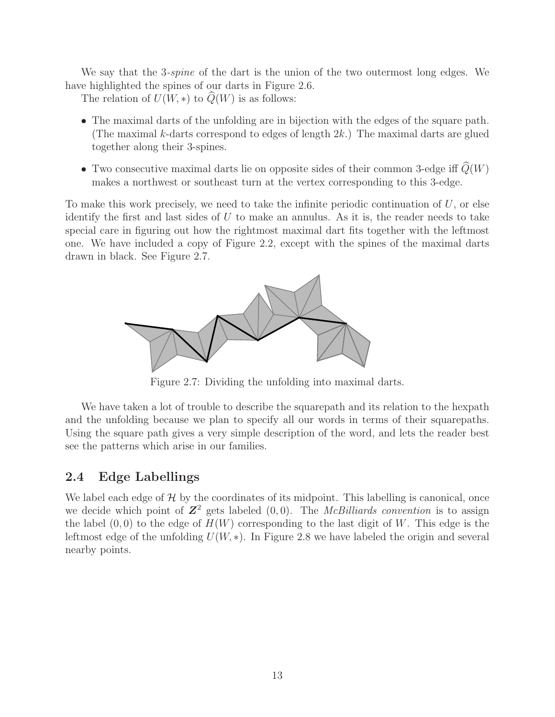We say that the 3-spine of the dart is the union of the two outermost long edges. We have highlighted the spines of our darts in Figure 2.6.

The relation of  $U(W, *)$  to  $Q(W)$  is as follows:

- The maximal darts of the unfolding are in bijection with the edges of the square path. (The maximal k-darts correspond to edges of length  $2k$ .) The maximal darts are glued together along their 3-spines.
- Two consecutive maximal darts lie on opposite sides of their common 3-edge iff  $\widehat{Q}(W)$ makes a northwest or southeast turn at the vertex corresponding to this 3-edge.

To make this work precisely, we need to take the infinite periodic continuation of  $U$ , or else identify the first and last sides of  $U$  to make an annulus. As it is, the reader needs to take special care in figuring out how the rightmost maximal dart fits together with the leftmost one. We have included a copy of Figure 2.2, except with the spines of the maximal darts drawn in black. See Figure 2.7.



Figure 2.7: Dividing the unfolding into maximal darts.

We have taken a lot of trouble to describe the squarepath and its relation to the hexpath and the unfolding because we plan to specify all our words in terms of their squarepaths. Using the square path gives a very simple description of the word, and lets the reader best see the patterns which arise in our families.

### 2.4 Edge Labellings

We label each edge of  $H$  by the coordinates of its midpoint. This labelling is canonical, once we decide which point of  $\mathbb{Z}^2$  gets labeled  $(0,0)$ . The *McBilliards convention* is to assign the label  $(0,0)$  to the edge of  $H(W)$  corresponding to the last digit of W. This edge is the leftmost edge of the unfolding  $U(W, *)$ . In Figure 2.8 we have labeled the origin and several nearby points.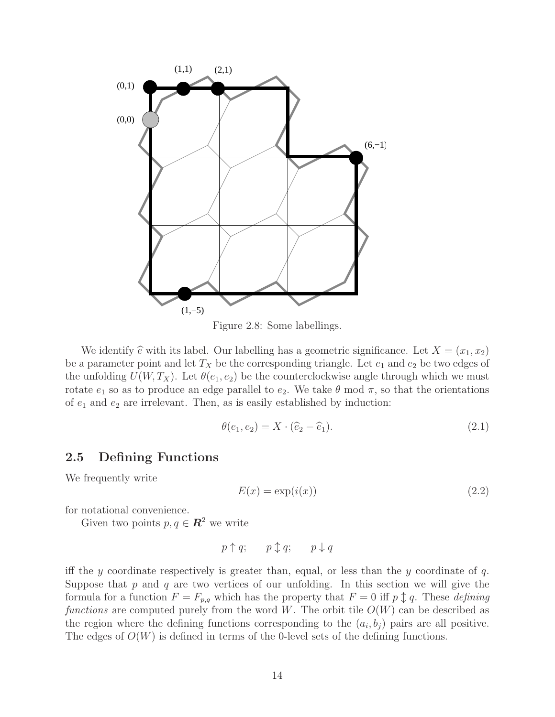

Figure 2.8: Some labellings.

We identify  $\hat{e}$  with its label. Our labelling has a geometric significance. Let  $X = (x_1, x_2)$ be a parameter point and let  $T_X$  be the corresponding triangle. Let  $e_1$  and  $e_2$  be two edges of the unfolding  $U(W, T_X)$ . Let  $\theta(e_1, e_2)$  be the counterclockwise angle through which we must rotate  $e_1$  so as to produce an edge parallel to  $e_2$ . We take  $\theta$  mod  $\pi$ , so that the orientations of  $e_1$  and  $e_2$  are irrelevant. Then, as is easily established by induction:

$$
\theta(e_1, e_2) = X \cdot (\widehat{e}_2 - \widehat{e}_1). \tag{2.1}
$$

### 2.5 Defining Functions

We frequently write

$$
E(x) = \exp(i(x))\tag{2.2}
$$

for notational convenience.

Given two points  $p, q \in \mathbb{R}^2$  we write

$$
p\uparrow q; \qquad p\updownarrow q; \qquad p\downarrow q
$$

iff the y coordinate respectively is greater than, equal, or less than the y coordinate of  $q$ . Suppose that  $p$  and  $q$  are two vertices of our unfolding. In this section we will give the formula for a function  $F = F_{p,q}$  which has the property that  $F = 0$  iff  $p \uparrow q$ . These *defining* functions are computed purely from the word W. The orbit tile  $O(W)$  can be described as the region where the defining functions corresponding to the  $(a_i, b_j)$  pairs are all positive. The edges of  $O(W)$  is defined in terms of the 0-level sets of the defining functions.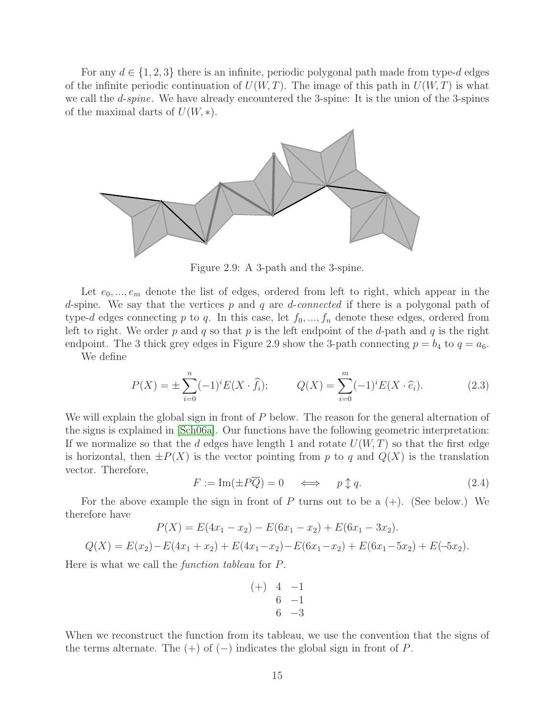For any  $d \in \{1,2,3\}$  there is an infinite, periodic polygonal path made from type-d edges of the infinite periodic continuation of  $U(W, T)$ . The image of this path in  $U(W, T)$  is what we call the *d-spine*. We have already encountered the 3-spine: It is the union of the 3-spines of the maximal darts of  $U(W, *)$ .



Figure 2.9: A 3-path and the 3-spine.

Let  $e_0, \ldots, e_m$  denote the list of edges, ordered from left to right, which appear in the d-spine. We say that the vertices  $p$  and  $q$  are d-connected if there is a polygonal path of type-d edges connecting p to q. In this case, let  $f_0, ..., f_n$  denote these edges, ordered from left to right. We order p and q so that p is the left endpoint of the d-path and q is the right endpoint. The 3 thick grey edges in Figure 2.9 show the 3-path connecting  $p = b_4$  to  $q = a_6$ . We define

<span id="page-14-0"></span>
$$
P(X) = \pm \sum_{i=0}^{n} (-1)^{i} E(X \cdot \hat{f}_{i}); \qquad Q(X) = \sum_{i=0}^{m} (-1)^{i} E(X \cdot \hat{e}_{i}). \tag{2.3}
$$

We will explain the global sign in front of  $P$  below. The reason for the general alternation of the signs is explained in [\[Sch06a\]](#page-80-12). Our functions have the following geometric interpretation: If we normalize so that the d edges have length 1 and rotate  $U(W, T)$  so that the first edge is horizontal, then  $\pm P(X)$  is the vector pointing from p to q and  $Q(X)$  is the translation vector. Therefore,

$$
F := \operatorname{Im}(\pm P\overline{Q}) = 0 \quad \iff \quad p \updownarrow q. \tag{2.4}
$$

For the above example the sign in front of  $P$  turns out to be a  $(+)$ . (See below.) We therefore have

$$
P(X) = E(4x_1 - x_2) - E(6x_1 - x_2) + E(6x_1 - 3x_2).
$$
  

$$
Q(X) = E(x_2) - E(4x_1 + x_2) + E(4x_1 - x_2) - E(6x_1 - x_2) + E(6x_1 - 5x_2) + E(-5x_2).
$$

Here is what we call the function tableau for P.

$$
\begin{array}{cccc}\n (+) & 4 & -1 \\
 & 6 & -1 \\
 & 6 & -3\n\end{array}
$$

When we reconstruct the function from its tableau, we use the convention that the signs of the terms alternate. The  $(+)$  of  $(-)$  indicates the global sign in front of P.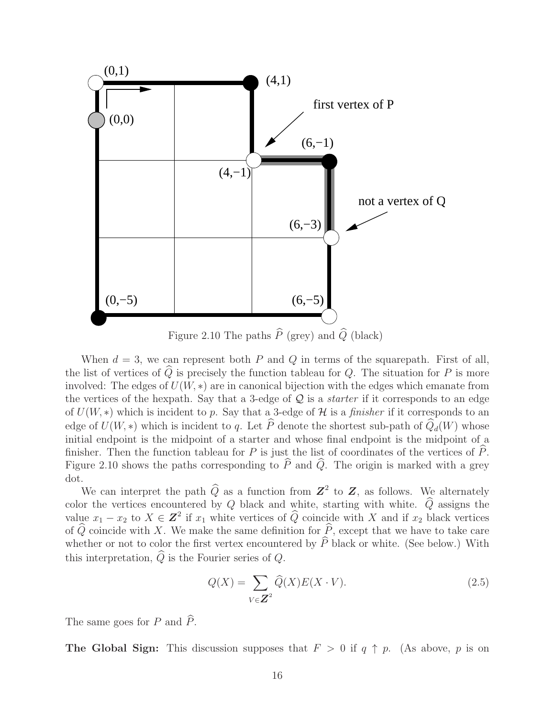

When  $d = 3$ , we can represent both P and Q in terms of the squarepath. First of all, the list of vertices of  $\widehat{Q}$  is precisely the function tableau for Q. The situation for P is more involved: The edges of  $U(W, *)$  are in canonical bijection with the edges which emanate from the vertices of the hexpath. Say that a 3-edge of  $\mathcal Q$  is a *starter* if it corresponds to an edge of  $U(W, *)$  which is incident to p. Say that a 3-edge of H is a finisher if it corresponds to an edge of  $U(W, *)$  which is incident to q. Let  $\widehat{P}$  denote the shortest sub-path of  $\widehat{Q}_d(W)$  whose initial endpoint is the midpoint of a starter and whose final endpoint is the midpoint of a finisher. Then the function tableau for  $P$  is just the list of coordinates of the vertices of  $P$ . Figure 2.10 shows the paths corresponding to  $\hat{P}$  and  $\hat{Q}$ . The origin is marked with a grey dot.

We can interpret the path  $\widehat{Q}$  as a function from  $\mathbb{Z}^2$  to  $\mathbb{Z}$ , as follows. We alternately color the vertices encountered by Q black and white, starting with white.  $\widehat{Q}$  assigns the value  $x_1 - x_2$  to  $X \in \mathbb{Z}^2$  if  $x_1$  white vertices of  $\widehat{Q}$  coincide with X and if  $x_2$  black vertices of  $\widehat{Q}$  coincide with X. We make the same definition for  $\widehat{P}$ , except that we have to take care whether or not to color the first vertex encountered by  $\tilde{P}$  black or white. (See below.) With this interpretation,  $\hat{Q}$  is the Fourier series of  $Q$ .

$$
Q(X) = \sum_{V \in \mathbb{Z}^2} \widehat{Q}(X) E(X \cdot V). \tag{2.5}
$$

The same goes for P and  $\widehat{P}$ .

**The Global Sign:** This discussion supposes that  $F > 0$  if  $q \uparrow p$ . (As above, p is on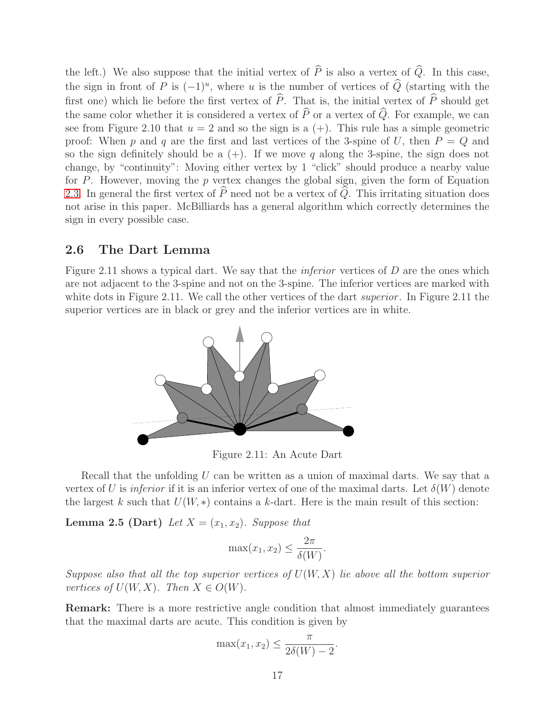the left.) We also suppose that the initial vertex of  $\widehat{P}$  is also a vertex of  $\widehat{Q}$ . In this case, the sign in front of P is  $(-1)^u$ , where u is the number of vertices of  $\hat{Q}$  (starting with the first one) which lie before the first vertex of  $\widehat{P}$ . That is, the initial vertex of  $\widehat{P}$  should get the same color whether it is considered a vertex of  $\widehat{P}$  or a vertex of  $\widehat{Q}$ . For example, we can see from Figure 2.10 that  $u = 2$  and so the sign is a  $(+)$ . This rule has a simple geometric proof: When p and q are the first and last vertices of the 3-spine of U, then  $P = Q$  and so the sign definitely should be a  $(+)$ . If we move q along the 3-spine, the sign does not change, by "continuity": Moving either vertex by 1 "click" should produce a nearby value for P. However, moving the p vertex changes the global sign, given the form of Equation [2.3.](#page-14-0) In general the first vertex of  $\hat{P}$  need not be a vertex of  $\hat{Q}$ . This irritating situation does not arise in this paper. McBilliards has a general algorithm which correctly determines the sign in every possible case.

### 2.6 The Dart Lemma

Figure 2.11 shows a typical dart. We say that the *inferior* vertices of D are the ones which are not adjacent to the 3-spine and not on the 3-spine. The inferior vertices are marked with white dots in Figure 2.11. We call the other vertices of the dart *superior*. In Figure 2.11 the superior vertices are in black or grey and the inferior vertices are in white.



Figure 2.11: An Acute Dart

Recall that the unfolding  $U$  can be written as a union of maximal darts. We say that a vertex of U is inferior if it is an inferior vertex of one of the maximal darts. Let  $\delta(W)$  denote the largest k such that  $U(W, *)$  contains a k-dart. Here is the main result of this section:

**Lemma 2.5 (Dart)** Let  $X = (x_1, x_2)$ . Suppose that

$$
\max(x_1, x_2) \le \frac{2\pi}{\delta(W)}.
$$

Suppose also that all the top superior vertices of  $U(W, X)$  lie above all the bottom superior vertices of  $U(W, X)$ . Then  $X \in O(W)$ .

Remark: There is a more restrictive angle condition that almost immediately guarantees that the maximal darts are acute. This condition is given by

$$
\max(x_1, x_2) \le \frac{\pi}{2\delta(W) - 2}.
$$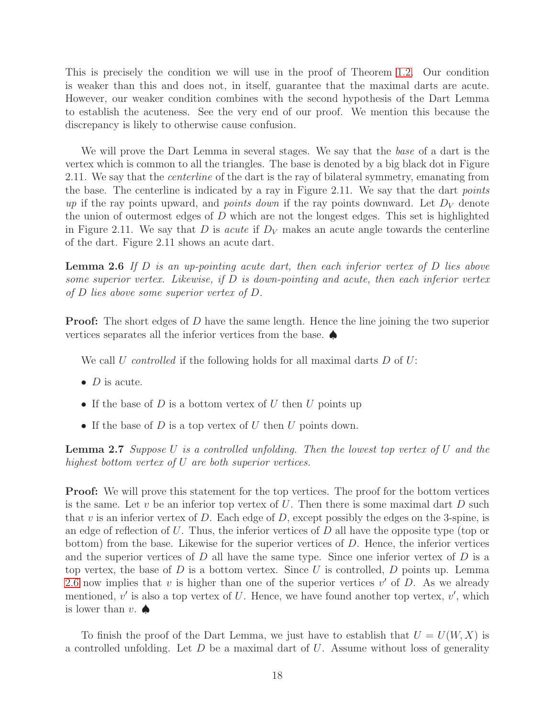This is precisely the condition we will use in the proof of Theorem [1.2.](#page-2-0) Our condition is weaker than this and does not, in itself, guarantee that the maximal darts are acute. However, our weaker condition combines with the second hypothesis of the Dart Lemma to establish the acuteness. See the very end of our proof. We mention this because the discrepancy is likely to otherwise cause confusion.

We will prove the Dart Lemma in several stages. We say that the *base* of a dart is the vertex which is common to all the triangles. The base is denoted by a big black dot in Figure 2.11. We say that the *centerline* of the dart is the ray of bilateral symmetry, emanating from the base. The centerline is indicated by a ray in Figure 2.11. We say that the dart points up if the ray points upward, and *points down* if the ray points downward. Let  $D_V$  denote the union of outermost edges of  $D$  which are not the longest edges. This set is highlighted in Figure 2.11. We say that D is *acute* if  $D_V$  makes an acute angle towards the centerline of the dart. Figure 2.11 shows an acute dart.

<span id="page-17-0"></span>**Lemma 2.6** If  $D$  is an up-pointing acute dart, then each inferior vertex of  $D$  lies above some superior vertex. Likewise, if  $D$  is down-pointing and acute, then each inferior vertex of D lies above some superior vertex of D.

**Proof:** The short edges of D have the same length. Hence the line joining the two superior vertices separates all the inferior vertices from the base. ♠

We call U controlled if the following holds for all maximal darts  $D$  of  $U$ :

- $D$  is acute.
- If the base of D is a bottom vertex of U then U points up
- If the base of  $D$  is a top vertex of  $U$  then  $U$  points down.

**Lemma 2.7** Suppose U is a controlled unfolding. Then the lowest top vertex of U and the highest bottom vertex of U are both superior vertices.

Proof: We will prove this statement for the top vertices. The proof for the bottom vertices is the same. Let v be an inferior top vertex of U. Then there is some maximal dart  $D$  such that  $v$  is an inferior vertex of  $D$ . Each edge of  $D$ , except possibly the edges on the 3-spine, is an edge of reflection of  $U$ . Thus, the inferior vertices of  $D$  all have the opposite type (top or bottom) from the base. Likewise for the superior vertices of  $D$ . Hence, the inferior vertices and the superior vertices of  $D$  all have the same type. Since one inferior vertex of  $D$  is a top vertex, the base of D is a bottom vertex. Since U is controlled, D points up. Lemma [2.6](#page-17-0) now implies that  $v$  is higher than one of the superior vertices  $v'$  of  $D$ . As we already mentioned,  $v'$  is also a top vertex of U. Hence, we have found another top vertex,  $v'$ , which is lower than  $v.$   $\spadesuit$ 

To finish the proof of the Dart Lemma, we just have to establish that  $U = U(W, X)$  is a controlled unfolding. Let  $D$  be a maximal dart of  $U$ . Assume without loss of generality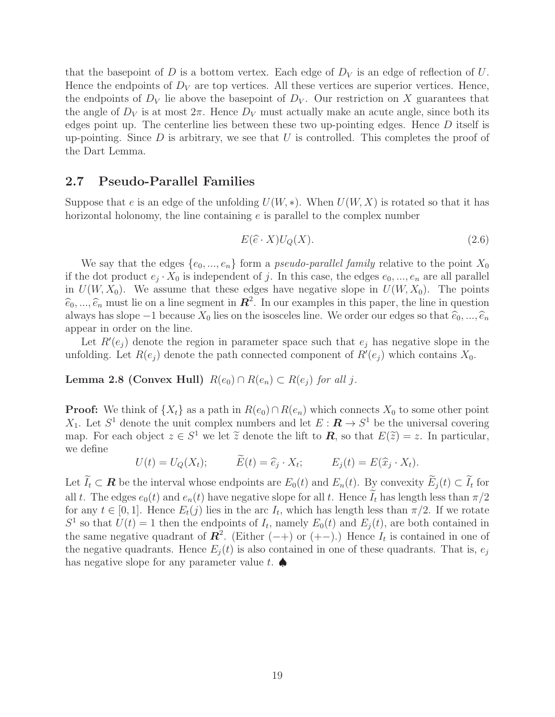that the basepoint of D is a bottom vertex. Each edge of  $D_V$  is an edge of reflection of U. Hence the endpoints of  $D_V$  are top vertices. All these vertices are superior vertices. Hence, the endpoints of  $D_V$  lie above the basepoint of  $D_V$ . Our restriction on X guarantees that the angle of  $D_V$  is at most  $2\pi$ . Hence  $D_V$  must actually make an acute angle, since both its edges point up. The centerline lies between these two up-pointing edges. Hence  $D$  itself is up-pointing. Since  $D$  is arbitrary, we see that  $U$  is controlled. This completes the proof of the Dart Lemma.

### 2.7 Pseudo-Parallel Families

Suppose that e is an edge of the unfolding  $U(W, *)$ . When  $U(W, X)$  is rotated so that it has horizontal holonomy, the line containing e is parallel to the complex number

$$
E(\widehat{e} \cdot X)U_Q(X). \tag{2.6}
$$

We say that the edges  $\{e_0, ..., e_n\}$  form a *pseudo-parallel family* relative to the point  $X_0$ if the dot product  $e_j \cdot X_0$  is independent of j. In this case, the edges  $e_0, ..., e_n$  are all parallel in  $U(W, X_0)$ . We assume that these edges have negative slope in  $U(W, X_0)$ . The points  $\hat{e}_0, \ldots, \hat{e}_n$  must lie on a line segment in  $\mathbb{R}^2$ . In our examples in this paper, the line in question always has slope  $-1$  because  $X_0$  lies on the isosceles line. We order our edges so that  $\hat{e}_0, ..., \hat{e}_n$ appear in order on the line.

Let  $R'(e_j)$  denote the region in parameter space such that  $e_j$  has negative slope in the unfolding. Let  $R(e_j)$  denote the path connected component of  $R'(e_j)$  which contains  $X_0$ .

Lemma 2.8 (Convex Hull)  $R(e_0) \cap R(e_n) \subset R(e_i)$  for all j.

**Proof:** We think of  $\{X_t\}$  as a path in  $R(e_0) \cap R(e_n)$  which connects  $X_0$  to some other point  $X_1$ . Let  $S^1$  denote the unit complex numbers and let  $E: \mathbf{R} \to S^1$  be the universal covering map. For each object  $z \in S^1$  we let  $\tilde{z}$  denote the lift to  $\mathbf{R}$ , so that  $E(\tilde{z}) = z$ . In particular, we define

$$
U(t) = U_Q(X_t); \qquad \widetilde{E}(t) = \widehat{e}_j \cdot X_t; \qquad E_j(t) = E(\widehat{x}_j \cdot X_t).
$$

Let  $I_t \subset \mathbf{R}$  be the interval whose endpoints are  $E_0(t)$  and  $E_n(t)$ . By convexity  $E_j(t) \subset I_t$  for all t. The edges  $e_0(t)$  and  $e_n(t)$  have negative slope for all t. Hence  $\tilde{I}_t$  has length less than  $\pi/2$ for any  $t \in [0,1]$ . Hence  $E_t(j)$  lies in the arc  $I_t$ , which has length less than  $\pi/2$ . If we rotate  $S^1$  so that  $U(t) = 1$  then the endpoints of  $I_t$ , namely  $E_0(t)$  and  $E_j(t)$ , are both contained in the same negative quadrant of  $\mathbb{R}^2$ . (Either (-+) or (+-).) Hence  $I_t$  is contained in one of the negative quadrants. Hence  $E_j(t)$  is also contained in one of these quadrants. That is,  $e_j$ has negative slope for any parameter value t.  $\spadesuit$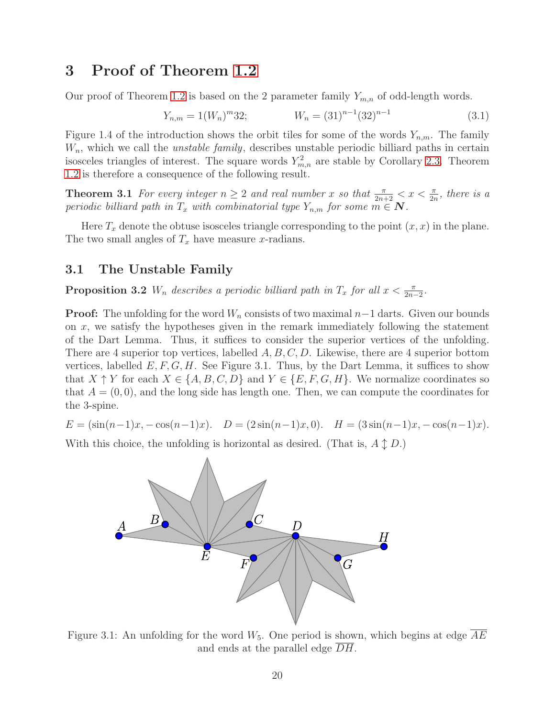# <span id="page-19-0"></span>3 Proof of Theorem [1.2](#page-2-0)

Our proof of Theorem [1.2](#page-2-0) is based on the 2 parameter family  $Y_{m,n}$  of odd-length words.

$$
Y_{n,m} = 1(W_n)^m 32; \qquad W_n = (31)^{n-1} (32)^{n-1}
$$
\n(3.1)

Figure 1.4 of the introduction shows the orbit tiles for some of the words  $Y_{n,m}$ . The family  $W_n$ , which we call the *unstable family*, describes unstable periodic billiard paths in certain isosceles triangles of interest. The square words  $Y_{m,n}^2$  are stable by Corollary [2.3.](#page-10-1) Theorem [1.2](#page-2-0) is therefore a consequence of the following result.

<span id="page-19-1"></span>**Theorem 3.1** For every integer  $n \geq 2$  and real number x so that  $\frac{\pi}{2n+2} < x < \frac{\pi}{2n}$ , there is a periodic billiard path in  $T_x$  with combinatorial type  $Y_{n,m}$  for some  $m \in \mathbb{N}$ .

Here  $T_x$  denote the obtuse isosceles triangle corresponding to the point  $(x, x)$  in the plane. The two small angles of  $T_x$  have measure x-radians.

### <span id="page-19-2"></span>3.1 The Unstable Family

**Proposition 3.2**  $W_n$  describes a periodic billiard path in  $T_x$  for all  $x < \frac{\pi}{2n-2}$ .

**Proof:** The unfolding for the word  $W_n$  consists of two maximal  $n-1$  darts. Given our bounds on  $x$ , we satisfy the hypotheses given in the remark immediately following the statement of the Dart Lemma. Thus, it suffices to consider the superior vertices of the unfolding. There are 4 superior top vertices, labelled  $A, B, C, D$ . Likewise, there are 4 superior bottom vertices, labelled  $E, F, G, H$ . See Figure 3.1. Thus, by the Dart Lemma, it suffices to show that  $X \uparrow Y$  for each  $X \in \{A, B, C, D\}$  and  $Y \in \{E, F, G, H\}$ . We normalize coordinates so that  $A = (0, 0)$ , and the long side has length one. Then, we can compute the coordinates for the 3-spine.

$$
E = (\sin(n-1)x, -\cos(n-1)x). \quad D = (2\sin(n-1)x, 0). \quad H = (3\sin(n-1)x, -\cos(n-1)x).
$$

With this choice, the unfolding is horizontal as desired. (That is,  $A \updownarrow D$ .)



Figure 3.1: An unfolding for the word  $W_5$ . One period is shown, which begins at edge  $AE$ and ends at the parallel edge DH.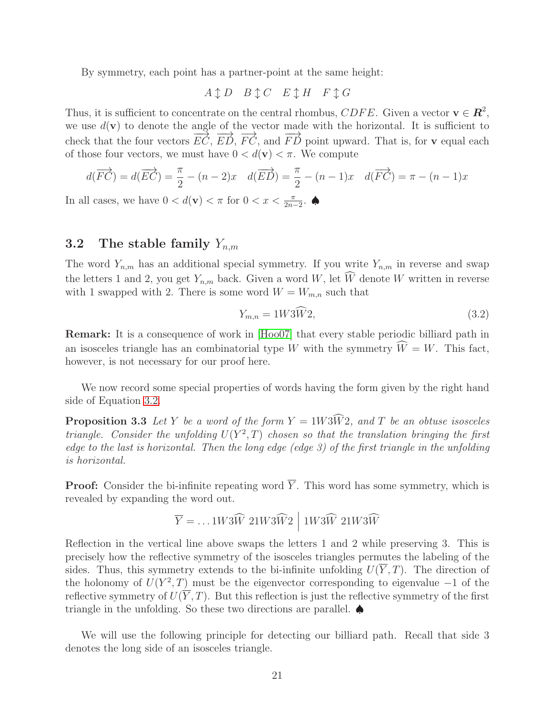By symmetry, each point has a partner-point at the same height:

$$
A \updownarrow D \quad B \updownarrow C \quad E \updownarrow H \quad F \updownarrow G
$$

Thus, it is sufficient to concentrate on the central rhombus,  $CDFE$ . Given a vector  $\mathbf{v} \in \mathbb{R}^2$ , we use  $d(\mathbf{v})$  to denote the angle of the vector made with the horizontal. It is sufficient to check that the four vectors  $\overrightarrow{EC}$ ,  $\overrightarrow{ED}$ ,  $\overrightarrow{FC}$ , and  $\overrightarrow{FD}$  point upward. That is, for v equal each of those four vectors, we must have  $0 < d(\mathbf{v}) < \pi$ . We compute

$$
d(\overrightarrow{FC}) = d(\overrightarrow{EC}) = \frac{\pi}{2} - (n-2)x \quad d(\overrightarrow{ED}) = \frac{\pi}{2} - (n-1)x \quad d(\overrightarrow{FC}) = \pi - (n-1)x
$$

In all cases, we have  $0 < d(\mathbf{v}) < \pi$  for  $0 < x < \frac{\pi}{2n-2}$ .

### 3.2 The stable family  $Y_{n,m}$

The word  $Y_{n,m}$  has an additional special symmetry. If you write  $Y_{n,m}$  in reverse and swap the letters 1 and 2, you get  $Y_{n,m}$  back. Given a word W, let  $\widehat{W}$  denote W written in reverse with 1 swapped with 2. There is some word  $W = W_{m,n}$  such that

<span id="page-20-0"></span>
$$
Y_{m,n} = 1W\bar{3}\bar{W}2,\tag{3.2}
$$

Remark: It is a consequence of work in [\[Hoo07\]](#page-80-4) that every stable periodic billiard path in an isosceles triangle has an combinatorial type W with the symmetry  $\widehat{W} = W$ . This fact, however, is not necessary for our proof here.

<span id="page-20-1"></span>We now record some special properties of words having the form given by the right hand side of Equation [3.2.](#page-20-0)

**Proposition 3.3** Let Y be a word of the form  $Y = 1W3\widehat{W}$  and T be an obtuse isosceles triangle. Consider the unfolding  $U(Y^2, T)$  chosen so that the translation bringing the first edge to the last is horizontal. Then the long edge (edge 3) of the first triangle in the unfolding is horizontal.

**Proof:** Consider the bi-infinite repeating word  $\overline{Y}$ . This word has some symmetry, which is revealed by expanding the word out.

$$
\overline{Y} = \dots 1W3\widehat{W} \ 21W3\widehat{W}2 \big| \ 1W3\widehat{W} \ 21W3\widehat{W}
$$

Reflection in the vertical line above swaps the letters 1 and 2 while preserving 3. This is precisely how the reflective symmetry of the isosceles triangles permutes the labeling of the sides. Thus, this symmetry extends to the bi-infinite unfolding  $U(\overline{Y},T)$ . The direction of the holonomy of  $U(Y^2, T)$  must be the eigenvector corresponding to eigenvalue  $-1$  of the reflective symmetry of  $U(\overline{Y},T)$ . But this reflection is just the reflective symmetry of the first triangle in the unfolding. So these two directions are parallel. ♠

<span id="page-20-2"></span>We will use the following principle for detecting our billiard path. Recall that side 3 denotes the long side of an isosceles triangle.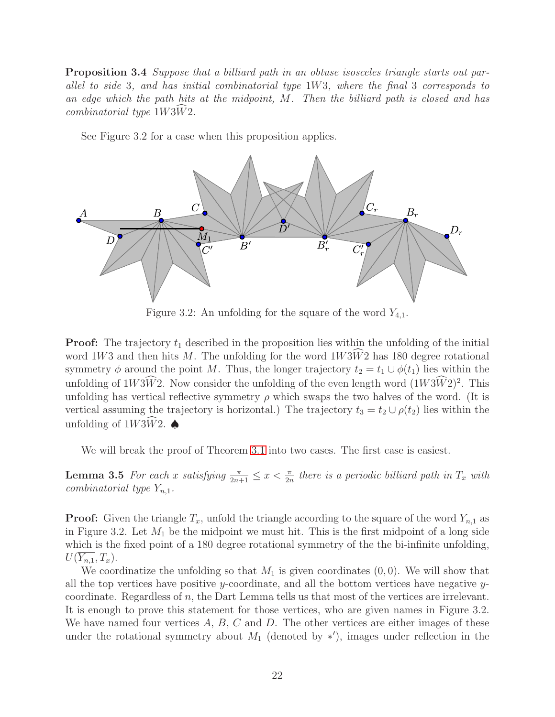Proposition 3.4 Suppose that a billiard path in an obtuse isosceles triangle starts out parallel to side 3, and has initial combinatorial type 1W3, where the final 3 corresponds to an edge which the path hits at the midpoint, M. Then the billiard path is closed and has  $combinatorial type 1W3W2.$ 

See Figure 3.2 for a case when this proposition applies.



Figure 3.2: An unfolding for the square of the word  $Y_{4,1}$ .

**Proof:** The trajectory  $t_1$  described in the proposition lies within the unfolding of the initial word  $1W3$  and then hits M. The unfolding for the word  $1W3W2$  has 180 degree rotational symmetry  $\phi$  around the point M. Thus, the longer trajectory  $t_2 = t_1 \cup \phi(t_1)$  lies within the unfolding of  $1W\overline{3W}2$ . Now consider the unfolding of the even length word  $(1W\overline{3W}2)^2$ . This unfolding has vertical reflective symmetry  $\rho$  which swaps the two halves of the word. (It is vertical assuming the trajectory is horizontal.) The trajectory  $t_3 = t_2 \cup \rho(t_2)$  lies within the unfolding of  $1W3\widehat{W}2$ .

We will break the proof of Theorem [3.1](#page-19-1) into two cases. The first case is easiest.

**Lemma 3.5** For each x satisfying  $\frac{\pi}{2n+1} \leq x < \frac{\pi}{2n}$  there is a periodic billiard path in  $T_x$  with combinatorial type  $Y_{n,1}$ .

**Proof:** Given the triangle  $T_x$ , unfold the triangle according to the square of the word  $Y_{n,1}$  as in Figure 3.2. Let  $M_1$  be the midpoint we must hit. This is the first midpoint of a long side which is the fixed point of a 180 degree rotational symmetry of the the bi-infinite unfolding,  $U(\overline{Y_{n,1}},T_x).$ 

We coordinatize the unfolding so that  $M_1$  is given coordinates  $(0, 0)$ . We will show that all the top vertices have positive y-coordinate, and all the bottom vertices have negative  $y$ coordinate. Regardless of  $n$ , the Dart Lemma tells us that most of the vertices are irrelevant. It is enough to prove this statement for those vertices, who are given names in Figure 3.2. We have named four vertices  $A, B, C$  and  $D$ . The other vertices are either images of these under the rotational symmetry about  $M_1$  (denoted by \*'), images under reflection in the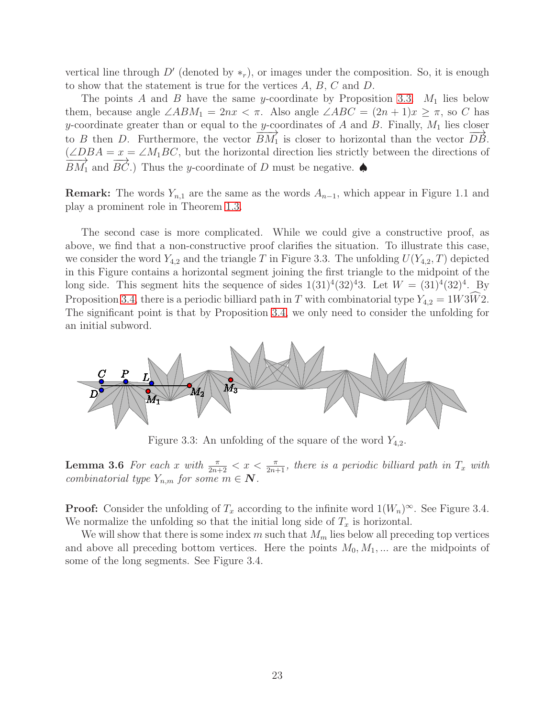vertical line through  $D'$  (denoted by  $*_r$ ), or images under the composition. So, it is enough to show that the statement is true for the vertices  $A, B, C$  and  $D$ .

The points A and B have the same y-coordinate by Proposition [3.3.](#page-20-1)  $M_1$  lies below them, because angle  $\angle ABM_1 = 2nx < \pi$ . Also angle  $\angle ABC = (2n + 1)x \geq \pi$ , so C has y-coordinate greater than or equal to the y-coordinates of  $A$  and  $B$ . Finally,  $M_1$  lies closer to B then D. Furthermore, the vector  $\overline{BM}_1$  is closer to horizontal than the vector  $\overline{DB}$ .  $(\angle DBA = x = \angle M_1BC$ , but the horizontal direction lies strictly between the directions of  $\overrightarrow{BM_1}$  and  $\overrightarrow{BC}$ .) Thus the y-coordinate of D must be negative.

**Remark:** The words  $Y_{n,1}$  are the same as the words  $A_{n-1}$ , which appear in Figure 1.1 and play a prominent role in Theorem [1.3.](#page-2-1)

The second case is more complicated. While we could give a constructive proof, as above, we find that a non-constructive proof clarifies the situation. To illustrate this case, we consider the word  $Y_{4,2}$  and the triangle T in Figure 3.3. The unfolding  $U(Y_{4,2}, T)$  depicted in this Figure contains a horizontal segment joining the first triangle to the midpoint of the long side. This segment hits the sequence of sides  $1(31)^4(32)^43$ . Let  $W = (31)^4(32)^4$ . By Proposition [3.4,](#page-20-2) there is a periodic billiard path in T with combinatorial type  $Y_{4,2} = 1W3\tilde{W}2$ . The significant point is that by Proposition [3.4,](#page-20-2) we only need to consider the unfolding for an initial subword.



Figure 3.3: An unfolding of the square of the word  $Y_{4,2}$ .

**Lemma 3.6** For each x with  $\frac{\pi}{2n+2} < x < \frac{\pi}{2n+1}$ , there is a periodic billiard path in  $T_x$  with combinatorial type  $Y_{n,m}$  for some  $m \in \mathbb{N}$ .

**Proof:** Consider the unfolding of  $T_x$  according to the infinite word  $1(W_n)^\infty$ . See Figure 3.4. We normalize the unfolding so that the initial long side of  $T_x$  is horizontal.

We will show that there is some index m such that  $M_m$  lies below all preceding top vertices and above all preceding bottom vertices. Here the points  $M_0, M_1, ...$  are the midpoints of some of the long segments. See Figure 3.4.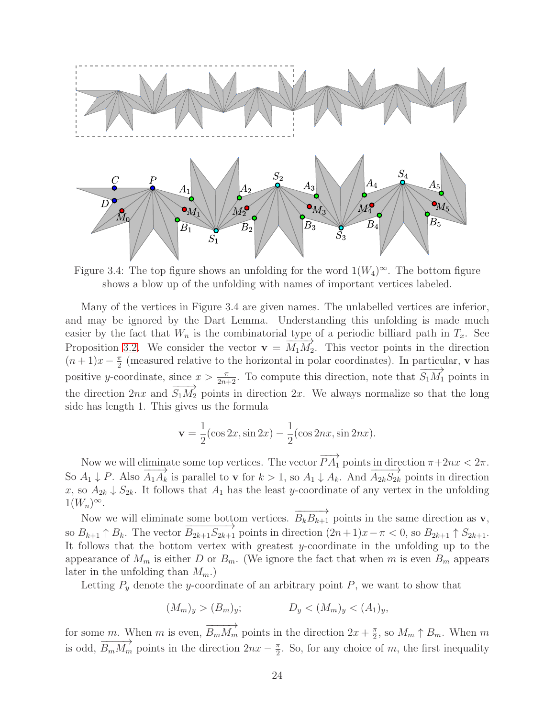

Figure 3.4: The top figure shows an unfolding for the word  $1(W_4)^\infty$ . The bottom figure shows a blow up of the unfolding with names of important vertices labeled.

Many of the vertices in Figure 3.4 are given names. The unlabelled vertices are inferior, and may be ignored by the Dart Lemma. Understanding this unfolding is made much easier by the fact that  $W_n$  is the combinatorial type of a periodic billiard path in  $T_x$ . See Proposition [3.2.](#page-19-2) We consider the vector  $\mathbf{v} = \overline{M_1 M_2}$ . This vector points in the direction  $(n+1)x-\frac{\pi}{2}$  $\frac{\pi}{2}$  (measured relative to the horizontal in polar coordinates). In particular, **v** has positive y-coordinate, since  $x > \frac{\pi}{2n+2}$ . To compute this direction, note that  $\overrightarrow{S_1M_1}$  points in the direction 2nx and  $\overline{S_1M_2}$  points in direction 2x. We always normalize so that the long side has length 1. This gives us the formula

$$
\mathbf{v} = \frac{1}{2}(\cos 2x, \sin 2x) - \frac{1}{2}(\cos 2nx, \sin 2nx).
$$

Now we will eliminate some top vertices. The vector  $\overrightarrow{PA_1}$  points in direction  $\pi+2nx < 2\pi$ . So  $A_1 \downarrow P$ . Also  $\overrightarrow{A_1A_k}$  is parallel to **v** for  $k > 1$ , so  $A_1 \downarrow A_k$ . And  $\overrightarrow{A_{2k}S_{2k}}$  points in direction x, so  $A_{2k}$   $\downarrow$   $S_{2k}$ . It follows that  $A_1$  has the least y-coordinate of any vertex in the unfolding  $1(W_n)^\infty$ .

Now we will eliminate some bottom vertices.  $\overrightarrow{B_k B_{k+1}}$  points in the same direction as **v**, so  $B_{k+1} \uparrow B_k$ . The vector  $\overrightarrow{B_{2k+1}S_{2k+1}}$  points in direction  $(2n+1)x-\pi < 0$ , so  $B_{2k+1} \uparrow S_{2k+1}$ . It follows that the bottom vertex with greatest  $y$ -coordinate in the unfolding up to the appearance of  $M_m$  is either D or  $B_m$ . (We ignore the fact that when m is even  $B_m$  appears later in the unfolding than  $M_m$ .

Letting  $P_y$  denote the y-coordinate of an arbitrary point  $P$ , we want to show that

$$
(M_m)_y > (B_m)_y; \t D_y < (M_m)_y < (A_1)_y,
$$

for some m. When m is even,  $\overrightarrow{B_mM_m}$  points in the direction  $2x + \frac{\pi}{2}$  $\frac{\pi}{2}$ , so  $M_m \uparrow B_m$ . When m is odd,  $\overrightarrow{B_m M_m}$  points in the direction  $2nx - \frac{\pi}{2}$  $\frac{\pi}{2}$ . So, for any choice of m, the first inequality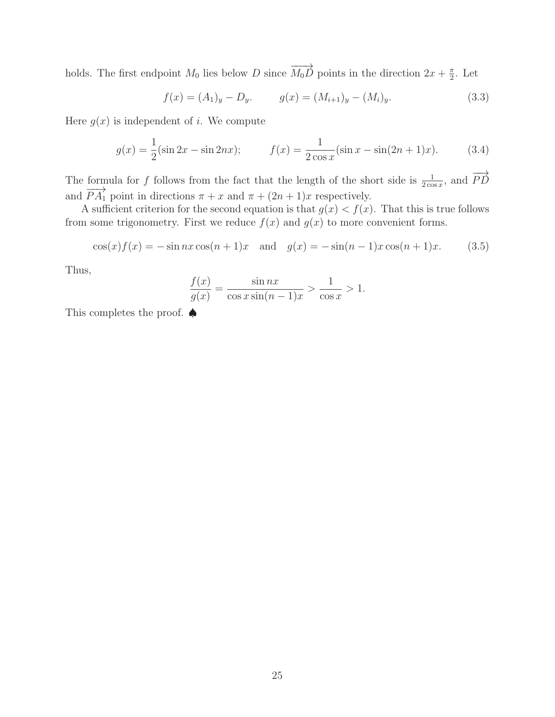holds. The first endpoint  $M_0$  lies below D since  $\overrightarrow{M_0D}$  points in the direction  $2x + \frac{\pi}{2}$  $\frac{\pi}{2}$ . Let

$$
f(x) = (A_1)_y - D_y, \t\t g(x) = (M_{i+1})_y - (M_i)_y.
$$
\t(3.3)

Here  $q(x)$  is independent of i. We compute

$$
g(x) = \frac{1}{2}(\sin 2x - \sin 2nx); \qquad f(x) = \frac{1}{2\cos x}(\sin x - \sin(2n+1)x). \tag{3.4}
$$

The formula for f follows from the fact that the length of the short side is  $\frac{1}{2\cos x}$ , and  $\overrightarrow{PD}$ and  $\overrightarrow{PA_1}$  point in directions  $\pi + x$  and  $\pi + (2n + 1)x$  respectively.

A sufficient criterion for the second equation is that  $g(x) < f(x)$ . That this is true follows from some trigonometry. First we reduce  $f(x)$  and  $g(x)$  to more convenient forms.

$$
\cos(x)f(x) = -\sin nx \cos(n+1)x \text{ and } g(x) = -\sin(n-1)x \cos(n+1)x. \tag{3.5}
$$

Thus,

$$
\frac{f(x)}{g(x)} = \frac{\sin nx}{\cos x \sin((n-1)x)} > \frac{1}{\cos x} > 1.
$$

This completes the proof. ♦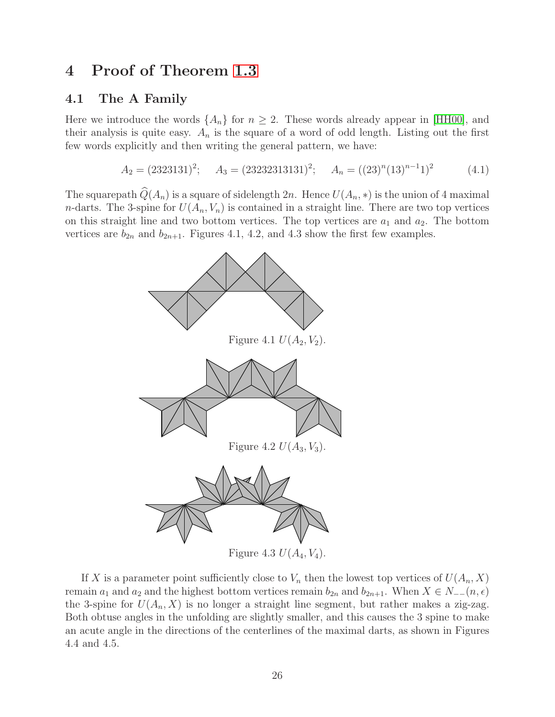# <span id="page-25-0"></span>4 Proof of Theorem [1.3](#page-2-1)

### 4.1 The A Family

Here we introduce the words  $\{A_n\}$  for  $n \geq 2$ . These words already appear in [\[HH00\]](#page-80-10), and their analysis is quite easy.  $A_n$  is the square of a word of odd length. Listing out the first few words explicitly and then writing the general pattern, we have:

$$
A_2 = (2323131)^2; \quad A_3 = (23232313131)^2; \quad A_n = ((23)^n (13)^{n-1})^2 \quad (4.1)
$$

The squarepath  $\widehat{Q}(A_n)$  is a square of sidelength 2n. Hence  $U(A_n, *)$  is the union of 4 maximal *n*-darts. The 3-spine for  $U(A_n, V_n)$  is contained in a straight line. There are two top vertices on this straight line and two bottom vertices. The top vertices are  $a_1$  and  $a_2$ . The bottom vertices are  $b_{2n}$  and  $b_{2n+1}$ . Figures 4.1, 4.2, and 4.3 show the first few examples.



If X is a parameter point sufficiently close to  $V_n$  then the lowest top vertices of  $U(A_n, X)$ remain  $a_1$  and  $a_2$  and the highest bottom vertices remain  $b_{2n}$  and  $b_{2n+1}$ . When  $X \in N_{-1}(n, \epsilon)$ the 3-spine for  $U(A_n, X)$  is no longer a straight line segment, but rather makes a zig-zag. Both obtuse angles in the unfolding are slightly smaller, and this causes the 3 spine to make an acute angle in the directions of the centerlines of the maximal darts, as shown in Figures 4.4 and 4.5.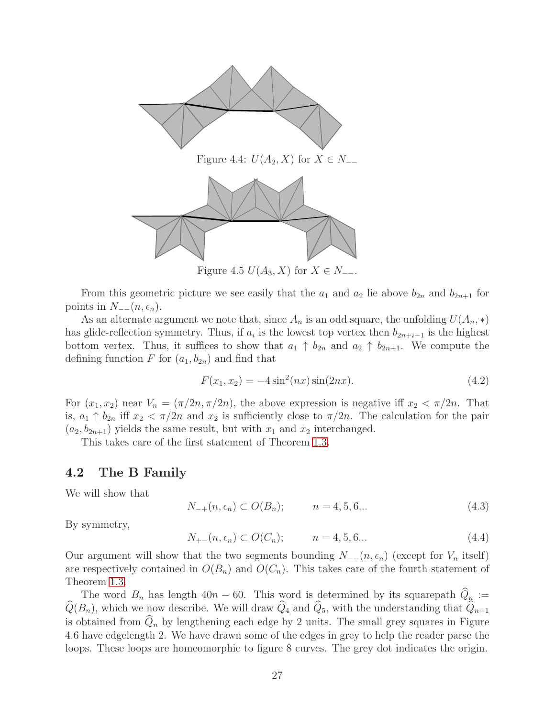

Figure 4.5  $U(A_3, X)$  for  $X \in N_{-}$ .

From this geometric picture we see easily that the  $a_1$  and  $a_2$  lie above  $b_{2n}$  and  $b_{2n+1}$  for points in  $N_{-}^-(n, \epsilon_n)$ .

As an alternate argument we note that, since  $A_n$  is an odd square, the unfolding  $U(A_n, *)$ has glide-reflection symmetry. Thus, if  $a_i$  is the lowest top vertex then  $b_{2n+i-1}$  is the highest bottom vertex. Thus, it suffices to show that  $a_1 \uparrow b_{2n}$  and  $a_2 \uparrow b_{2n+1}$ . We compute the defining function F for  $(a_1, b_{2n})$  and find that

$$
F(x_1, x_2) = -4\sin^2(nx)\sin(2nx). \tag{4.2}
$$

For  $(x_1, x_2)$  near  $V_n = (\pi/2n, \pi/2n)$ , the above expression is negative iff  $x_2 < \pi/2n$ . That is,  $a_1 \uparrow b_{2n}$  iff  $x_2 < \pi/2n$  and  $x_2$  is sufficiently close to  $\pi/2n$ . The calculation for the pair  $(a_2, b_{2n+1})$  yields the same result, but with  $x_1$  and  $x_2$  interchanged.

This takes care of the first statement of Theorem [1.3.](#page-2-1)

### 4.2 The B Family

We will show that

<span id="page-26-0"></span>
$$
N_{-+}(n, \epsilon_n) \subset O(B_n); \qquad n = 4, 5, 6... \tag{4.3}
$$

By symmetry,

$$
N_{+-}(n, \epsilon_n) \subset O(C_n); \qquad n = 4, 5, 6... \tag{4.4}
$$

Our argument will show that the two segments bounding  $N_{-}(n, \epsilon_n)$  (except for  $V_n$  itself) are respectively contained in  $O(B_n)$  and  $O(C_n)$ . This takes care of the fourth statement of Theorem [1.3.](#page-2-1)

The word  $B_n$  has length 40n – 60. This word is determined by its squarepath  $Q_n :=$  $\widehat{Q}(B_n)$ , which we now describe. We will draw  $\widehat{Q}_4$  and  $\widehat{Q}_5$ , with the understanding that  $\widehat{Q}_{n+1}$ is obtained from  $\hat{Q}_n$  by lengthening each edge by 2 units. The small grey squares in Figure 4.6 have edgelength 2. We have drawn some of the edges in grey to help the reader parse the loops. These loops are homeomorphic to figure 8 curves. The grey dot indicates the origin.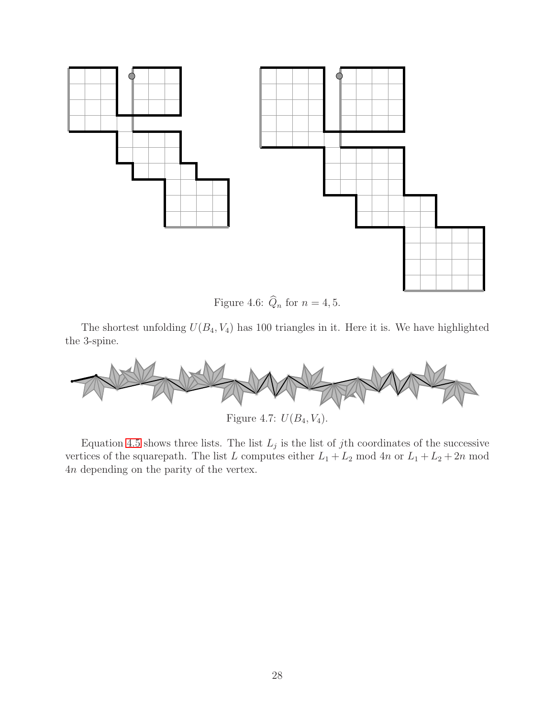

Figure 4.6:  $\widehat{Q}_n$  for  $n = 4, 5$ .

The shortest unfolding  $U(B_4, V_4)$  has 100 triangles in it. Here it is. We have highlighted the 3-spine.



Figure 4.7:  $U(B_4, V_4)$ .

Equation [4.5](#page-28-0) shows three lists. The list  $L_j$  is the list of jth coordinates of the successive vertices of the squarepath. The list L computes either  $L_1 + L_2$  mod  $4n$  or  $L_1 + L_2 + 2n$  mod 4n depending on the parity of the vertex.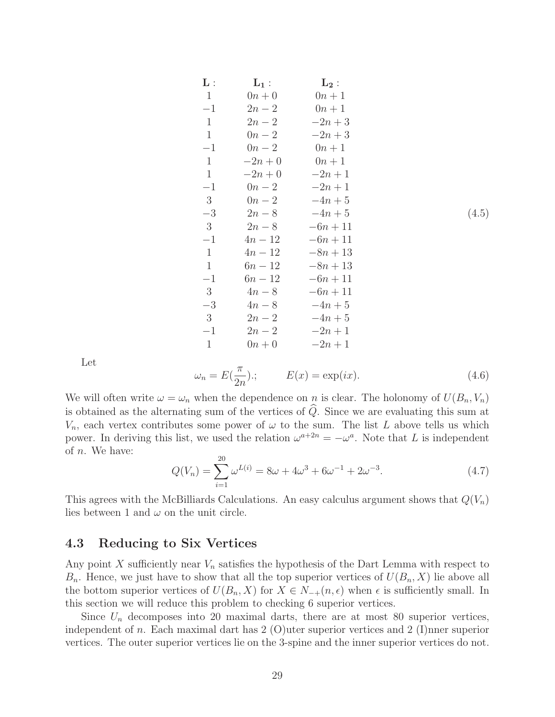<span id="page-28-0"></span>

| $\mathbf{L}:$ | $L_1$ :   | $\mathrm{L}_2$ : |       |
|---------------|-----------|------------------|-------|
| $\mathbf{1}$  | $0n+0$    | $0n+1$           |       |
| $-1$          | $2n-2$    | $0n+1$           |       |
| $\mathbf{1}$  | $2n-2$    | $-2n+3$          |       |
| $\mathbf{1}$  | $0n-2$    | $-2n+3$          |       |
| $-1$          | $0n-2$    | $0n+1$           |       |
| $\mathbf{1}$  | $-2n + 0$ | $0n+1$           |       |
| $\mathbf{1}$  | $-2n + 0$ | $-2n+1$          |       |
| $-1$          | $0n-2$    | $-2n+1$          |       |
| 3             | $0n-2$    | $-4n+5$          |       |
| $-3$          | $2n-8$    | $-4n+5$          | (4.5) |
| 3             | $2n-8$    | $-6n + 11$       |       |
| $-1$          | $4n - 12$ | $-6n + 11$       |       |
| $\mathbf{1}$  | $4n - 12$ | $-8n + 13$       |       |
| $\mathbf{1}$  | $6n - 12$ | $-8n + 13$       |       |
| $-1$          | $6n - 12$ | $-6n + 11$       |       |
| 3             | $4n-8$    | $-6n + 11$       |       |
| $-3$          | $4n-8$    | $-4n + 5$        |       |
| 3             | $2n-2$    | $-4n + 5$        |       |
| $-1$          | $2n-2$    | $-2n+1$          |       |
| $\mathbf{1}$  | $0n+0$    | $-2n+1$          |       |

Let

$$
\omega_n = E(\frac{\pi}{2n}); \qquad E(x) = \exp(ix). \tag{4.6}
$$

We will often write  $\omega = \omega_n$  when the dependence on n is clear. The holonomy of  $U(B_n, V_n)$ is obtained as the alternating sum of the vertices of  $\widehat{Q}$ . Since we are evaluating this sum at  $V_n$ , each vertex contributes some power of  $\omega$  to the sum. The list L above tells us which power. In deriving this list, we used the relation  $\omega^{a+2n} = -\omega^a$ . Note that L is independent of n. We have:

$$
Q(V_n) = \sum_{i=1}^{20} \omega^{L(i)} = 8\omega + 4\omega^3 + 6\omega^{-1} + 2\omega^{-3}.
$$
 (4.7)

This agrees with the McBilliards Calculations. An easy calculus argument shows that  $Q(V_n)$ lies between 1 and  $\omega$  on the unit circle.

### 4.3 Reducing to Six Vertices

Any point X sufficiently near  $V_n$  satisfies the hypothesis of the Dart Lemma with respect to  $B_n$ . Hence, we just have to show that all the top superior vertices of  $U(B_n, X)$  lie above all the bottom superior vertices of  $U(B_n, X)$  for  $X \in N_{-+}(n, \epsilon)$  when  $\epsilon$  is sufficiently small. In this section we will reduce this problem to checking 6 superior vertices.

Since  $U_n$  decomposes into 20 maximal darts, there are at most 80 superior vertices, independent of n. Each maximal dart has 2 (O)uter superior vertices and 2 (I)nner superior vertices. The outer superior vertices lie on the 3-spine and the inner superior vertices do not.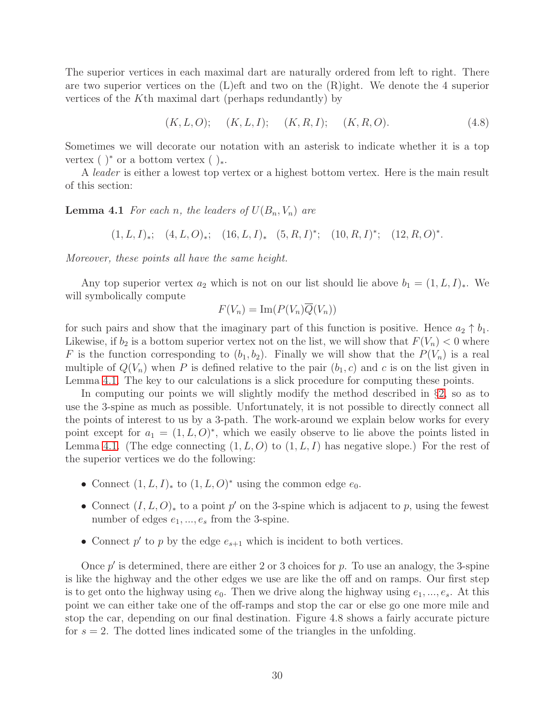The superior vertices in each maximal dart are naturally ordered from left to right. There are two superior vertices on the  $(L)$ eft and two on the  $(R)$ ight. We denote the 4 superior vertices of the Kth maximal dart (perhaps redundantly) by

$$
(K, L, O);
$$
  $(K, L, I);$   $(K, R, I);$   $(K, R, O).$  (4.8)

Sometimes we will decorate our notation with an asterisk to indicate whether it is a top vertex ( )<sup>\*</sup> or a bottom vertex ( )<sub>\*</sub>.

<span id="page-29-0"></span>A leader is either a lowest top vertex or a highest bottom vertex. Here is the main result of this section:

**Lemma 4.1** For each n, the leaders of  $U(B_n, V_n)$  are

 $(1, L, I)_*; (4, L, O)_*; (16, L, I)_* (5, R, I)^*; (10, R, I)^*; (12, R, O)^*.$ 

Moreover, these points all have the same height.

Any top superior vertex  $a_2$  which is not on our list should lie above  $b_1 = (1, L, I)_*$ . We will symbolically compute

$$
F(V_n) = \operatorname{Im}(P(V_n)\overline{Q}(V_n))
$$

for such pairs and show that the imaginary part of this function is positive. Hence  $a_2 \uparrow b_1$ . Likewise, if  $b_2$  is a bottom superior vertex not on the list, we will show that  $F(V_n) < 0$  where F is the function corresponding to  $(b_1, b_2)$ . Finally we will show that the  $P(V_n)$  is a real multiple of  $Q(V_n)$  when P is defined relative to the pair  $(b_1, c)$  and c is on the list given in Lemma [4.1.](#page-29-0) The key to our calculations is a slick procedure for computing these points.

In computing our points we will slightly modify the method described in §[2,](#page-8-0) so as to use the 3-spine as much as possible. Unfortunately, it is not possible to directly connect all the points of interest to us by a 3-path. The work-around we explain below works for every point except for  $a_1 = (1, L, O)^*$ , which we easily observe to lie above the points listed in Lemma [4.1.](#page-29-0) (The edge connecting  $(1, L, O)$  to  $(1, L, I)$  has negative slope.) For the rest of the superior vertices we do the following:

- Connect  $(1, L, I)_*$  to  $(1, L, O)^*$  using the common edge  $e_0$ .
- Connect  $(I, L, O)_*$  to a point p' on the 3-spine which is adjacent to p, using the fewest number of edges  $e_1, ..., e_s$  from the 3-spine.
- Connect  $p'$  to  $p$  by the edge  $e_{s+1}$  which is incident to both vertices.

Once  $p'$  is determined, there are either 2 or 3 choices for  $p$ . To use an analogy, the 3-spine is like the highway and the other edges we use are like the off and on ramps. Our first step is to get onto the highway using  $e_0$ . Then we drive along the highway using  $e_1, ..., e_s$ . At this point we can either take one of the off-ramps and stop the car or else go one more mile and stop the car, depending on our final destination. Figure 4.8 shows a fairly accurate picture for  $s = 2$ . The dotted lines indicated some of the triangles in the unfolding.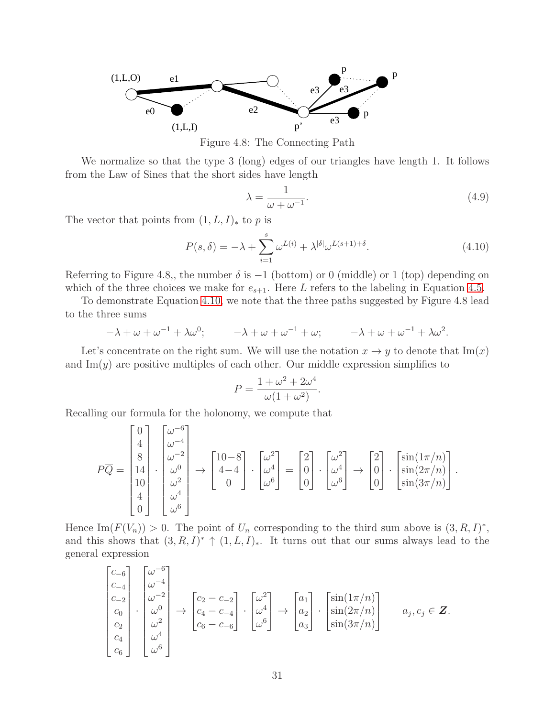

Figure 4.8: The Connecting Path

We normalize so that the type 3 (long) edges of our triangles have length 1. It follows from the Law of Sines that the short sides have length

$$
\lambda = \frac{1}{\omega + \omega^{-1}}.\tag{4.9}
$$

The vector that points from  $(1, L, I)_*$  to p is

<span id="page-30-0"></span>
$$
P(s,\delta) = -\lambda + \sum_{i=1}^{s} \omega^{L(i)} + \lambda^{|\delta|} \omega^{L(s+1)+\delta}.
$$
\n(4.10)

Referring to Figure 4.8,, the number  $\delta$  is  $-1$  (bottom) or 0 (middle) or 1 (top) depending on which of the three choices we make for  $e_{s+1}$ . Here L refers to the labeling in Equation [4.5.](#page-28-0)

To demonstrate Equation [4.10,](#page-30-0) we note that the three paths suggested by Figure 4.8 lead to the three sums

$$
-\lambda + \omega + \omega^{-1} + \lambda \omega^0; \qquad -\lambda + \omega + \omega^{-1} + \omega; \qquad -\lambda + \omega + \omega^{-1} + \lambda \omega^2.
$$

Let's concentrate on the right sum. We will use the notation  $x \to y$  to denote that  $\text{Im}(x)$ and  $\text{Im}(y)$  are positive multiples of each other. Our middle expression simplifies to

$$
P = \frac{1 + \omega^2 + 2\omega^4}{\omega(1 + \omega^2)}.
$$

Recalling our formula for the holonomy, we compute that

$$
P\overline{Q} = \begin{bmatrix} 0 \\ 4 \\ 8 \\ 14 \\ 10 \\ 4 \\ 4 \\ 0 \end{bmatrix} \cdot \begin{bmatrix} \omega^{-6} \\ \omega^{-4} \\ \omega^{-2} \\ \omega^0 \\ \omega^2 \\ \omega^4 \\ 0 \end{bmatrix} \rightarrow \begin{bmatrix} 10-8 \\ 4-4 \\ 0 \\ 0 \end{bmatrix} \cdot \begin{bmatrix} \omega^2 \\ \omega^4 \\ \omega^6 \end{bmatrix} = \begin{bmatrix} 2 \\ 0 \\ 0 \\ 0 \end{bmatrix} \cdot \begin{bmatrix} \omega^2 \\ \omega^4 \\ \omega^6 \end{bmatrix} \rightarrow \begin{bmatrix} 2 \\ 0 \\ 0 \\ 0 \end{bmatrix} \cdot \begin{bmatrix} \sin(1\pi/n) \\ \sin(2\pi/n) \\ \sin(3\pi/n) \end{bmatrix}.
$$

Hence Im( $F(V_n)$ ) > 0. The point of  $U_n$  corresponding to the third sum above is  $(3, R, I)^*$ , and this shows that  $(3, R, I)^* \uparrow (1, L, I)_*.$  It turns out that our sums always lead to the general expression

$$
\begin{bmatrix} c_{-6} \\ c_{-4} \\ c_0 \\ c_0 \\ c_2 \\ c_4 \\ c_6 \end{bmatrix} \cdot \begin{bmatrix} \omega^{-6} \\ \omega^{-4} \\ \omega^{-2} \\ \omega^0 \\ \omega^2 \\ \omega^4 \\ \omega^6 \end{bmatrix} \rightarrow \begin{bmatrix} c_2 - c_{-2} \\ c_4 - c_{-4} \\ c_6 - c_{-6} \end{bmatrix} \cdot \begin{bmatrix} \omega^2 \\ \omega^4 \\ \omega^6 \end{bmatrix} \rightarrow \begin{bmatrix} a_1 \\ a_2 \\ a_3 \end{bmatrix} \cdot \begin{bmatrix} \sin(1\pi/n) \\ \sin(2\pi/n) \\ \sin(3\pi/n) \end{bmatrix} \quad a_j, c_j \in \mathbb{Z}.
$$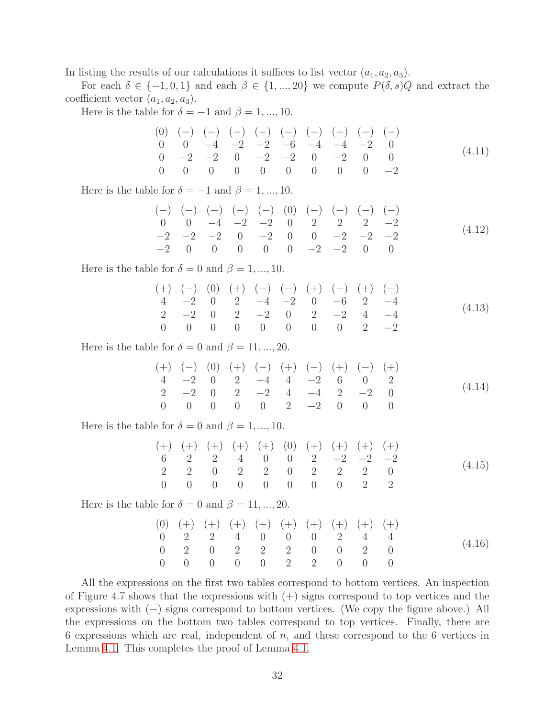In listing the results of our calculations it suffices to list vector  $(a_1, a_2, a_3)$ .

For each  $\delta \in \{-1,0,1\}$  and each  $\beta \in \{1,...,20\}$  we compute  $P(\delta, s)\overline{Q}$  and extract the coefficient vector  $(a_1, a_2, a_3)$ .

Here is the table for  $\delta = -1$  and  $\beta = 1, ..., 10$ .

$$
\begin{array}{ccccccccc}\n(0) & (-) & (-) & (-) & (-) & (-) & (-) & (-) & (-) & (-) & (-) \\
0 & 0 & -4 & -2 & -2 & -6 & -4 & -4 & -2 & 0 \\
0 & -2 & -2 & 0 & -2 & -2 & 0 & -2 & 0 & 0 \\
0 & 0 & 0 & 0 & 0 & 0 & 0 & 0 & -2\n\end{array} (4.11)
$$

Here is the table for  $\delta = -1$  and  $\beta = 1, ..., 10$ .

(−) (−) (−) (−) (−) (0) (−) (−) (−) (−) 0 0 −4 −2 −2 0 2 2 2 −2 −2 −2 −2 0 −2 0 0 −2 −2 −2 −2 0 0 0 0 0 −2 −2 0 0 (4.12)

Here is the table for  $\delta = 0$  and  $\beta = 1, ..., 10$ .

$$
\begin{array}{cccccccccccc}\n (+) & (-) & (0) & (+) & (-) & (-) & (+) & (-) & (+) & (-) & (-) \\
4 & -2 & 0 & 2 & -4 & -2 & 0 & -6 & 2 & -4 \\
2 & -2 & 0 & 2 & -2 & 0 & 2 & -2 & 4 & -4 \\
0 & 0 & 0 & 0 & 0 & 0 & 0 & 2 & -2\n\end{array} (4.13)
$$

Here is the table for  $\delta = 0$  and  $\beta = 11, ..., 20$ .

(+) (−) (0) (+) (−) (+) (−) (+) (−) (+) 4 −2 0 2 −4 4 −2 6 0 2 2 −2 0 2 −2 4 −4 2 −2 0 0 0 0 0 0 2 −2 0 0 0 (4.14)

Here is the table for  $\delta = 0$  and  $\beta = 1, ..., 10$ .

$$
\begin{array}{cccccccccccc}\n (+) & (+) & (+) & (+) & (+) & (0) & (+) & (+) & (+) & (+) & (+) \\
6 & 2 & 2 & 4 & 0 & 0 & 2 & -2 & -2 & -2 \\
2 & 2 & 0 & 2 & 2 & 0 & 2 & 2 & 2 & 0 \\
0 & 0 & 0 & 0 & 0 & 0 & 0 & 0 & 2 & 2\n\end{array} (4.15)
$$

Here is the table for  $\delta = 0$  and  $\beta = 11, ..., 20$ .

$$
\begin{array}{cccccccccccc} (0) & (+) & (+) & (+) & (+) & (+) & (+) & (+) & (+) & (+) & (+) & (+) \\ 0 & 2 & 2 & 4 & 0 & 0 & 0 & 2 & 4 & 4 \\ 0 & 2 & 0 & 2 & 2 & 0 & 0 & 2 & 0 & 0 \\ 0 & 0 & 0 & 0 & 0 & 2 & 2 & 0 & 0 & 0 \end{array} \tag{4.16}
$$

All the expressions on the first two tables correspond to bottom vertices. An inspection of Figure 4.7 shows that the expressions with  $(+)$  signs correspond to top vertices and the expressions with (−) signs correspond to bottom vertices. (We copy the figure above.) All the expressions on the bottom two tables correspond to top vertices. Finally, there are 6 expressions which are real, independent of  $n$ , and these correspond to the 6 vertices in Lemma [4.1.](#page-29-0) This completes the proof of Lemma [4.1.](#page-29-0)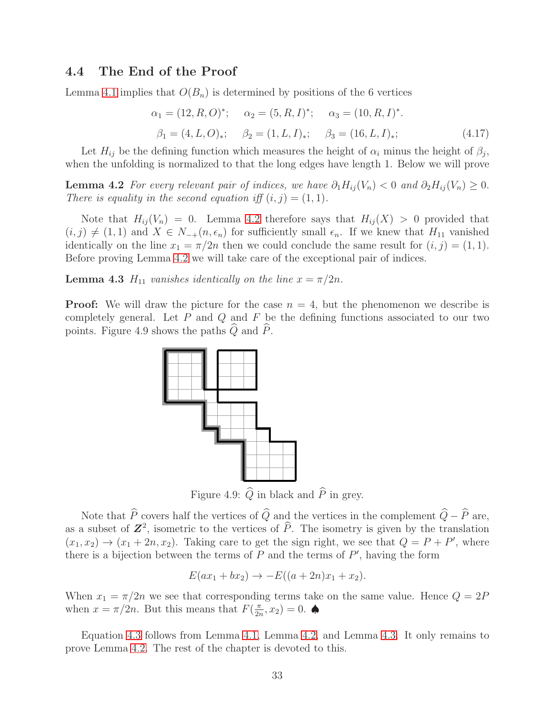### 4.4 The End of the Proof

Lemma [4.1](#page-29-0) implies that  $O(B_n)$  is determined by positions of the 6 vertices

$$
\alpha_1 = (12, R, O)^{*}; \quad \alpha_2 = (5, R, I)^{*}; \quad \alpha_3 = (10, R, I)^{*}.
$$
  

$$
\beta_1 = (4, L, O)_*; \quad \beta_2 = (1, L, I)_*; \quad \beta_3 = (16, L, I)_*;
$$
 (4.17)

<span id="page-32-0"></span>Let  $H_{ij}$  be the defining function which measures the height of  $\alpha_i$  minus the height of  $\beta_j$ , when the unfolding is normalized to that the long edges have length 1. Below we will prove

**Lemma 4.2** For every relevant pair of indices, we have  $\partial_1 H_{ij}(V_n) < 0$  and  $\partial_2 H_{ij}(V_n) \geq 0$ . There is equality in the second equation iff  $(i, j) = (1, 1)$ .

Note that  $H_{ij}(V_n) = 0$ . Lemma [4.2](#page-32-0) therefore says that  $H_{ij}(X) > 0$  provided that  $(i, j) \neq (1, 1)$  and  $X \in N_{-+}(n, \epsilon_n)$  for sufficiently small  $\epsilon_n$ . If we knew that  $H_{11}$  vanished identically on the line  $x_1 = \pi/2n$  then we could conclude the same result for  $(i, j) = (1, 1)$ . Before proving Lemma [4.2](#page-32-0) we will take care of the exceptional pair of indices.

<span id="page-32-1"></span>**Lemma 4.3**  $H_{11}$  vanishes identically on the line  $x = \pi/2n$ .

**Proof:** We will draw the picture for the case  $n = 4$ , but the phenomenon we describe is completely general. Let  $P$  and  $Q$  and  $F$  be the defining functions associated to our two points. Figure 4.9 shows the paths  $Q$  and  $P$ .



Figure 4.9:  $\widehat{Q}$  in black and  $\widehat{P}$  in grey.

Note that  $\widehat{P}$  covers half the vertices of  $\widehat{Q}$  and the vertices in the complement  $\widehat{Q} - \widehat{P}$  are, as a subset of  $\mathbb{Z}^2$ , isometric to the vertices of  $\widehat{P}$ . The isometry is given by the translation  $(x_1, x_2) \rightarrow (x_1 + 2n, x_2)$ . Taking care to get the sign right, we see that  $Q = P + P'$ , where there is a bijection between the terms of  $P$  and the terms of  $P'$ , having the form

$$
E(ax_1 + bx_2) \to -E((a + 2n)x_1 + x_2).
$$

When  $x_1 = \pi/2n$  we see that corresponding terms take on the same value. Hence  $Q = 2P$ when  $x = \pi/2n$ . But this means that  $F\left(\frac{\pi}{2n}\right)$  $\frac{\pi}{2n}, x_2) = 0.$   $\spadesuit$ 

Equation [4.3](#page-26-0) follows from Lemma [4.1,](#page-29-0) Lemma [4.2,](#page-32-0) and Lemma [4.3.](#page-32-1) It only remains to prove Lemma [4.2.](#page-32-0) The rest of the chapter is devoted to this.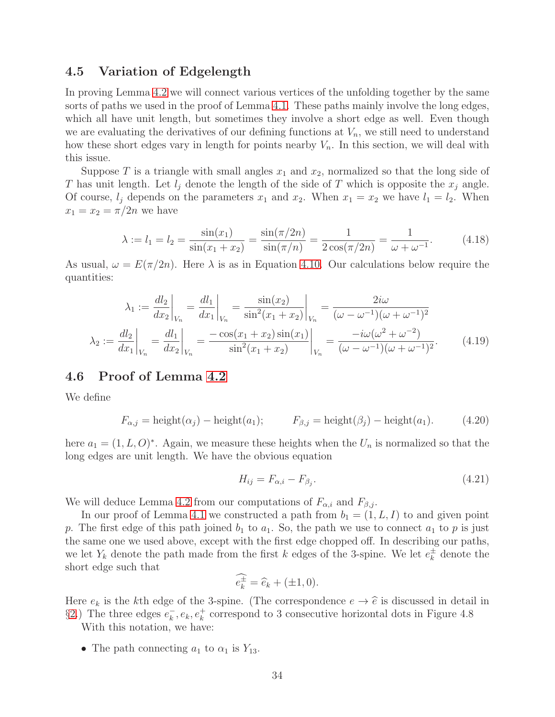### 4.5 Variation of Edgelength

In proving Lemma [4.2](#page-32-0) we will connect various vertices of the unfolding together by the same sorts of paths we used in the proof of Lemma [4.1.](#page-29-0) These paths mainly involve the long edges, which all have unit length, but sometimes they involve a short edge as well. Even though we are evaluating the derivatives of our defining functions at  $V_n$ , we still need to understand how these short edges vary in length for points nearby  $V_n$ . In this section, we will deal with this issue.

Suppose T is a triangle with small angles  $x_1$  and  $x_2$ , normalized so that the long side of T has unit length. Let  $l_i$  denote the length of the side of T which is opposite the  $x_i$  angle. Of course,  $l_j$  depends on the parameters  $x_1$  and  $x_2$ . When  $x_1 = x_2$  we have  $l_1 = l_2$ . When  $x_1 = x_2 = \pi/2n$  we have

$$
\lambda := l_1 = l_2 = \frac{\sin(x_1)}{\sin(x_1 + x_2)} = \frac{\sin(\pi/2n)}{\sin(\pi/n)} = \frac{1}{2\cos(\pi/2n)} = \frac{1}{\omega + \omega^{-1}}.
$$
(4.18)

As usual,  $\omega = E(\pi/2n)$ . Here  $\lambda$  is as in Equation [4.10.](#page-30-0) Our calculations below require the quantities:

$$
\lambda_1 := \frac{dl_2}{dx_2}\Big|_{V_n} = \frac{dl_1}{dx_1}\Big|_{V_n} = \frac{\sin(x_2)}{\sin^2(x_1 + x_2)}\Big|_{V_n} = \frac{2i\omega}{(\omega - \omega^{-1})(\omega + \omega^{-1})^2}
$$
\n
$$
\lambda_2 := \frac{dl_2}{dx_1}\Big|_{V_n} = \frac{dl_1}{dx_2}\Big|_{V_n} = \frac{-\cos(x_1 + x_2)\sin(x_1)}{\sin^2(x_1 + x_2)}\Big|_{V_n} = \frac{-i\omega(\omega^2 + \omega^{-2})}{(\omega - \omega^{-1})(\omega + \omega^{-1})^2}.
$$
\n(4.19)

### 4.6 Proof of Lemma [4.2](#page-32-0)

We define

$$
F_{\alpha,j} = \text{height}(\alpha_j) - \text{height}(a_1); \qquad F_{\beta,j} = \text{height}(\beta_j) - \text{height}(a_1). \tag{4.20}
$$

here  $a_1 = (1, L, O)^*$ . Again, we measure these heights when the  $U_n$  is normalized so that the long edges are unit length. We have the obvious equation

$$
H_{ij} = F_{\alpha,i} - F_{\beta_j}.\tag{4.21}
$$

We will deduce Lemma [4.2](#page-32-0) from our computations of  $F_{\alpha,i}$  and  $F_{\beta,j}$ .

In our proof of Lemma [4.1](#page-29-0) we constructed a path from  $b_1 = (1, L, I)$  to and given point p. The first edge of this path joined  $b_1$  to  $a_1$ . So, the path we use to connect  $a_1$  to p is just the same one we used above, except with the first edge chopped off. In describing our paths, we let  $Y_k$  denote the path made from the first k edges of the 3-spine. We let  $e_k^{\pm}$  $\frac{1}{k}$  denote the short edge such that

$$
\widehat{e_k^{\pm}} = \widehat{e}_k + (\pm 1, 0).
$$

Here  $e_k$  is the kth edge of the 3-spine. (The correspondence  $e \to \hat{e}$  is discussed in detail in §[2.](#page-8-0)) The three edges  $e_k^ \overline{k}$ ,  $e_k$ ,  $e_k^+$  correspond to 3 consecutive horizontal dots in Figure 4.8

With this notation, we have:

• The path connecting  $a_1$  to  $\alpha_1$  is  $Y_{13}$ .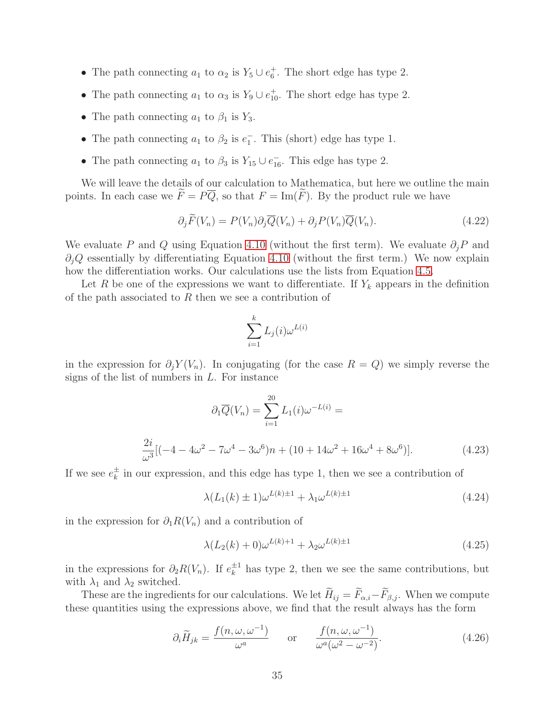- The path connecting  $a_1$  to  $\alpha_2$  is  $Y_5 \cup e_6^+$ . The short edge has type 2.
- The path connecting  $a_1$  to  $\alpha_3$  is  $Y_9 \cup e_{10}^+$ . The short edge has type 2.
- The path connecting  $a_1$  to  $\beta_1$  is  $Y_3$ .
- The path connecting  $a_1$  to  $\beta_2$  is  $e_1^-$ . This (short) edge has type 1.
- The path connecting  $a_1$  to  $\beta_3$  is  $Y_{15} \cup e_{16}^-$ . This edge has type 2.

We will leave the details of our calculation to Mathematica, but here we outline the main points. In each case we  $\widetilde{F} = P\overline{Q}$ , so that  $F = \text{Im}(\widetilde{F})$ . By the product rule we have

$$
\partial_j \widetilde{F}(V_n) = P(V_n) \partial_j \overline{Q}(V_n) + \partial_j P(V_n) \overline{Q}(V_n). \tag{4.22}
$$

We evaluate P and Q using Equation [4.10](#page-30-0) (without the first term). We evaluate  $\partial_i P$  and  $\partial_i Q$  essentially by differentiating Equation [4.10](#page-30-0) (without the first term.) We now explain how the differentiation works. Our calculations use the lists from Equation [4.5.](#page-28-0)

Let R be one of the expressions we want to differentiate. If  $Y_k$  appears in the definition of the path associated to  $R$  then we see a contribution of

$$
\sum_{i=1}^k L_j(i) \omega^{L(i)}
$$

in the expression for  $\partial_j Y(V_n)$ . In conjugating (for the case  $R = Q$ ) we simply reverse the signs of the list of numbers in  $L$ . For instance

$$
\partial_1 \overline{Q}(V_n) = \sum_{i=1}^{20} L_1(i)\omega^{-L(i)} =
$$
  

$$
\frac{2i}{\omega^3}[(-4 - 4\omega^2 - 7\omega^4 - 3\omega^6)n + (10 + 14\omega^2 + 16\omega^4 + 8\omega^6)].
$$
 (4.23)

If we see  $e_k^{\pm}$  $\frac{1}{k}$  in our expression, and this edge has type 1, then we see a contribution of

$$
\lambda (L_1(k) \pm 1)\omega^{L(k)\pm 1} + \lambda_1 \omega^{L(k)\pm 1} \tag{4.24}
$$

in the expression for  $\partial_1 R(V_n)$  and a contribution of

$$
\lambda (L_2(k) + 0)\omega^{L(k)+1} + \lambda_2 \omega^{L(k)\pm 1}
$$
\n(4.25)

in the expressions for  $\partial_2 R(V_n)$ . If  $e_k^{\pm 1}$  $\frac{1}{k}$  has type 2, then we see the same contributions, but with  $\lambda_1$  and  $\lambda_2$  switched.

These are the ingredients for our calculations. We let  $\widetilde{H}_{ij} = \widetilde{F}_{\alpha,i} - \widetilde{F}_{\beta,j}$ . When we compute these quantities using the expressions above, we find that the result always has the form

$$
\partial_i \widetilde{H}_{jk} = \frac{f(n, \omega, \omega^{-1})}{\omega^a} \quad \text{or} \quad \frac{f(n, \omega, \omega^{-1})}{\omega^a(\omega^2 - \omega^{-2})}.
$$
 (4.26)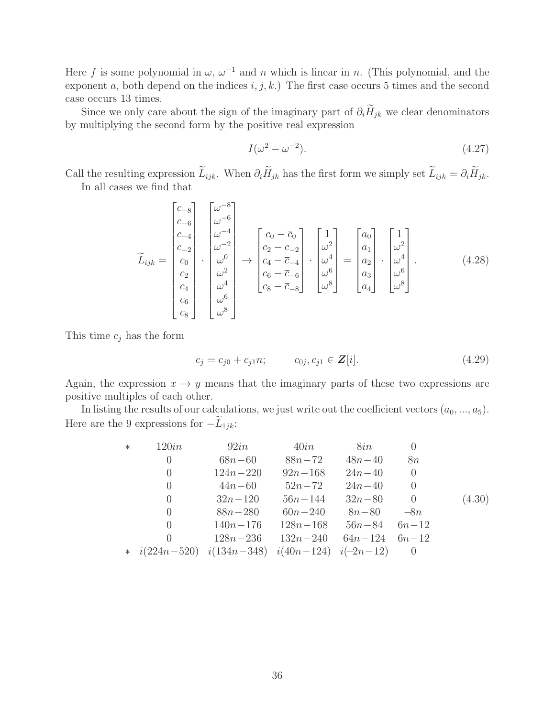Here f is some polynomial in  $\omega$ ,  $\omega^{-1}$  and n which is linear in n. (This polynomial, and the exponent a, both depend on the indices  $i, j, k$ .) The first case occurs 5 times and the second case occurs 13 times.

Since we only care about the sign of the imaginary part of  $\partial_i \widetilde{H}_{jk}$  we clear denominators by multiplying the second form by the positive real expression

$$
I(\omega^2 - \omega^{-2}).\tag{4.27}
$$

Call the resulting expression  $\widetilde{L}_{ijk}$ . When  $\partial_i \widetilde{H}_{jk}$  has the first form we simply set  $\widetilde{L}_{ijk} = \partial_i \widetilde{H}_{jk}$ . In all cases we find that

$$
\widetilde{L}_{ijk} = \begin{bmatrix} c_{-8} \\ c_{-6} \\ c_{-2} \\ c_0 \\ c_1 \\ c_2 \\ c_4 \\ c_6 \\ c_8 \end{bmatrix} \cdot \begin{bmatrix} \omega^{-8} \\ \omega^{-6} \\ \omega^{-2} \\ \omega^0 \\ \omega^0 \\ \omega^4 \\ \omega^6 \\ \omega^6 \\ \omega^8 \end{bmatrix} \rightarrow \begin{bmatrix} c_0 - \overline{c}_0 \\ c_2 - \overline{c}_{-2} \\ c_2 - \overline{c}_{-2} \\ c_4 - \overline{c}_{-4} \\ c_6 - \overline{c}_{-6} \\ c_8 - \overline{c}_{-8} \end{bmatrix} \cdot \begin{bmatrix} 1 \\ \omega^2 \\ \omega^4 \\ \omega^6 \\ \omega^8 \end{bmatrix} = \begin{bmatrix} a_0 \\ a_1 \\ a_2 \\ a_3 \\ a_4 \end{bmatrix} \cdot \begin{bmatrix} 1 \\ \omega^2 \\ \omega^4 \\ \omega^6 \\ \omega^8 \end{bmatrix} .
$$
\n(4.28)

This time  $c_j$  has the form

$$
c_j = c_{j0} + c_{j1}n; \t c_{0j}, c_{j1} \in \mathbf{Z}[i]. \t (4.29)
$$

Again, the expression  $x \to y$  means that the imaginary parts of these two expressions are positive multiples of each other.

In listing the results of our calculations, we just write out the coefficient vectors  $(a_0, ..., a_5)$ . Here are the 9 expressions for  $-L_{1jk}$ :

| $\ast$ | 120in                                                  | 92in         | 40in         | 8in         |                  |        |
|--------|--------------------------------------------------------|--------------|--------------|-------------|------------------|--------|
|        | $\theta$                                               | $68n - 60$   | $88n - 72$   | $48n - 40$  | 8n               |        |
|        | $\theta$                                               | $124n - 220$ | $92n - 168$  | $24n - 40$  | $\left( \right)$ |        |
|        | $\theta$                                               | $44n - 60$   | $52n - 72$   | $24n - 40$  | $\left( \right)$ |        |
|        | $\left( \right)$                                       | $32n - 120$  | $56n - 144$  | $32n - 80$  | 0                | (4.30) |
|        | $\left( \right)$                                       | $88n - 280$  | $60n - 240$  | $8n - 80$   | $-8n$            |        |
|        | $\left( \right)$                                       | $140n - 176$ | $128n - 168$ | $56n - 84$  | $6n - 12$        |        |
|        | $\left( \right)$                                       | $128n - 236$ | $132n - 240$ | $64n - 124$ | $6n - 12$        |        |
|        | * $i(224n-520)$ $i(134n-348)$ $i(40n-124)$ $i(-2n-12)$ |              |              |             |                  |        |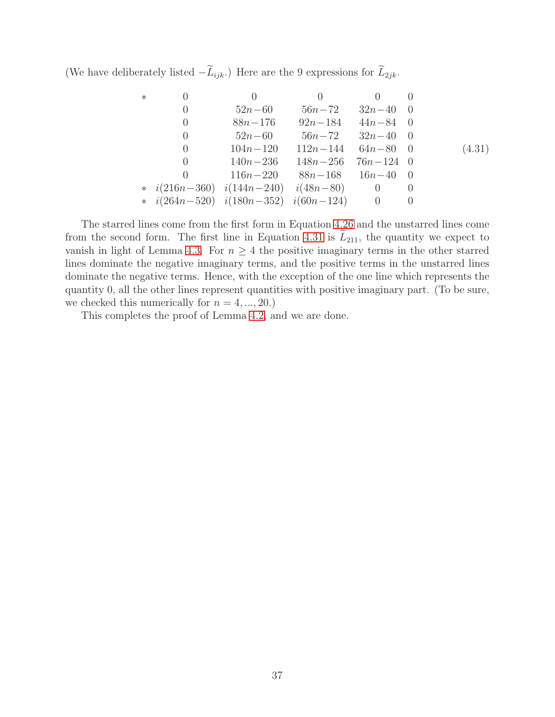(We have deliberately listed  $-\widetilde{L}_{ijk}$ .) Here are the 9 expressions for  $\widetilde{L}_{2jk}$ .

<span id="page-36-0"></span>∗ 0 0 0 0 0 0 52n−60 56n−72 32n−40 0 0 88n−176 92n−184 44n−84 0 0 52n−60 56n−72 32n−40 0 0 104n−120 112n−144 64n−80 0 0 140n−236 148n−256 76n−124 0 0 116n−220 88n−168 16n−40 0 ∗ i(216n−360) i(144n−240) i(48n−80) 0 0 ∗ i(264n−520) i(180n−352) i(60n−124) 0 0 (4.31)

The starred lines come from the first form in Equation [4.26](#page-34-0) and the unstarred lines come from the second form. The first line in Equation [4.31](#page-36-0) is  $L_{211}$ , the quantity we expect to vanish in light of Lemma [4.3.](#page-32-0) For  $n \geq 4$  the positive imaginary terms in the other starred lines dominate the negative imaginary terms, and the positive terms in the unstarred lines dominate the negative terms. Hence, with the exception of the one line which represents the quantity 0, all the other lines represent quantities with positive imaginary part. (To be sure, we checked this numerically for  $n = 4, ..., 20$ .)

This completes the proof of Lemma [4.2,](#page-32-1) and we are done.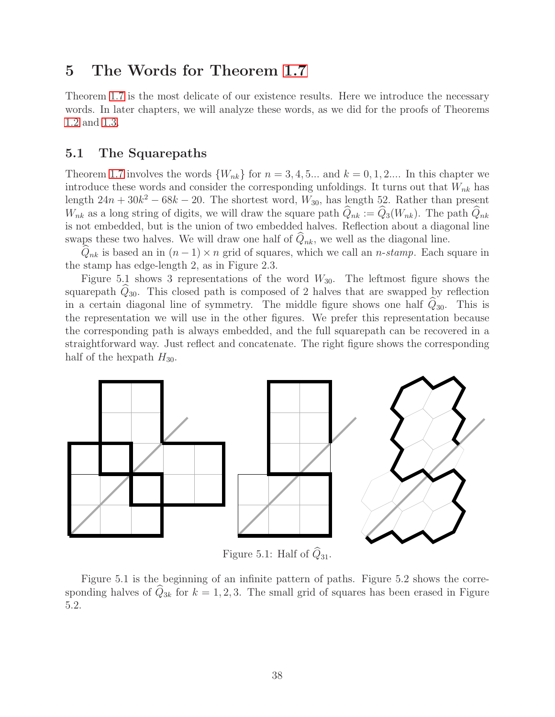# <span id="page-37-1"></span>5 The Words for Theorem [1.7](#page-5-0)

Theorem [1.7](#page-5-0) is the most delicate of our existence results. Here we introduce the necessary words. In later chapters, we will analyze these words, as we did for the proofs of Theorems [1.2](#page-2-0) and [1.3.](#page-2-1)

# <span id="page-37-0"></span>5.1 The Squarepaths

Theorem [1.7](#page-5-0) involves the words  $\{W_{nk}\}\$ for  $n = 3, 4, 5...$  and  $k = 0, 1, 2...$  In this chapter we introduce these words and consider the corresponding unfoldings. It turns out that  $W_{nk}$  has length  $24n + 30k^2 - 68k - 20$ . The shortest word,  $W_{30}$ , has length 52. Rather than present  $W_{nk}$  as a long string of digits, we will draw the square path  $Q_{nk} := Q_3(W_{nk})$ . The path  $Q_{nk}$ is not embedded, but is the union of two embedded halves. Reflection about a diagonal line swaps these two halves. We will draw one half of  $Q_{nk}$ , we well as the diagonal line.

 $\hat{Q}_{nk}$  is based an in  $(n-1) \times n$  grid of squares, which we call an *n*-stamp. Each square in the stamp has edge-length 2, as in Figure 2.3.

Figure 5.1 shows 3 representations of the word  $W_{30}$ . The leftmost figure shows the squarepath  $Q_{30}$ . This closed path is composed of 2 halves that are swapped by reflection in a certain diagonal line of symmetry. The middle figure shows one half  $\hat{Q}_{30}$ . This is the representation we will use in the other figures. We prefer this representation because the corresponding path is always embedded, and the full squarepath can be recovered in a straightforward way. Just reflect and concatenate. The right figure shows the corresponding half of the hexpath  $H_{30}$ .



Figure 5.1: Half of  $\widehat{Q}_{31}$ .

Figure 5.1 is the beginning of an infinite pattern of paths. Figure 5.2 shows the corresponding halves of  $\widehat{Q}_{3k}$  for  $k = 1, 2, 3$ . The small grid of squares has been erased in Figure 5.2.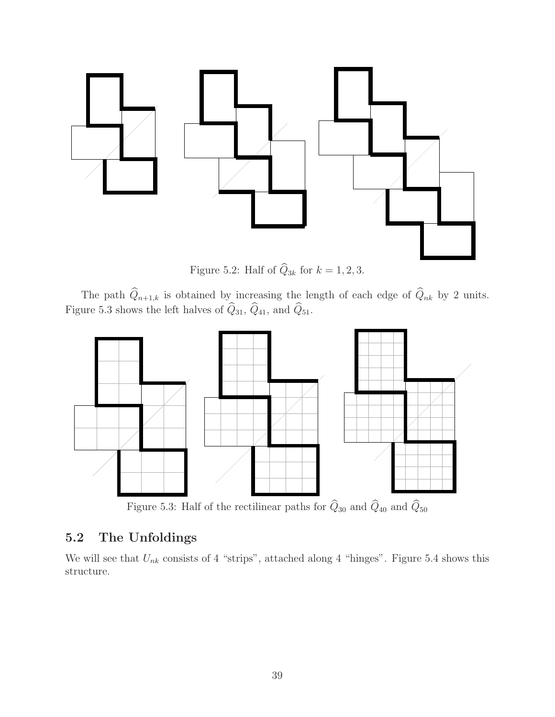

Figure 5.2: Half of  $\hat{Q}_{3k}$  for  $k = 1, 2, 3$ .

The path  $Q_{n+1,k}$  is obtained by increasing the length of each edge of  $Q_{nk}$  by 2 units. Figure 5.3 shows the left halves of  $Q_{31}$ ,  $Q_{41}$ , and  $Q_{51}$ .



Figure 5.3: Half of the rectilinear paths for  $\widehat Q_{30}$  and  $\widehat Q_{40}$  and  $\widehat Q_{50}$ 

# 5.2 The Unfoldings

We will see that  $U_{nk}$  consists of 4 "strips", attached along 4 "hinges". Figure 5.4 shows this structure.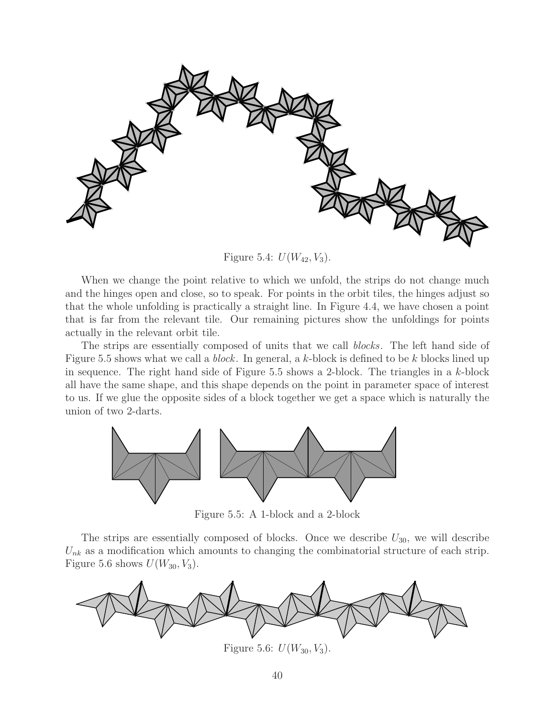

Figure 5.4:  $U(W_{42}, V_3)$ .

When we change the point relative to which we unfold, the strips do not change much and the hinges open and close, so to speak. For points in the orbit tiles, the hinges adjust so that the whole unfolding is practically a straight line. In Figure 4.4, we have chosen a point that is far from the relevant tile. Our remaining pictures show the unfoldings for points actually in the relevant orbit tile.

The strips are essentially composed of units that we call blocks. The left hand side of Figure 5.5 shows what we call a *block*. In general, a k-block is defined to be k blocks lined up in sequence. The right hand side of Figure 5.5 shows a 2-block. The triangles in a  $k$ -block all have the same shape, and this shape depends on the point in parameter space of interest to us. If we glue the opposite sides of a block together we get a space which is naturally the union of two 2-darts.



Figure 5.5: A 1-block and a 2-block

The strips are essentially composed of blocks. Once we describe  $U_{30}$ , we will describe  $U_{nk}$  as a modification which amounts to changing the combinatorial structure of each strip. Figure 5.6 shows  $U(W_{30}, V_3)$ .



Figure 5.6:  $U(W_{30}, V_3)$ .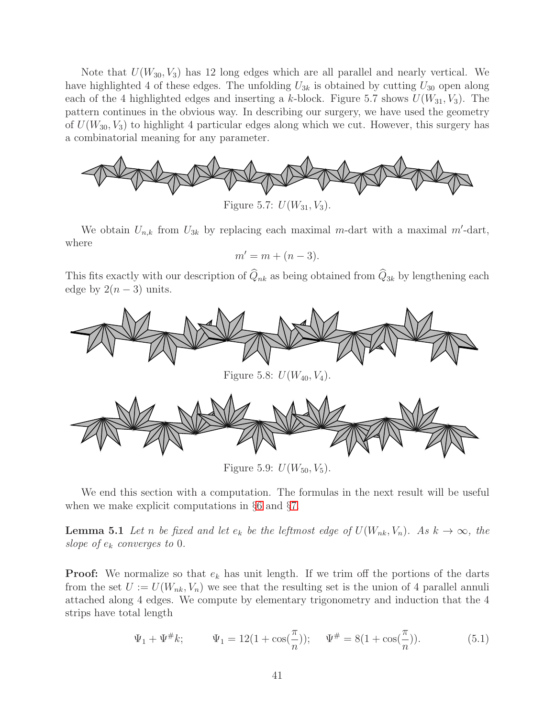Note that  $U(W_{30}, V_3)$  has 12 long edges which are all parallel and nearly vertical. We have highlighted 4 of these edges. The unfolding  $U_{3k}$  is obtained by cutting  $U_{30}$  open along each of the 4 highlighted edges and inserting a k-block. Figure 5.7 shows  $U(W_{31}, V_3)$ . The pattern continues in the obvious way. In describing our surgery, we have used the geometry of  $U(W_{30}, V_3)$  to highlight 4 particular edges along which we cut. However, this surgery has a combinatorial meaning for any parameter.



We obtain  $U_{n,k}$  from  $U_{3k}$  by replacing each maximal m-dart with a maximal m'-dart, where

$$
m'=m+(n-3).
$$

This fits exactly with our description of  $\widehat{Q}_{nk}$  as being obtained from  $\widehat{Q}_{3k}$  by lengthening each edge by  $2(n-3)$  units.



Figure 5.9:  $U(W_{50}, V_5)$ .

<span id="page-40-0"></span>We end this section with a computation. The formulas in the next result will be useful when we make explicit computations in §[6](#page-45-0) and §[7.](#page-54-0)

**Lemma 5.1** Let n be fixed and let  $e_k$  be the leftmost edge of  $U(W_{nk}, V_n)$ . As  $k \to \infty$ , the slope of  $e_k$  converges to 0.

**Proof:** We normalize so that  $e_k$  has unit length. If we trim off the portions of the darts from the set  $U := U(W_{nk}, V_n)$  we see that the resulting set is the union of 4 parallel annuli attached along 4 edges. We compute by elementary trigonometry and induction that the 4 strips have total length

$$
\Psi_1 + \Psi^{\#} k; \qquad \Psi_1 = 12(1 + \cos(\frac{\pi}{n})); \qquad \Psi^{\#} = 8(1 + \cos(\frac{\pi}{n})). \tag{5.1}
$$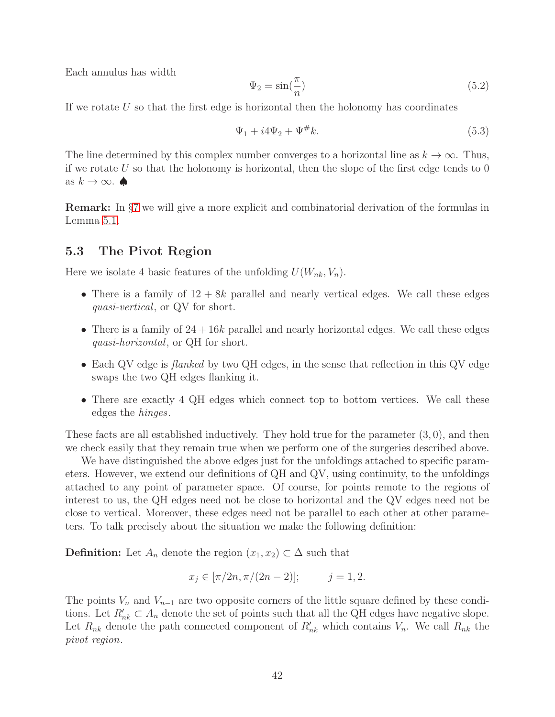Each annulus has width

$$
\Psi_2 = \sin(\frac{\pi}{n})\tag{5.2}
$$

If we rotate  $U$  so that the first edge is horizontal then the holonomy has coordinates

$$
\Psi_1 + i4\Psi_2 + \Psi^{\#}k. \tag{5.3}
$$

The line determined by this complex number converges to a horizontal line as  $k \to \infty$ . Thus, if we rotate U so that the holonomy is horizontal, then the slope of the first edge tends to  $0$ as  $k \to \infty$ .

Remark: In §[7](#page-54-0) we will give a more explicit and combinatorial derivation of the formulas in Lemma [5.1.](#page-40-0)

# <span id="page-41-0"></span>5.3 The Pivot Region

Here we isolate 4 basic features of the unfolding  $U(W_{nk}, V_n)$ .

- There is a family of  $12 + 8k$  parallel and nearly vertical edges. We call these edges quasi-vertical, or QV for short.
- There is a family of  $24+16k$  parallel and nearly horizontal edges. We call these edges quasi-horizontal, or QH for short.
- Each QV edge is *flanked* by two QH edges, in the sense that reflection in this QV edge swaps the two QH edges flanking it.
- There are exactly 4 QH edges which connect top to bottom vertices. We call these edges the hinges.

These facts are all established inductively. They hold true for the parameter  $(3,0)$ , and then we check easily that they remain true when we perform one of the surgeries described above.

We have distinguished the above edges just for the unfoldings attached to specific parameters. However, we extend our definitions of QH and QV, using continuity, to the unfoldings attached to any point of parameter space. Of course, for points remote to the regions of interest to us, the QH edges need not be close to horizontal and the QV edges need not be close to vertical. Moreover, these edges need not be parallel to each other at other parameters. To talk precisely about the situation we make the following definition:

**Definition:** Let  $A_n$  denote the region  $(x_1, x_2) \subset \Delta$  such that

$$
x_j \in [\pi/2n, \pi/(2n-2)];
$$
  $j = 1, 2.$ 

The points  $V_n$  and  $V_{n-1}$  are two opposite corners of the little square defined by these conditions. Let  $R'_{nk} \subset A_n$  denote the set of points such that all the QH edges have negative slope. Let  $R_{nk}$  denote the path connected component of  $R'_{nk}$  which contains  $V_n$ . We call  $R_{nk}$  the pivot region.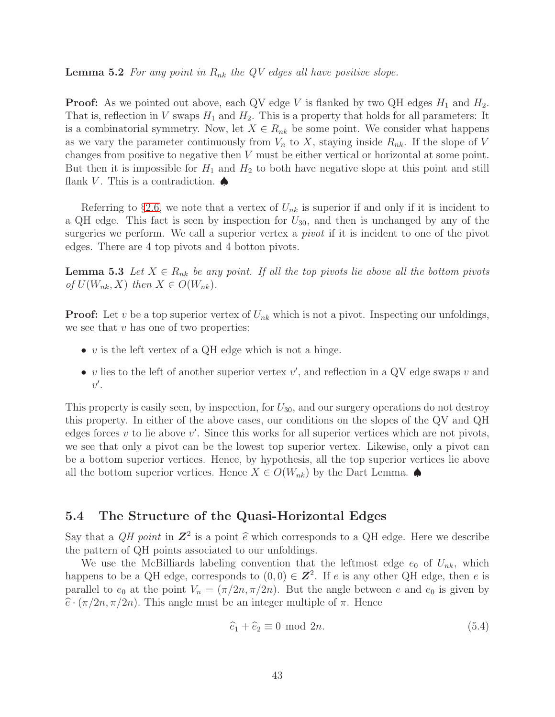**Lemma 5.2** For any point in  $R_{nk}$  the QV edges all have positive slope.

**Proof:** As we pointed out above, each QV edge V is flanked by two QH edges  $H_1$  and  $H_2$ . That is, reflection in V swaps  $H_1$  and  $H_2$ . This is a property that holds for all parameters: It is a combinatorial symmetry. Now, let  $X \in R_{nk}$  be some point. We consider what happens as we vary the parameter continuously from  $V_n$  to X, staying inside  $R_{nk}$ . If the slope of V changes from positive to negative then V must be either vertical or horizontal at some point. But then it is impossible for  $H_1$  and  $H_2$  to both have negative slope at this point and still flank V. This is a contradiction.  $\spadesuit$ 

Referring to §[2.6,](#page-16-0) we note that a vertex of  $U_{nk}$  is superior if and only if it is incident to a QH edge. This fact is seen by inspection for  $U_{30}$ , and then is unchanged by any of the surgeries we perform. We call a superior vertex a *pivot* if it is incident to one of the pivot edges. There are 4 top pivots and 4 botton pivots.

<span id="page-42-2"></span>**Lemma 5.3** Let  $X \in R_{nk}$  be any point. If all the top pivots lie above all the bottom pivots of  $U(W_{nk}, X)$  then  $X \in O(W_{nk})$ .

**Proof:** Let v be a top superior vertex of  $U_{nk}$  which is not a pivot. Inspecting our unfoldings, we see that  $v$  has one of two properties:

- $v$  is the left vertex of a QH edge which is not a hinge.
- v lies to the left of another superior vertex  $v'$ , and reflection in a QV edge swaps v and  $v'.$

This property is easily seen, by inspection, for  $U_{30}$ , and our surgery operations do not destroy this property. In either of the above cases, our conditions on the slopes of the QV and QH edges forces  $v$  to lie above  $v'$ . Since this works for all superior vertices which are not pivots, we see that only a pivot can be the lowest top superior vertex. Likewise, only a pivot can be a bottom superior vertices. Hence, by hypothesis, all the top superior vertices lie above all the bottom superior vertices. Hence  $X \in O(W_{nk})$  by the Dart Lemma.

# <span id="page-42-1"></span>5.4 The Structure of the Quasi-Horizontal Edges

Say that a  $QH$  point in  $\mathbb{Z}^2$  is a point  $\hat{e}$  which corresponds to a QH edge. Here we describe the pattern of QH points associated to our unfoldings.

We use the McBilliards labeling convention that the leftmost edge  $e_0$  of  $U_{nk}$ , which happens to be a QH edge, corresponds to  $(0,0) \in \mathbb{Z}^2$ . If e is any other QH edge, then e is parallel to  $e_0$  at the point  $V_n = (\pi/2n, \pi/2n)$ . But the angle between e and  $e_0$  is given by  $\hat{e} \cdot (\pi/2n, \pi/2n)$ . This angle must be an integer multiple of  $\pi$ . Hence

<span id="page-42-0"></span>
$$
\widehat{e}_1 + \widehat{e}_2 \equiv 0 \mod 2n. \tag{5.4}
$$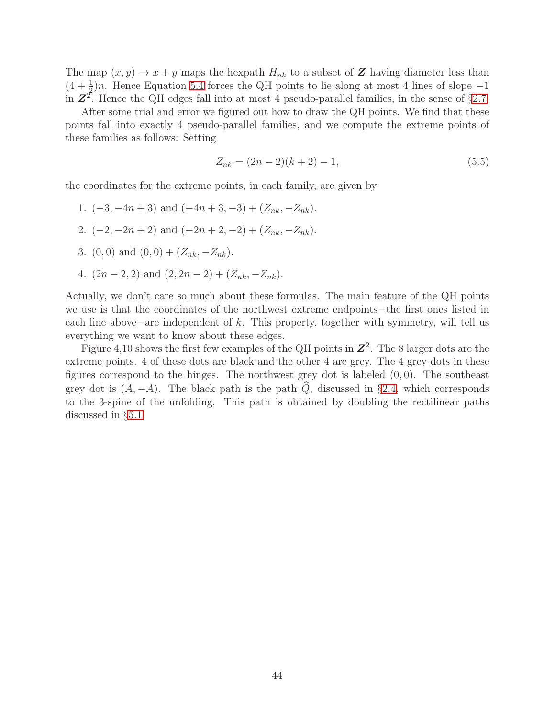The map  $(x, y) \rightarrow x + y$  maps the hexpath  $H_{nk}$  to a subset of Z having diameter less than  $(4 + \frac{1}{2})n$ . Hence Equation [5.4](#page-42-0) forces the QH points to lie along at most 4 lines of slope –1 in  $\mathbb{Z}^2$ . Hence the QH edges fall into at most 4 pseudo-parallel families, in the sense of §[2.7.](#page-18-0)

After some trial and error we figured out how to draw the QH points. We find that these points fall into exactly 4 pseudo-parallel families, and we compute the extreme points of these families as follows: Setting

$$
Z_{nk} = (2n-2)(k+2) - 1,\t\t(5.5)
$$

the coordinates for the extreme points, in each family, are given by

- 1.  $(-3, -4n+3)$  and  $(-4n+3, -3) + (Z_{nk}, -Z_{nk}).$
- 2.  $(-2, -2n+2)$  and  $(-2n+2, -2) + (Z_{nk}, -Z_{nk})$ .
- 3. (0, 0) and  $(0, 0) + (Z_{nk}, -Z_{nk}).$
- 4.  $(2n-2, 2)$  and  $(2, 2n-2) + (Z_{nk}, -Z_{nk}).$

Actually, we don't care so much about these formulas. The main feature of the QH points we use is that the coordinates of the northwest extreme endpoints−the first ones listed in each line above−are independent of k. This property, together with symmetry, will tell us everything we want to know about these edges.

Figure 4,10 shows the first few examples of the QH points in  $\mathbb{Z}^2$ . The 8 larger dots are the extreme points. 4 of these dots are black and the other 4 are grey. The 4 grey dots in these figures correspond to the hinges. The northwest grey dot is labeled  $(0, 0)$ . The southeast grey dot is  $(A, -A)$ . The black path is the path  $\widehat{Q}$ , discussed in §[2.4,](#page-12-0) which corresponds to the 3-spine of the unfolding. This path is obtained by doubling the rectilinear paths discussed in §[5.1.](#page-37-0)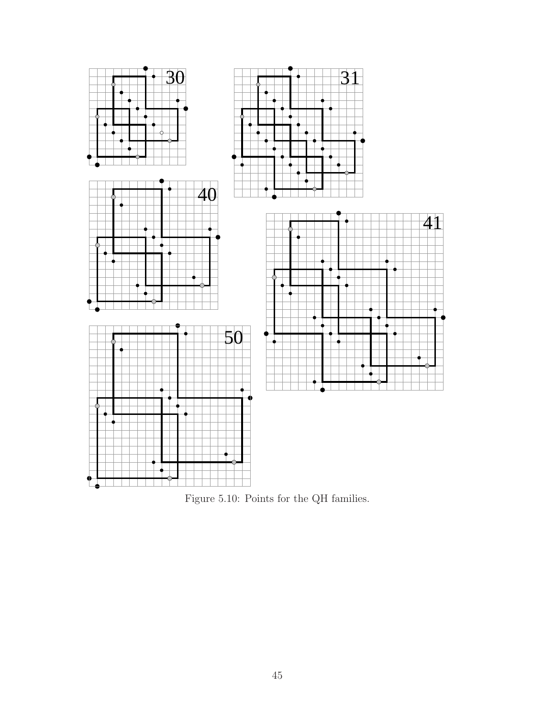

Figure 5.10: Points for the QH families.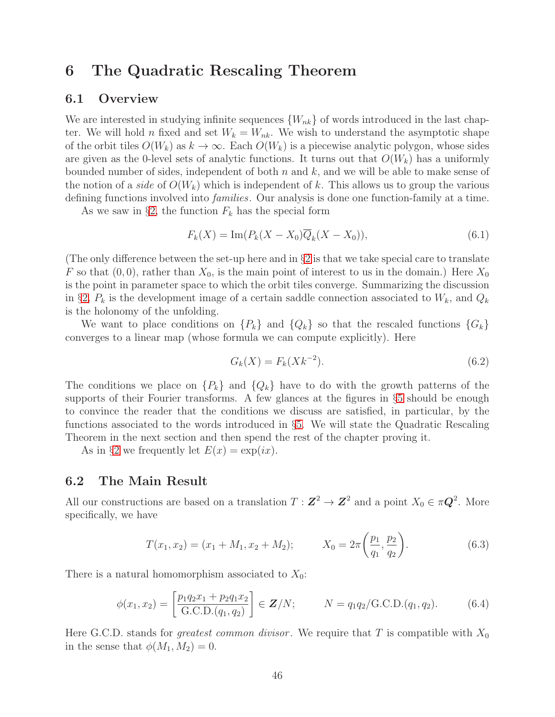# <span id="page-45-0"></span>6 The Quadratic Rescaling Theorem

## 6.1 Overview

We are interested in studying infinite sequences  $\{W_{nk}\}\$  of words introduced in the last chapter. We will hold n fixed and set  $W_k = W_{nk}$ . We wish to understand the asymptotic shape of the orbit tiles  $O(W_k)$  as  $k \to \infty$ . Each  $O(W_k)$  is a piecewise analytic polygon, whose sides are given as the 0-level sets of analytic functions. It turns out that  $O(W_k)$  has a uniformly bounded number of sides, independent of both  $n$  and  $k$ , and we will be able to make sense of the notion of a *side* of  $O(W_k)$  which is independent of k. This allows us to group the various defining functions involved into *families*. Our analysis is done one function-family at a time.

As we saw in §[2,](#page-8-0) the function  $F_k$  has the special form

<span id="page-45-4"></span>
$$
F_k(X) = \text{Im}(P_k(X - X_0)\overline{Q}_k(X - X_0)),
$$
\n(6.1)

(The only difference between the set-up here and in  $\S2$  $\S2$  is that we take special care to translate F so that  $(0, 0)$ , rather than  $X_0$ , is the main point of interest to us in the domain.) Here  $X_0$ is the point in parameter space to which the orbit tiles converge. Summarizing the discussion in §[2,](#page-8-0)  $P_k$  is the development image of a certain saddle connection associated to  $W_k$ , and  $Q_k$ is the holonomy of the unfolding.

We want to place conditions on  $\{P_k\}$  and  $\{Q_k\}$  so that the rescaled functions  $\{G_k\}$ converges to a linear map (whose formula we can compute explicitly). Here

<span id="page-45-1"></span>
$$
G_k(X) = F_k(Xk^{-2}).
$$
\n(6.2)

The conditions we place on  $\{P_k\}$  and  $\{Q_k\}$  have to do with the growth patterns of the supports of their Fourier transforms. A few glances at the figures in §[5](#page-37-1) should be enough to convince the reader that the conditions we discuss are satisfied, in particular, by the functions associated to the words introduced in §[5.](#page-37-1) We will state the Quadratic Rescaling Theorem in the next section and then spend the rest of the chapter proving it.

As in §[2](#page-8-0) we frequently let  $E(x) = \exp(ix)$ .

### 6.2 The Main Result

All our constructions are based on a translation  $T: \mathbb{Z}^2 \to \mathbb{Z}^2$  and a point  $X_0 \in \pi \mathbb{Q}^2$ . More specifically, we have

<span id="page-45-2"></span>
$$
T(x_1, x_2) = (x_1 + M_1, x_2 + M_2); \t X_0 = 2\pi \left(\frac{p_1}{q_1}, \frac{p_2}{q_2}\right).
$$
 (6.3)

There is a natural homomorphism associated to  $X_0$ :

<span id="page-45-3"></span>
$$
\phi(x_1, x_2) = \left[\frac{p_1 q_2 x_1 + p_2 q_1 x_2}{\text{G.C.D.}(q_1, q_2)}\right] \in \mathbf{Z}/N; \qquad N = q_1 q_2 / \text{G.C.D.}(q_1, q_2). \tag{6.4}
$$

Here G.C.D. stands for *greatest common divisor*. We require that T is compatible with  $X_0$ in the sense that  $\phi(M_1, M_2) = 0$ .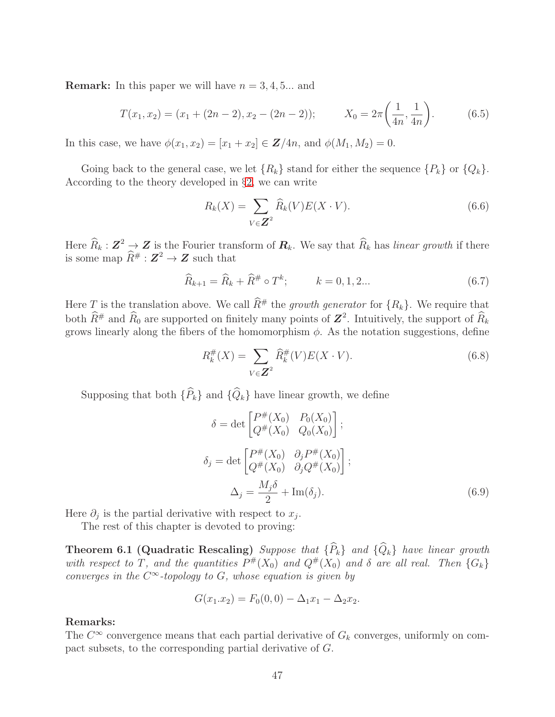**Remark:** In this paper we will have  $n = 3, 4, 5...$  and

$$
T(x_1, x_2) = (x_1 + (2n - 2), x_2 - (2n - 2)); \t X_0 = 2\pi \left(\frac{1}{4n}, \frac{1}{4n}\right).
$$
 (6.5)

In this case, we have  $\phi(x_1, x_2) = [x_1 + x_2] \in \mathbb{Z}/4n$ , and  $\phi(M_1, M_2) = 0$ .

Going back to the general case, we let  $\{R_k\}$  stand for either the sequence  $\{P_k\}$  or  $\{Q_k\}$ . According to the theory developed in §[2,](#page-8-0) we can write

$$
R_k(X) = \sum_{V \in \mathbf{Z}^2} \widehat{R}_k(V) E(X \cdot V). \tag{6.6}
$$

Here  $\widehat{R}_k : \mathbf{Z}^2 \to \mathbf{Z}$  is the Fourier transform of  $\mathbf{R}_k$ . We say that  $\widehat{R}_k$  has linear growth if there is some map  $\widehat{R}^{\#} : \mathbb{Z}^2 \to \mathbb{Z}$  such that

$$
\widehat{R}_{k+1} = \widehat{R}_k + \widehat{R}^{\#} \circ T^k; \qquad k = 0, 1, 2... \tag{6.7}
$$

Here T is the translation above. We call  $\widehat{R}^{\#}$  the growth generator for  ${R_k}$ . We require that both  $\hat{R}^{\#}$  and  $\hat{R}_0$  are supported on finitely many points of  $\mathbf{Z}^2$ . Intuitively, the support of  $\hat{R}_k$ grows linearly along the fibers of the homomorphism  $\phi$ . As the notation suggestions, define

$$
R_k^{\#}(X) = \sum_{V \in \mathbf{Z}^2} \hat{R}_k^{\#}(V) E(X \cdot V).
$$
 (6.8)

Supposing that both  $\{\widehat{P}_k\}$  and  $\{\widehat{Q}_k\}$  have linear growth, we define

$$
\delta = \det \begin{bmatrix} P^{\#}(X_0) & P_0(X_0) \\ Q^{\#}(X_0) & Q_0(X_0) \end{bmatrix};
$$
  
\n
$$
\delta_j = \det \begin{bmatrix} P^{\#}(X_0) & \partial_j P^{\#}(X_0) \\ Q^{\#}(X_0) & \partial_j Q^{\#}(X_0) \end{bmatrix};
$$
  
\n
$$
\Delta_j = \frac{M_j \delta}{2} + \text{Im}(\delta_j).
$$
\n(6.9)

Here  $\partial_j$  is the partial derivative with respect to  $x_j$ .

The rest of this chapter is devoted to proving:

**Theorem 6.1 (Quadratic Rescaling)** Suppose that  $\{\widehat{P}_k\}$  and  $\{\widehat{Q}_k\}$  have linear growth with respect to T, and the quantities  $P^{\#}(X_0)$  and  $Q^{\#}(X_0)$  and  $\delta$  are all real. Then  $\{G_k\}$ converges in the  $C^{\infty}$ -topology to G, whose equation is given by

$$
G(x_1.x_2) = F_0(0,0) - \Delta_1 x_1 - \Delta_2 x_2.
$$

### Remarks:

The  $C^{\infty}$  convergence means that each partial derivative of  $G_k$  converges, uniformly on compact subsets, to the corresponding partial derivative of G.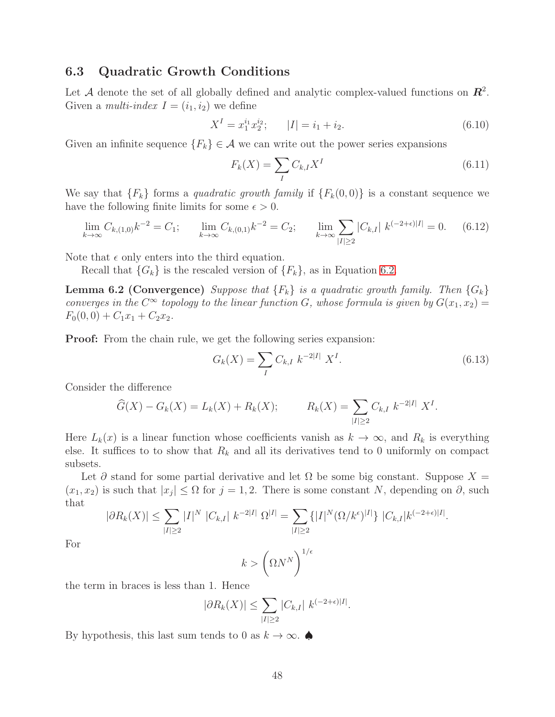# 6.3 Quadratic Growth Conditions

Let A denote the set of all globally defined and analytic complex-valued functions on  $\mathbb{R}^2$ . Given a *multi-index*  $I = (i_1, i_2)$  we define

$$
X^{I} = x_{1}^{i_{1}}x_{2}^{i_{2}}; \qquad |I| = i_{1} + i_{2}.
$$
\n(6.10)

Given an infinite sequence  ${F_k} \in \mathcal{A}$  we can write out the power series expansions

$$
F_k(X) = \sum_{I} C_{k,I} X^I
$$
\n
$$
(6.11)
$$

We say that  ${F_k}$  forms a quadratic growth family if  ${F_k(0, 0)}$  is a constant sequence we have the following finite limits for some  $\epsilon > 0$ .

<span id="page-47-0"></span>
$$
\lim_{k \to \infty} C_{k,(1,0)} k^{-2} = C_1; \qquad \lim_{k \to \infty} C_{k,(0,1)} k^{-2} = C_2; \qquad \lim_{k \to \infty} \sum_{|I| \ge 2} |C_{k,I}| k^{(-2+\epsilon)|I|} = 0. \tag{6.12}
$$

Note that  $\epsilon$  only enters into the third equation.

Recall that  $\{G_k\}$  is the rescaled version of  $\{F_k\}$ , as in Equation [6.2.](#page-45-1)

**Lemma 6.2 (Convergence)** Suppose that  ${F_k}$  is a quadratic growth family. Then  ${G_k}$ converges in the  $C^{\infty}$  topology to the linear function G, whose formula is given by  $G(x_1, x_2) =$  $F_0(0, 0) + C_1x_1 + C_2x_2.$ 

Proof: From the chain rule, we get the following series expansion:

$$
G_k(X) = \sum_{I} C_{k,I} k^{-2|I|} X^I.
$$
\n(6.13)

Consider the difference

$$
\widehat{G}(X) - G_k(X) = L_k(X) + R_k(X); \qquad R_k(X) = \sum_{|I| \ge 2} C_{k,I} k^{-2|I|} X^I.
$$

Here  $L_k(x)$  is a linear function whose coefficients vanish as  $k \to \infty$ , and  $R_k$  is everything else. It suffices to to show that  $R_k$  and all its derivatives tend to 0 uniformly on compact subsets.

Let  $\partial$  stand for some partial derivative and let  $\Omega$  be some big constant. Suppose  $X =$  $(x_1, x_2)$  is such that  $|x_j| \leq \Omega$  for  $j = 1, 2$ . There is some constant N, depending on  $\partial$ , such that

$$
|\partial R_k(X)| \leq \sum_{|I| \geq 2} |I|^N |C_{k,I}| k^{-2|I|} \Omega^{|I|} = \sum_{|I| \geq 2} \{|I|^N (\Omega / k^{\epsilon})^{|I|}\} |C_{k,I}| k^{(-2+\epsilon)|I|}.
$$

For

$$
k > \left(\Omega N^N\right)^{1/\epsilon}
$$

the term in braces is less than 1. Hence

$$
|\partial R_k(X)| \le \sum_{|I| \ge 2} |C_{k,I}| k^{(-2+\epsilon)|I|}.
$$

By hypothesis, this last sum tends to 0 as  $k \to \infty$ .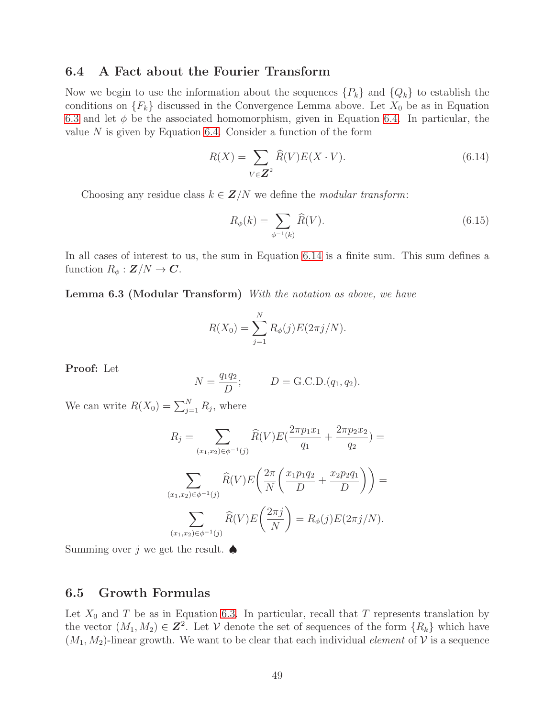## 6.4 A Fact about the Fourier Transform

Now we begin to use the information about the sequences  $\{P_k\}$  and  $\{Q_k\}$  to establish the conditions on  ${F_k}$  discussed in the Convergence Lemma above. Let  $X_0$  be as in Equation [6.3](#page-45-2) and let  $\phi$  be the associated homomorphism, given in Equation [6.4.](#page-45-3) In particular, the value  $N$  is given by Equation [6.4.](#page-45-3) Consider a function of the form

<span id="page-48-0"></span>
$$
R(X) = \sum_{V \in \mathbb{Z}^2} \widehat{R}(V) E(X \cdot V). \tag{6.14}
$$

Choosing any residue class  $k \in \mathbf{Z}/N$  we define the *modular transform*:

$$
R_{\phi}(k) = \sum_{\phi^{-1}(k)} \widehat{R}(V). \tag{6.15}
$$

In all cases of interest to us, the sum in Equation [6.14](#page-48-0) is a finite sum. This sum defines a function  $R_{\phi}: \mathbf{Z}/N \to \mathbf{C}$ .

Lemma 6.3 (Modular Transform) With the notation as above, we have

$$
R(X_0) = \sum_{j=1}^{N} R_{\phi}(j) E(2\pi j/N).
$$

Proof: Let

$$
N = \frac{q_1 q_2}{D}; \qquad D = \text{G.C.D.}(q_1, q_2).
$$

We can write  $R(X_0) = \sum_{j=1}^{N} R_j$ , where

$$
R_j = \sum_{(x_1, x_2) \in \phi^{-1}(j)} \widehat{R}(V) E\left(\frac{2\pi p_1 x_1}{q_1} + \frac{2\pi p_2 x_2}{q_2}\right) =
$$

$$
\sum_{(x_1, x_2) \in \phi^{-1}(j)} \widehat{R}(V) E\left(\frac{2\pi}{N} \left(\frac{x_1 p_1 q_2}{D} + \frac{x_2 p_2 q_1}{D}\right)\right) =
$$

$$
\sum_{(x_1, x_2) \in \phi^{-1}(j)} \widehat{R}(V) E\left(\frac{2\pi j}{N}\right) = R_{\phi}(j) E(2\pi j/N).
$$

Summing over j we get the result.  $\spadesuit$ 

## 6.5 Growth Formulas

Let  $X_0$  and T be as in Equation [6.3.](#page-45-2) In particular, recall that T represents translation by the vector  $(M_1, M_2) \in \mathbb{Z}^2$ . Let V denote the set of sequences of the form  $\{R_k\}$  which have  $(M_1, M_2)$ -linear growth. We want to be clear that each individual *element* of V is a sequence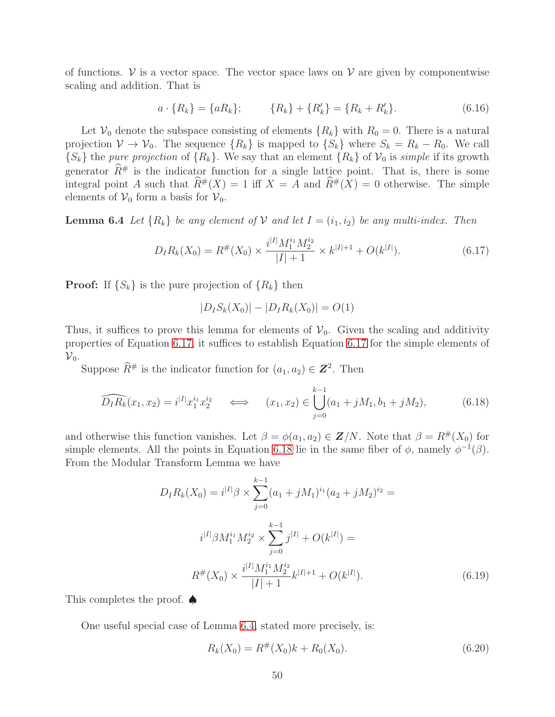of functions.  $V$  is a vector space. The vector space laws on  $V$  are given by componentwise scaling and addition. That is

$$
a \cdot \{R_k\} = \{aR_k\}; \qquad \{R_k\} + \{R'_k\} = \{R_k + R'_k\}.
$$
 (6.16)

Let  $\mathcal{V}_0$  denote the subspace consisting of elements  $\{R_k\}$  with  $R_0 = 0$ . There is a natural projection  $V \to V_0$ . The sequence  $\{R_k\}$  is mapped to  $\{S_k\}$  where  $S_k = R_k - R_0$ . We call  ${S_k}$  the *pure projection* of  ${R_k}$ . We say that an element  ${R_k}$  of  $\mathcal{V}_0$  is *simple* if its growth generator  $\widehat{R}^{\#}$  is the indicator function for a single lattice point. That is, there is some integral point A such that  $\widehat{R}^{\#}(X) = 1$  iff  $X = A$  and  $\widehat{R}^{\#}(X) = 0$  otherwise. The simple elements of  $V_0$  form a basis for  $V_0$ .

<span id="page-49-2"></span>**Lemma 6.4** Let  $\{R_k\}$  be any element of V and let  $I = (i_1, i_2)$  be any multi-index. Then

<span id="page-49-0"></span>
$$
D_I R_k(X_0) = R^{\#}(X_0) \times \frac{i^{|I|} M_1^{i_1} M_2^{i_2}}{|I|+1} \times k^{|I|+1} + O(k^{|I|}).
$$
\n(6.17)

**Proof:** If  $\{S_k\}$  is the pure projection of  $\{R_k\}$  then

$$
|D_{I}S_{k}(X_{0})| - |D_{I}R_{k}(X_{0})| = O(1)
$$

Thus, it suffices to prove this lemma for elements of  $V_0$ . Given the scaling and additivity properties of Equation [6.17,](#page-49-0) it suffices to establish Equation [6.17](#page-49-0) for the simple elements of  ${\cal V}_0$ .

Suppose  $\widehat{R}^{\#}$  is the indicator function for  $(a_1, a_2) \in \mathbb{Z}^2$ . Then

<span id="page-49-1"></span>
$$
\widehat{D_I R_k}(x_1, x_2) = i^{|I|} x_1^{i_1} x_2^{i_2} \quad \Longleftrightarrow \quad (x_1, x_2) \in \bigcup_{j=0}^{k-1} (a_1 + jM_1, b_1 + jM_2), \tag{6.18}
$$

and otherwise this function vanishes. Let  $\beta = \phi(a_1, a_2) \in \mathbf{Z}/N$ . Note that  $\beta = R^{\#}(X_0)$  for simple elements. All the points in Equation [6.18](#page-49-1) lie in the same fiber of  $\phi$ , namely  $\phi^{-1}(\beta)$ . From the Modular Transform Lemma we have

$$
D_{I}R_{k}(X_{0}) = i^{|I|}\beta \times \sum_{j=0}^{k-1} (a_{1} + jM_{1})^{i_{1}}(a_{2} + jM_{2})^{i_{2}} =
$$
  

$$
i^{|I|}\beta M_{1}^{i_{1}}M_{2}^{i_{2}} \times \sum_{j=0}^{k-1} j^{|I|} + O(k^{|I|}) =
$$
  

$$
R^{\#}(X_{0}) \times \frac{i^{|I|}M_{1}^{i_{1}}M_{2}^{i_{2}}}{|I|+1}k^{|I|+1} + O(k^{|I|}). \tag{6.19}
$$

This completes the proof. 
<del></del>●

One useful special case of Lemma [6.4,](#page-49-2) stated more precisely, is:

<span id="page-49-4"></span><span id="page-49-3"></span>
$$
R_k(X_0) = R^{\#}(X_0)k + R_0(X_0).
$$
\n(6.20)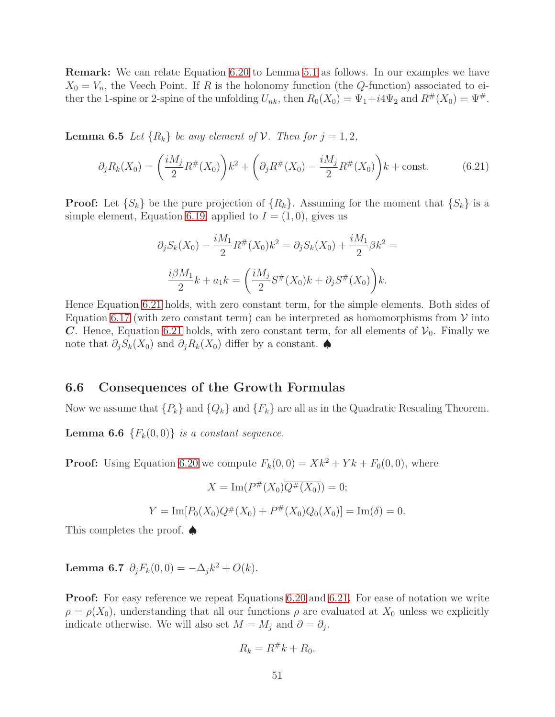Remark: We can relate Equation [6.20](#page-49-3) to Lemma [5.1](#page-40-0) as follows. In our examples we have  $X_0 = V_n$ , the Veech Point. If R is the holonomy function (the Q-function) associated to either the 1-spine or 2-spine of the unfolding  $U_{nk}$ , then  $R_0(X_0) = \Psi_1 + i4\Psi_2$  and  $R^{\#}(X_0) = \Psi^{\#}$ .

**Lemma 6.5** Let  $\{R_k\}$  be any element of  $V$ . Then for  $j = 1, 2$ ,

<span id="page-50-0"></span>
$$
\partial_j R_k(X_0) = \left(\frac{iM_j}{2} R^{\#}(X_0)\right) k^2 + \left(\partial_j R^{\#}(X_0) - \frac{iM_j}{2} R^{\#}(X_0)\right) k + \text{const.}\tag{6.21}
$$

**Proof:** Let  $\{S_k\}$  be the pure projection of  $\{R_k\}$ . Assuming for the moment that  $\{S_k\}$  is a simple element, Equation [6.19,](#page-49-4) applied to  $I = (1,0)$ , gives us

$$
\partial_j S_k(X_0) - \frac{iM_1}{2} R^{\#}(X_0) k^2 = \partial_j S_k(X_0) + \frac{iM_1}{2} \beta k^2 =
$$
  

$$
\frac{i\beta M_1}{2} k + a_1 k = \left(\frac{iM_j}{2} S^{\#}(X_0) k + \partial_j S^{\#}(X_0)\right) k.
$$

Hence Equation [6.21](#page-50-0) holds, with zero constant term, for the simple elements. Both sides of Equation [6.17](#page-49-0) (with zero constant term) can be interpreted as homomorphisms from  $V$  into C. Hence, Equation [6.21](#page-50-0) holds, with zero constant term, for all elements of  $\mathcal{V}_0$ . Finally we note that  $\partial_i S_k(X_0)$  and  $\partial_i R_k(X_0)$  differ by a constant.

# 6.6 Consequences of the Growth Formulas

<span id="page-50-1"></span>Now we assume that  $\{P_k\}$  and  $\{Q_k\}$  and  $\{F_k\}$  are all as in the Quadratic Rescaling Theorem.

**Lemma 6.6**  $\{F_k(0,0)\}\$ is a constant sequence.

**Proof:** Using Equation [6.20](#page-49-3) we compute  $F_k(0,0) = Xk^2 + Yk + F_0(0,0)$ , where

$$
X = \text{Im}(P^{\#}(X_0)\overline{Q^{\#}(X_0)}) = 0;
$$
  

$$
Y = \text{Im}[P_0(X_0)\overline{Q^{\#}(X_0)} + P^{\#}(X_0)\overline{Q_0(X_0)}] = \text{Im}(\delta) = 0.
$$

<span id="page-50-2"></span>This completes the proof. ♠

Lemma 6.7  $\partial_j F_k(0,0) = -\Delta_j k^2 + O(k)$ .

Proof: For easy reference we repeat Equations [6.20](#page-49-3) and [6.21.](#page-50-0) For ease of notation we write  $\rho = \rho(X_0)$ , understanding that all our functions  $\rho$  are evaluated at  $X_0$  unless we explicitly indicate otherwise. We will also set  $M = M_j$  and  $\partial = \partial_j$ .

$$
R_k = R^{\#}k + R_0.
$$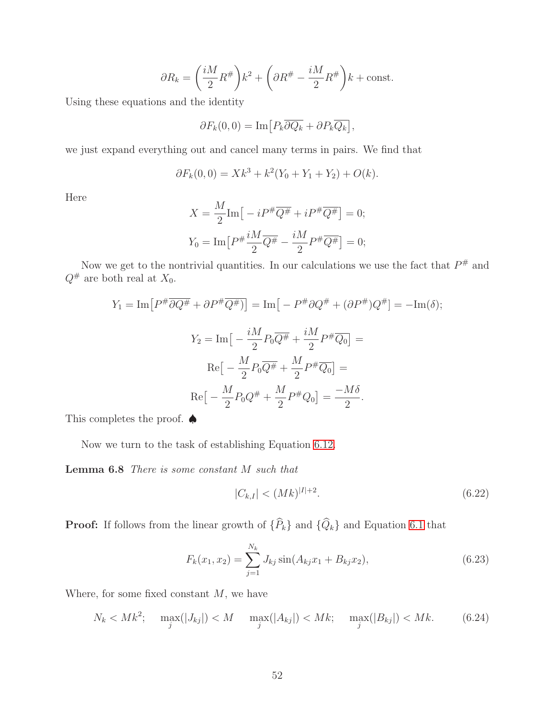$$
\partial R_k = \left(\frac{iM}{2}R^{\#}\right)k^2 + \left(\partial R^{\#} - \frac{iM}{2}R^{\#}\right)k + \text{const.}
$$

Using these equations and the identity

$$
\partial F_k(0,0) = \mathrm{Im} \left[ P_k \overline{\partial Q_k} + \partial P_k \overline{Q_k} \right],
$$

we just expand everything out and cancel many terms in pairs. We find that

$$
\partial F_k(0,0) = Xk^3 + k^2(Y_0 + Y_1 + Y_2) + O(k).
$$

Here

$$
X = \frac{M}{2} \text{Im} \left[ -i P^{\#} \overline{Q^{\#}} + i P^{\#} \overline{Q^{\#}} \right] = 0;
$$
  

$$
Y_0 = \text{Im} \left[ P^{\#} \frac{i M}{2} \overline{Q^{\#}} - \frac{i M}{2} P^{\#} \overline{Q^{\#}} \right] = 0;
$$

Now we get to the nontrivial quantities. In our calculations we use the fact that  $P^{\#}$  and  $Q^{\#}$  are both real at  $X_0$ .

$$
Y_1 = \text{Im}\left[P^{\#}\overline{\partial Q^{\#}} + \partial P^{\#}\overline{Q^{\#}}\right] = \text{Im}\left[-P^{\#}\partial Q^{\#} + (\partial P^{\#})Q^{\#}\right] = -\text{Im}(\delta);
$$

$$
Y_2 = \text{Im}\left[-\frac{iM}{2}P_0\overline{Q^{\#}} + \frac{iM}{2}P^{\#}\overline{Q_0}\right] =
$$

$$
\text{Re}\left[-\frac{M}{2}P_0\overline{Q^{\#}} + \frac{M}{2}P^{\#}\overline{Q_0}\right] =
$$

$$
\text{Re}\left[-\frac{M}{2}P_0Q^{\#} + \frac{M}{2}P^{\#}Q_0\right] = \frac{-M\delta}{2}.
$$

This completes the proof. ♦

Now we turn to the task of establishing Equation [6.12.](#page-47-0)

Lemma 6.8 There is some constant M such that

<span id="page-51-1"></span>
$$
|C_{k,I}| < (Mk)^{|I|+2}.\tag{6.22}
$$

**Proof:** If follows from the linear growth of  $\{\widehat{P}_k\}$  and  $\{\widehat{Q}_k\}$  and Equation [6.1](#page-45-4) that

$$
F_k(x_1, x_2) = \sum_{j=1}^{N_k} J_{kj} \sin(A_{kj} x_1 + B_{kj} x_2), \qquad (6.23)
$$

Where, for some fixed constant  $M$ , we have

<span id="page-51-0"></span>
$$
N_k < Mk^2; \quad \max_j(|J_{kj}|) < M \quad \max_j(|A_{kj}|) < Mk; \quad \max_j(|B_{kj}|) < Mk. \tag{6.24}
$$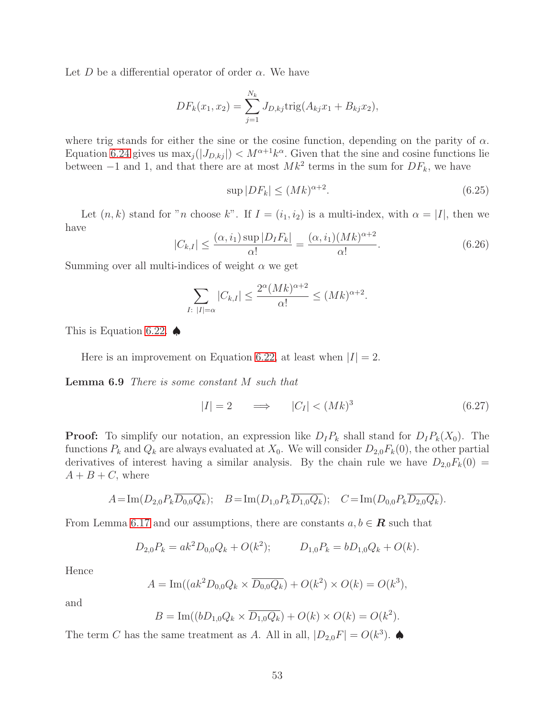Let D be a differential operator of order  $\alpha$ . We have

$$
DF_k(x_1, x_2) = \sum_{j=1}^{N_k} J_{D,kj} \text{trig}(A_{kj}x_1 + B_{kj}x_2),
$$

where trig stands for either the sine or the cosine function, depending on the parity of  $\alpha$ . Equation [6.24](#page-51-0) gives us  $\max_j(|J_{D,kj}|) < M^{\alpha+1}k^{\alpha}$ . Given that the sine and cosine functions lie between  $-1$  and 1, and that there are at most  $Mk^2$  terms in the sum for  $DF_k$ , we have

$$
\sup |DF_k| \le (Mk)^{\alpha+2}.\tag{6.25}
$$

Let  $(n, k)$  stand for "n choose k". If  $I = (i_1, i_2)$  is a multi-index, with  $\alpha = |I|$ , then we have

$$
|C_{k,I}| \le \frac{(\alpha, i_1) \sup |D_I F_k|}{\alpha!} = \frac{(\alpha, i_1)(Mk)^{\alpha+2}}{\alpha!}.
$$
 (6.26)

Summing over all multi-indices of weight  $\alpha$  we get

$$
\sum_{I:\ |I|=\alpha} |C_{k,I}| \le \frac{2^{\alpha} (Mk)^{\alpha+2}}{\alpha!} \le (Mk)^{\alpha+2}.
$$

This is Equation [6.22.](#page-51-1)  $\spadesuit$ 

Here is an improvement on Equation [6.22,](#page-51-1) at least when  $|I| = 2$ .

Lemma 6.9 There is some constant M such that

<span id="page-52-0"></span>
$$
|I| = 2 \qquad \Longrightarrow \qquad |C_I| < (Mk)^3 \tag{6.27}
$$

**Proof:** To simplify our notation, an expression like  $D_I P_k$  shall stand for  $D_I P_k(X_0)$ . The functions  $P_k$  and  $Q_k$  are always evaluated at  $X_0$ . We will consider  $D_{2,0}F_k(0)$ , the other partial derivatives of interest having a similar analysis. By the chain rule we have  $D_{2,0}F_k(0) =$  $A + B + C$ , where

$$
A = \text{Im}(D_{2,0}P_k\overline{D_{0,0}Q_k}); \quad B = \text{Im}(D_{1,0}P_k\overline{D_{1,0}Q_k}); \quad C = \text{Im}(D_{0,0}P_k\overline{D_{2,0}Q_k}).
$$

From Lemma [6.17](#page-49-0) and our assumptions, there are constants  $a, b \in \mathbf{R}$  such that

$$
D_{2,0}P_k = ak^2 D_{0,0}Q_k + O(k^2); \qquad D_{1,0}P_k = bD_{1,0}Q_k + O(k).
$$

Hence

$$
A = \text{Im}((ak^2 D_{0,0} Q_k \times \overline{D_{0,0} Q_k}) + O(k^2) \times O(k) = O(k^3),
$$

and

$$
B = \text{Im}((bD_{1,0}Q_k \times \overline{D_{1,0}Q_k}) + O(k) \times O(k) = O(k^2).
$$

<span id="page-52-1"></span>The term C has the same treatment as A. All in all,  $|D_{2,0}F| = O(k^3)$ .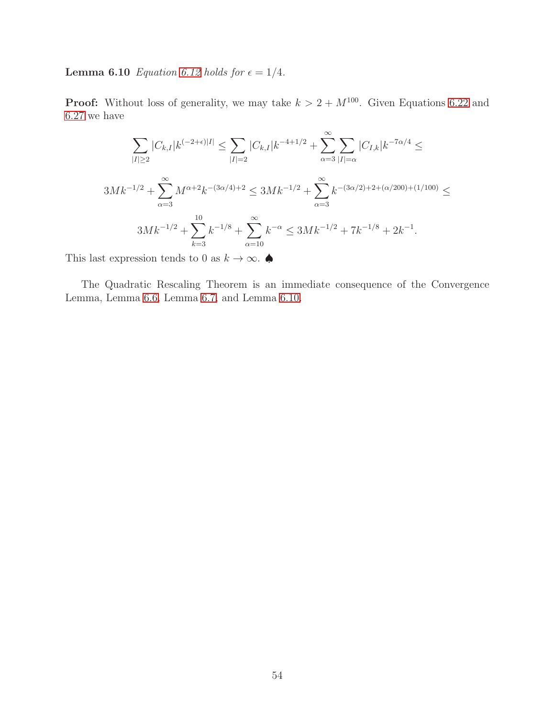**Lemma 6.10** *Equation [6.12](#page-47-0) holds for*  $\epsilon = 1/4$ *.* 

**Proof:** Without loss of generality, we may take  $k > 2 + M^{100}$ . Given Equations [6.22](#page-51-1) and [6.27](#page-52-0) we have

$$
\sum_{|I|\geq 2} |C_{k,I}|k^{(-2+\epsilon)|I|} \leq \sum_{|I|=2} |C_{k,I}|k^{-4+1/2} + \sum_{\alpha=3}^{\infty} \sum_{|I|=\alpha} |C_{I,k}|k^{-7\alpha/4} \leq
$$
  

$$
3Mk^{-1/2} + \sum_{\alpha=3}^{\infty} M^{\alpha+2}k^{-(3\alpha/4)+2} \leq 3Mk^{-1/2} + \sum_{\alpha=3}^{\infty} k^{-(3\alpha/2)+2+(\alpha/200)+(1/100)} \leq
$$
  

$$
3Mk^{-1/2} + \sum_{k=3}^{10} k^{-1/8} + \sum_{\alpha=10}^{\infty} k^{-\alpha} \leq 3Mk^{-1/2} + 7k^{-1/8} + 2k^{-1}.
$$

This last expression tends to 0 as  $k \to \infty$ .

The Quadratic Rescaling Theorem is an immediate consequence of the Convergence Lemma, Lemma [6.6,](#page-50-1) Lemma [6.7,](#page-50-2) and Lemma [6.10.](#page-52-1)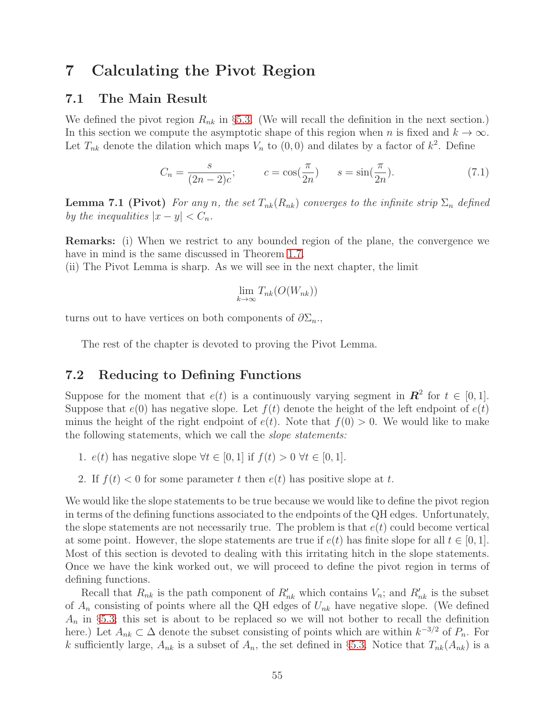# <span id="page-54-0"></span>7 Calculating the Pivot Region

# 7.1 The Main Result

We defined the pivot region  $R_{nk}$  in §[5.3.](#page-41-0) (We will recall the definition in the next section.) In this section we compute the asymptotic shape of this region when n is fixed and  $k \to \infty$ . Let  $T_{nk}$  denote the dilation which maps  $V_n$  to  $(0,0)$  and dilates by a factor of  $k^2$ . Define

$$
C_n = \frac{s}{(2n-2)c}; \qquad c = \cos(\frac{\pi}{2n}) \qquad s = \sin(\frac{\pi}{2n}).
$$
 (7.1)

**Lemma 7.1 (Pivot)** For any n, the set  $T_{nk}(R_{nk})$  converges to the infinite strip  $\Sigma_n$  defined by the inequalities  $|x-y| < C_n$ .

Remarks: (i) When we restrict to any bounded region of the plane, the convergence we have in mind is the same discussed in Theorem [1.7.](#page-5-0)

(ii) The Pivot Lemma is sharp. As we will see in the next chapter, the limit

$$
\lim_{k \to \infty} T_{nk}(O(W_{nk}))
$$

turns out to have vertices on both components of  $\partial \Sigma_n$ .

The rest of the chapter is devoted to proving the Pivot Lemma.

# 7.2 Reducing to Defining Functions

Suppose for the moment that  $e(t)$  is a continuously varying segment in  $\mathbb{R}^2$  for  $t \in [0,1]$ . Suppose that  $e(0)$  has negative slope. Let  $f(t)$  denote the height of the left endpoint of  $e(t)$ minus the height of the right endpoint of  $e(t)$ . Note that  $f(0) > 0$ . We would like to make the following statements, which we call the slope statements:

1.  $e(t)$  has negative slope  $\forall t \in [0,1]$  if  $f(t) > 0 \ \forall t \in [0,1]$ .

2. If  $f(t) < 0$  for some parameter t then  $e(t)$  has positive slope at t.

We would like the slope statements to be true because we would like to define the pivot region in terms of the defining functions associated to the endpoints of the QH edges. Unfortunately, the slope statements are not necessarily true. The problem is that  $e(t)$  could become vertical at some point. However, the slope statements are true if  $e(t)$  has finite slope for all  $t \in [0,1]$ . Most of this section is devoted to dealing with this irritating hitch in the slope statements. Once we have the kink worked out, we will proceed to define the pivot region in terms of defining functions.

Recall that  $R_{nk}$  is the path component of  $R'_{nk}$  which contains  $V_n$ ; and  $R'_{nk}$  is the subset of  $A_n$  consisting of points where all the QH edges of  $U_{nk}$  have negative slope. (We defined  $A_n$  in §[5.3;](#page-41-0) this set is about to be replaced so we will not bother to recall the definition here.) Let  $A_{nk} \subset \Delta$  denote the subset consisting of points which are within  $k^{-3/2}$  of  $P_n$ . For k sufficiently large,  $A_{nk}$  is a subset of  $A_n$ , the set defined in §[5.3.](#page-41-0) Notice that  $T_{nk}(A_{nk})$  is a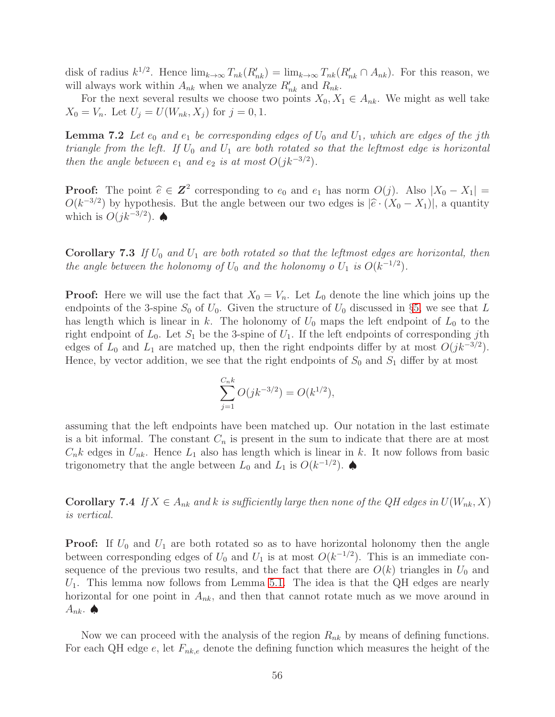disk of radius  $k^{1/2}$ . Hence  $\lim_{k\to\infty} T_{nk}(R'_{nk}) = \lim_{k\to\infty} T_{nk}(R'_{nk} \cap A_{nk})$ . For this reason, we will always work within  $A_{nk}$  when we analyze  $R'_{nk}$  and  $R_{nk}$ .

For the next several results we choose two points  $X_0, X_1 \in A_{nk}$ . We might as well take  $X_0 = V_n$ . Let  $U_j = U(W_{nk}, X_j)$  for  $j = 0, 1$ .

**Lemma 7.2** Let  $e_0$  and  $e_1$  be corresponding edges of  $U_0$  and  $U_1$ , which are edges of the jth triangle from the left. If  $U_0$  and  $U_1$  are both rotated so that the leftmost edge is horizontal then the angle between  $e_1$  and  $e_2$  is at most  $O(jk^{-3/2})$ .

**Proof:** The point  $\hat{e} \in \mathbb{Z}^2$  corresponding to  $e_0$  and  $e_1$  has norm  $O(j)$ . Also  $|X_0 - X_1| = O(l-3/2)$  by homotopic But the surge hatreen sum two adversion  $|\hat{z}|/V = V_0|$  is monotopic.  $O(k^{-3/2})$  by hypothesis. But the angle between our two edges is  $|\hat{e} \cdot (X_0 - X_1)|$ , a quantity which is  $O(jk^{-3/2})$ .  $\spadesuit$ 

**Corollary 7.3** If  $U_0$  and  $U_1$  are both rotated so that the leftmost edges are horizontal, then the angle between the holonomy of  $U_0$  and the holonomy o  $U_1$  is  $O(k^{-1/2})$ .

**Proof:** Here we will use the fact that  $X_0 = V_n$ . Let  $L_0$  denote the line which joins up the endpoints of the 3-spine  $S_0$  of  $U_0$ . Given the structure of  $U_0$  discussed in §[5,](#page-37-1) we see that L has length which is linear in k. The holonomy of  $U_0$  maps the left endpoint of  $L_0$  to the right endpoint of  $L_0$ . Let  $S_1$  be the 3-spine of  $U_1$ . If the left endpoints of corresponding jth edges of  $L_0$  and  $L_1$  are matched up, then the right endpoints differ by at most  $O(jk^{-3/2})$ . Hence, by vector addition, we see that the right endpoints of  $S_0$  and  $S_1$  differ by at most

$$
\sum_{j=1}^{C_n k} O(jk^{-3/2}) = O(k^{1/2}),
$$

assuming that the left endpoints have been matched up. Our notation in the last estimate is a bit informal. The constant  $C_n$  is present in the sum to indicate that there are at most  $C_n k$  edges in  $U_{nk}$ . Hence  $L_1$  also has length which is linear in k. It now follows from basic trigonometry that the angle between  $L_0$  and  $L_1$  is  $O(k^{-1/2})$ .

<span id="page-55-0"></span>**Corollary 7.4** If  $X \in A_{nk}$  and k is sufficiently large then none of the QH edges in  $U(W_{nk}, X)$ is vertical.

**Proof:** If  $U_0$  and  $U_1$  are both rotated so as to have horizontal holonomy then the angle between corresponding edges of  $U_0$  and  $U_1$  is at most  $O(k^{-1/2})$ . This is an immediate consequence of the previous two results, and the fact that there are  $O(k)$  triangles in  $U_0$  and  $U_1$ . This lemma now follows from Lemma [5.1.](#page-40-0) The idea is that the QH edges are nearly horizontal for one point in  $A_{nk}$ , and then that cannot rotate much as we move around in  $A_{nk}$ .

Now we can proceed with the analysis of the region  $R_{nk}$  by means of defining functions. For each QH edge e, let  $F_{nk,e}$  denote the defining function which measures the height of the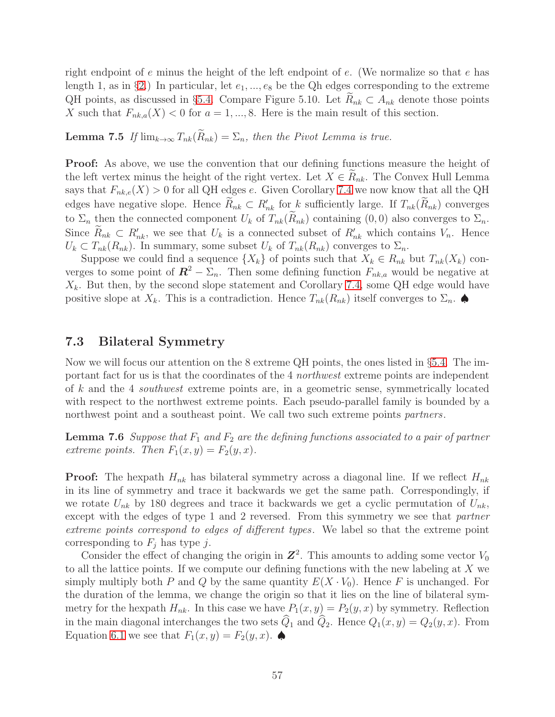right endpoint of e minus the height of the left endpoint of  $e$ . (We normalize so that  $e$  has length 1, as in §[2.](#page-8-0)) In particular, let  $e_1, ..., e_8$  be the Qh edges corresponding to the extreme QH points, as discussed in §[5.4.](#page-42-1) Compare Figure 5.10. Let  $R_{nk} \subset A_{nk}$  denote those points X such that  $F_{nk,a}(X) < 0$  for  $a = 1, ..., 8$ . Here is the main result of this section.

**Lemma 7.5** If  $\lim_{k\to\infty} T_{nk}(\widetilde{R}_{nk}) = \sum_n$ , then the Pivot Lemma is true.

Proof: As above, we use the convention that our defining functions measure the height of the left vertex minus the height of the right vertex. Let  $X \in R_{nk}$ . The Convex Hull Lemma says that  $F_{nk,e}(X) > 0$  for all QH edges e. Given Corollary [7.4](#page-55-0) we now know that all the QH edges have negative slope. Hence  $R_{nk} \subset R'_{nk}$  for k sufficiently large. If  $T_{nk}(R_{nk})$  converges to  $\Sigma_n$  then the connected component  $U_k$  of  $T_{nk}(\hat{R}_{nk})$  containing  $(0,0)$  also converges to  $\Sigma_n$ . Since  $R_{nk} \subset R'_{nk}$ , we see that  $U_k$  is a connected subset of  $R'_{nk}$  which contains  $V_n$ . Hence  $U_k \subset T_{nk}(R_{nk})$ . In summary, some subset  $U_k$  of  $T_{nk}(R_{nk})$  converges to  $\Sigma_n$ .

Suppose we could find a sequence  $\{X_k\}$  of points such that  $X_k \in R_{nk}$  but  $T_{nk}(X_k)$  converges to some point of  $\mathbf{R}^2 - \Sigma_n$ . Then some defining function  $F_{nk,a}$  would be negative at  $X_k$ . But then, by the second slope statement and Corollary [7.4,](#page-55-0) some QH edge would have positive slope at  $X_k$ . This is a contradiction. Hence  $T_{nk}(R_{nk})$  itself converges to  $\Sigma_n$ .

## <span id="page-56-0"></span>7.3 Bilateral Symmetry

Now we will focus our attention on the 8 extreme QH points, the ones listed in §[5.4.](#page-42-1) The important fact for us is that the coordinates of the 4 northwest extreme points are independent of k and the 4 southwest extreme points are, in a geometric sense, symmetrically located with respect to the northwest extreme points. Each pseudo-parallel family is bounded by a northwest point and a southeast point. We call two such extreme points partners.

<span id="page-56-1"></span>**Lemma 7.6** Suppose that  $F_1$  and  $F_2$  are the defining functions associated to a pair of partner extreme points. Then  $F_1(x, y) = F_2(y, x)$ .

**Proof:** The hexpath  $H_{nk}$  has bilateral symmetry across a diagonal line. If we reflect  $H_{nk}$ in its line of symmetry and trace it backwards we get the same path. Correspondingly, if we rotate  $U_{nk}$  by 180 degrees and trace it backwards we get a cyclic permutation of  $U_{nk}$ , except with the edges of type 1 and 2 reversed. From this symmetry we see that *partner* extreme points correspond to edges of different types. We label so that the extreme point corresponding to  $F_i$  has type j.

Consider the effect of changing the origin in  $\mathbb{Z}^2$ . This amounts to adding some vector  $V_0$ to all the lattice points. If we compute our defining functions with the new labeling at X we simply multiply both P and Q by the same quantity  $E(X \cdot V_0)$ . Hence F is unchanged. For the duration of the lemma, we change the origin so that it lies on the line of bilateral symmetry for the hexpath  $H_{nk}$ . In this case we have  $P_1(x, y) = P_2(y, x)$  by symmetry. Reflection in the main diagonal interchanges the two sets  $\hat{Q}_1$  and  $\hat{Q}_2$ . Hence  $Q_1(x, y) = Q_2(y, x)$ . From Equation [6.1](#page-45-4) we see that  $F_1(x, y) = F_2(y, x)$ .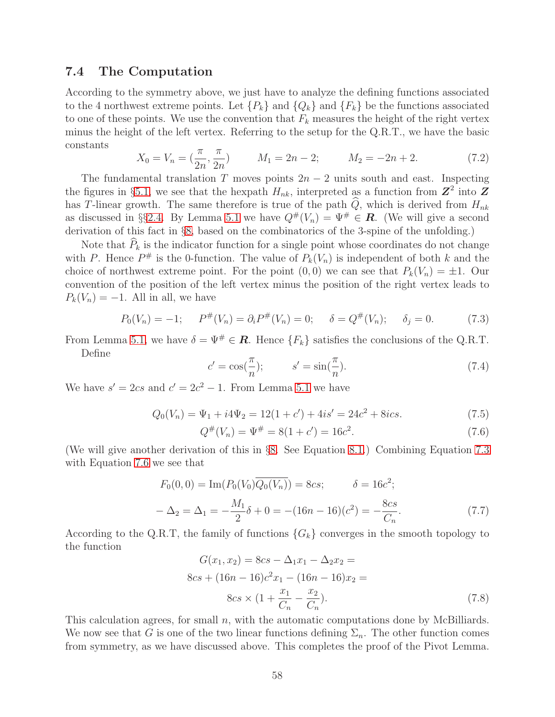# 7.4 The Computation

According to the symmetry above, we just have to analyze the defining functions associated to the 4 northwest extreme points. Let  $\{P_k\}$  and  $\{Q_k\}$  and  $\{F_k\}$  be the functions associated to one of these points. We use the convention that  $F_k$  measures the height of the right vertex minus the height of the left vertex. Referring to the setup for the Q.R.T., we have the basic constants

$$
X_0 = V_n = \left(\frac{\pi}{2n}, \frac{\pi}{2n}\right) \qquad M_1 = 2n - 2; \qquad M_2 = -2n + 2. \tag{7.2}
$$

The fundamental translation T moves points  $2n-2$  units south and east. Inspecting the figures in §[5.1,](#page-37-0) we see that the hexpath  $H_{nk}$ , interpreted as a function from  $\mathbb{Z}^2$  into  $\mathbb{Z}$ has T-linear growth. The same therefore is true of the path  $\hat{Q}$ , which is derived from  $H_{nk}$ as discussed in §§[2.4.](#page-12-0) By Lemma [5.1](#page-40-0) we have  $Q^{\#}(V_n) = \Psi^{\#} \in \mathbf{R}$ . (We will give a second derivation of this fact in §[8,](#page-58-0) based on the combinatorics of the 3-spine of the unfolding.)

Note that  $\widehat{P}_k$  is the indicator function for a single point whose coordinates do not change with P. Hence  $P^{\#}$  is the 0-function. The value of  $P_k(V_n)$  is independent of both k and the choice of northwest extreme point. For the point  $(0, 0)$  we can see that  $P_k(V_n) = \pm 1$ . Our convention of the position of the left vertex minus the position of the right vertex leads to  $P_k(V_n) = -1$ . All in all, we have

<span id="page-57-0"></span>
$$
P_0(V_n) = -1; \quad P^{\#}(V_n) = \partial_i P^{\#}(V_n) = 0; \quad \delta = Q^{\#}(V_n); \quad \delta_j = 0. \tag{7.3}
$$

From Lemma [5.1,](#page-40-0) we have  $\delta = \Psi^{\#} \in \mathbb{R}$ . Hence  $\{F_k\}$  satisfies the conclusions of the Q.R.T. Define

$$
c' = \cos(\frac{\pi}{n}); \qquad s' = \sin(\frac{\pi}{n}).\tag{7.4}
$$

We have  $s' = 2cs$  and  $c' = 2c^2 - 1$ . From Lemma [5.1](#page-40-0) we have

$$
Q_0(V_n) = \Psi_1 + i4\Psi_2 = 12(1+c') + 4is' = 24c^2 + 8ics.
$$
\n(7.5)

<span id="page-57-1"></span>
$$
Q^{\#}(V_n) = \Psi^{\#} = 8(1 + c') = 16c^2.
$$
\n(7.6)

(We will give another derivation of this in §[8.](#page-58-0) See Equation [8.1.](#page-60-0)) Combining Equation [7.3](#page-57-0) with Equation [7.6](#page-57-1) we see that

$$
F_0(0,0) = \text{Im}(P_0(V_0)\overline{Q_0(V_n)}) = 8cs; \qquad \delta = 16c^2; -\Delta_2 = \Delta_1 = -\frac{M_1}{2}\delta + 0 = -(16n - 16)(c^2) = -\frac{8cs}{C_n}.
$$
 (7.7)

According to the Q.R.T, the family of functions  $\{G_k\}$  converges in the smooth topology to the function

<span id="page-57-2"></span>
$$
G(x_1, x_2) = 8cs - \Delta_1 x_1 - \Delta_2 x_2 =
$$
  
\n
$$
8cs + (16n - 16)c^2 x_1 - (16n - 16)x_2 =
$$
  
\n
$$
8cs \times (1 + \frac{x_1}{C_n} - \frac{x_2}{C_n}).
$$
\n(7.8)

This calculation agrees, for small  $n$ , with the automatic computations done by McBilliards. We now see that G is one of the two linear functions defining  $\Sigma_n$ . The other function comes from symmetry, as we have discussed above. This completes the proof of the Pivot Lemma.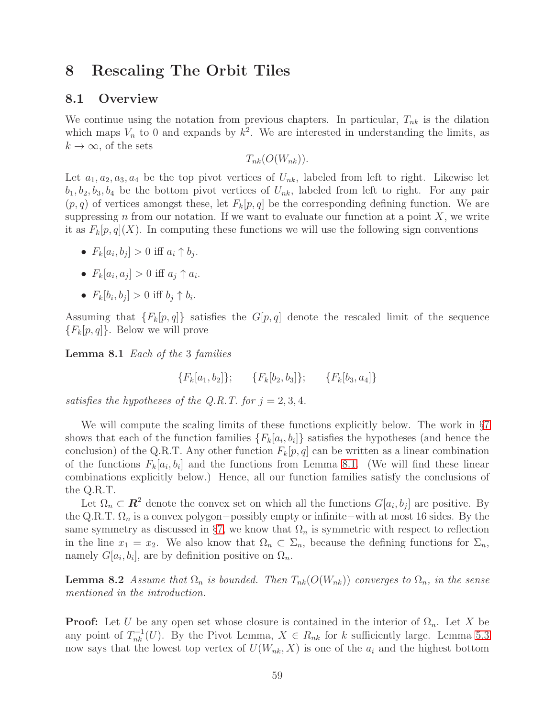# <span id="page-58-0"></span>8 Rescaling The Orbit Tiles

## 8.1 Overview

We continue using the notation from previous chapters. In particular,  $T_{nk}$  is the dilation which maps  $V_n$  to 0 and expands by  $k^2$ . We are interested in understanding the limits, as  $k \to \infty$ , of the sets

 $T_{nk}(O(W_{nk})).$ 

Let  $a_1, a_2, a_3, a_4$  be the top pivot vertices of  $U_{nk}$ , labeled from left to right. Likewise let  $b_1, b_2, b_3, b_4$  be the bottom pivot vertices of  $U_{nk}$ , labeled from left to right. For any pair  $(p, q)$  of vertices amongst these, let  $F_k[p, q]$  be the corresponding defining function. We are suppressing n from our notation. If we want to evaluate our function at a point  $X$ , we write it as  $F_k[p,q](X)$ . In computing these functions we will use the following sign conventions

- $F_k[a_i, b_j] > 0$  iff  $a_i \uparrow b_j$ .
- $F_k[a_i, a_j] > 0$  iff  $a_j \uparrow a_i$ .
- $F_k[b_i, b_j] > 0$  iff  $b_j \uparrow b_i$ .

<span id="page-58-1"></span>Assuming that  ${F_k[p,q]}$  satisfies the  $G[p,q]$  denote the rescaled limit of the sequence  ${F_k[p,q]}$ . Below we will prove

Lemma 8.1 Each of the 3 families

$$
{F_k[a_1, b_2]}; \qquad {F_k[b_2, b_3]}; \qquad {F_k[b_3, a_4]}
$$

satisfies the hypotheses of the Q.R.T. for  $j = 2, 3, 4$ .

We will compute the scaling limits of these functions explicitly below. The work in §[7](#page-54-0) shows that each of the function families  $\{F_k[a_i, b_i]\}$  satisfies the hypotheses (and hence the conclusion) of the Q.R.T. Any other function  $F_k[p,q]$  can be written as a linear combination of the functions  $F_k[a_i, b_i]$  and the functions from Lemma [8.1.](#page-58-1) (We will find these linear combinations explicitly below.) Hence, all our function families satisfy the conclusions of the Q.R.T.

Let  $\Omega_n \subset \mathbb{R}^2$  denote the convex set on which all the functions  $G[a_i, b_j]$  are positive. By the Q.R.T.  $\Omega_n$  is a convex polygon–possibly empty or infinite–with at most 16 sides. By the same symmetry as discussed in §[7,](#page-54-0) we know that  $\Omega_n$  is symmetric with respect to reflection in the line  $x_1 = x_2$ . We also know that  $\Omega_n \subset \Sigma_n$ , because the defining functions for  $\Sigma_n$ , namely  $G[a_i, b_i]$ , are by definition positive on  $\Omega_n$ .

**Lemma 8.2** Assume that  $\Omega_n$  is bounded. Then  $T_{nk}(O(W_{nk}))$  converges to  $\Omega_n$ , in the sense mentioned in the introduction.

**Proof:** Let U be any open set whose closure is contained in the interior of  $\Omega_n$ . Let X be any point of  $T_{nk}^{-1}(U)$ . By the Pivot Lemma,  $X \in R_{nk}$  for k sufficiently large. Lemma [5.3](#page-42-2) now says that the lowest top vertex of  $U(W_{nk}, X)$  is one of the  $a_i$  and the highest bottom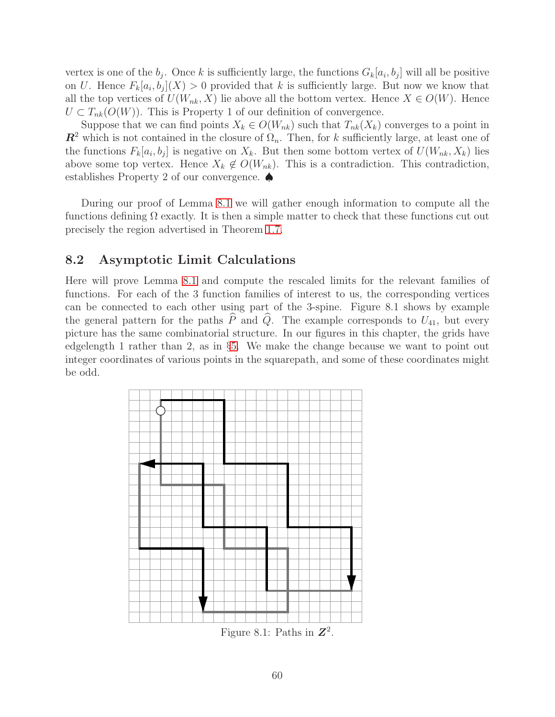vertex is one of the  $b_j$ . Once k is sufficiently large, the functions  $G_k[a_i, b_j]$  will all be positive on U. Hence  $F_k[a_i, b_j](X) > 0$  provided that k is sufficiently large. But now we know that all the top vertices of  $U(W_{nk}, X)$  lie above all the bottom vertex. Hence  $X \in O(W)$ . Hence  $U \subset T_{nk}(O(W))$ . This is Property 1 of our definition of convergence.

Suppose that we can find points  $X_k \in O(W_{nk})$  such that  $T_{nk}(X_k)$  converges to a point in  $\mathbb{R}^2$  which is not contained in the closure of  $\Omega_n$ . Then, for k sufficiently large, at least one of the functions  $F_k[a_i, b_j]$  is negative on  $X_k$ . But then some bottom vertex of  $U(W_{nk}, X_k)$  lies above some top vertex. Hence  $X_k \notin O(W_{nk})$ . This is a contradiction. This contradiction, establishes Property 2 of our convergence. ♠

During our proof of Lemma [8.1](#page-58-1) we will gather enough information to compute all the functions defining  $\Omega$  exactly. It is then a simple matter to check that these functions cut out precisely the region advertised in Theorem [1.7.](#page-5-0)

# 8.2 Asymptotic Limit Calculations

Here will prove Lemma [8.1](#page-58-1) and compute the rescaled limits for the relevant families of functions. For each of the 3 function families of interest to us, the corresponding vertices can be connected to each other using part of the 3-spine. Figure 8.1 shows by example the general pattern for the paths  $\widehat{P}$  and  $\widehat{Q}$ . The example corresponds to  $U_{41}$ , but every picture has the same combinatorial structure. In our figures in this chapter, the grids have edgelength 1 rather than 2, as in §[5.](#page-37-1) We make the change because we want to point out integer coordinates of various points in the squarepath, and some of these coordinates might be odd.



Figure 8.1: Paths in  $\mathbb{Z}^2$ .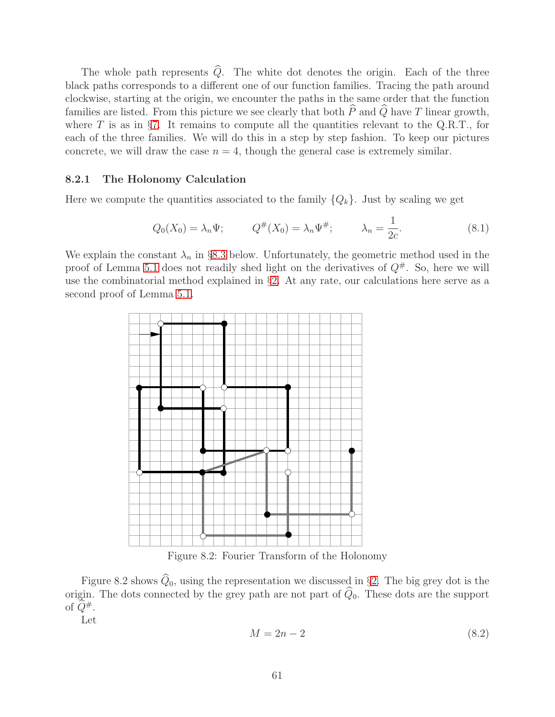The whole path represents  $\widehat{Q}$ . The white dot denotes the origin. Each of the three black paths corresponds to a different one of our function families. Tracing the path around clockwise, starting at the origin, we encounter the paths in the same order that the function families are listed. From this picture we see clearly that both  $\widehat{P}$  and  $\widehat{Q}$  have T linear growth, where  $T$  is as in §[7.](#page-54-0) It remains to compute all the quantities relevant to the Q.R.T., for each of the three families. We will do this in a step by step fashion. To keep our pictures concrete, we will draw the case  $n = 4$ , though the general case is extremely similar.

#### 8.2.1 The Holonomy Calculation

Here we compute the quantities associated to the family  $\{Q_k\}$ . Just by scaling we get

<span id="page-60-0"></span>
$$
Q_0(X_0) = \lambda_n \Psi;
$$
  $Q^{\#}(X_0) = \lambda_n \Psi^{\#};$   $\lambda_n = \frac{1}{2c}.$  (8.1)

We explain the constant  $\lambda_n$  in §[8.3](#page-64-0) below. Unfortunately, the geometric method used in the proof of Lemma [5.1](#page-40-0) does not readily shed light on the derivatives of  $Q^{\#}$ . So, here we will use the combinatorial method explained in §[2.](#page-8-0) At any rate, our calculations here serve as a second proof of Lemma [5.1.](#page-40-0)



Figure 8.2: Fourier Transform of the Holonomy

Figure 8.2 shows  $\widehat{Q}_0$ , using the representation we discussed in §[2.](#page-8-0) The big grey dot is the origin. The dots connected by the grey path are not part of  $\widehat{Q}_0$ . These dots are the support of  $Q^{\#}$ .

Let

$$
M = 2n - 2\tag{8.2}
$$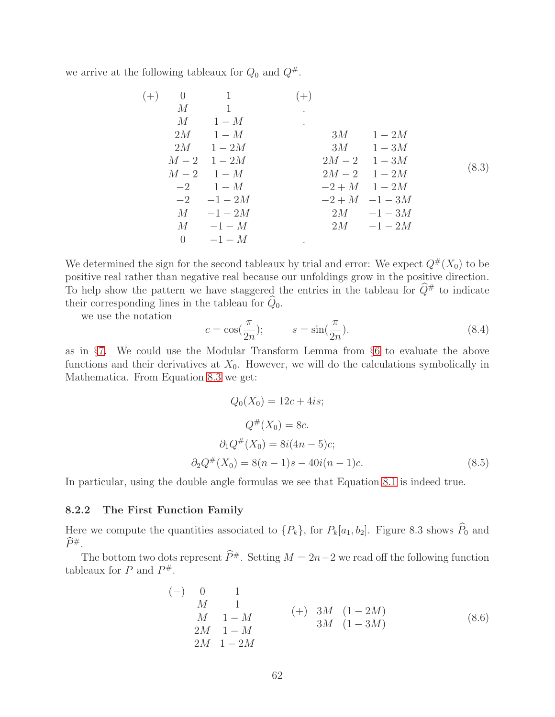we arrive at the following tableaux for  $Q_0$  and  $Q^{\#}$ .

<span id="page-61-0"></span>

| $(+)$ |          | $0 \qquad \qquad 1$ | $(+)$   |                    |       |
|-------|----------|---------------------|---------|--------------------|-------|
|       |          | $M$ 1               |         |                    |       |
|       |          | $M = 1-M$           | $\cdot$ |                    |       |
|       |          | $2M \qquad 1-M$     |         | $3M \qquad 1-2M$   |       |
|       |          | $2M \qquad 1-2M$    |         | $3M \qquad 1-3M$   |       |
|       |          | $M-2$ 1 $-2M$       |         | $2M-2$ 1 – 3M      |       |
|       |          | $M-2$ 1 - M         |         | $2M-2$ 1 – 2M      | (8.3) |
|       |          | $-2$ 1 – M          |         | $-2 + M$ 1 $-2M$   |       |
|       |          | $-2$ $-1-2M$        |         | $-2 + M$ $-1 - 3M$ |       |
|       |          | $M \quad -1-2M$     |         | $2M \quad -1-3M$   |       |
|       |          | $M = -1 - M$        |         | $2M = -1 - 2M$     |       |
|       | $\Omega$ | $-1-M$              |         |                    |       |

We determined the sign for the second tableaux by trial and error: We expect  $Q^{\#}(X_0)$  to be positive real rather than negative real because our unfoldings grow in the positive direction. To help show the pattern we have staggered the entries in the tableau for  $\hat{Q}^{\#}$  to indicate their corresponding lines in the tableau for  $\widehat{Q}_0$ .

we use the notation

<span id="page-61-2"></span>
$$
c = \cos(\frac{\pi}{2n}); \qquad s = \sin(\frac{\pi}{2n}). \tag{8.4}
$$

as in §[7.](#page-54-0) We could use the Modular Transform Lemma from §[6](#page-45-0) to evaluate the above functions and their derivatives at  $X_0$ . However, we will do the calculations symbolically in Mathematica. From Equation [8.3](#page-61-0) we get:

$$
Q_0(X_0) = 12c + 4is;
$$
  
\n
$$
Q^{\#}(X_0) = 8c.
$$
  
\n
$$
\partial_1 Q^{\#}(X_0) = 8i(4n - 5)c;
$$
  
\n
$$
\partial_2 Q^{\#}(X_0) = 8(n - 1)s - 40i(n - 1)c.
$$
\n(8.5)

In particular, using the double angle formulas we see that Equation [8.1](#page-60-0) is indeed true.

#### 8.2.2 The First Function Family

Here we compute the quantities associated to  $\{P_k\}$ , for  $P_k[a_1, b_2]$ . Figure 8.3 shows  $\widehat{P}_0$  and  $\widehat{P}^{\#}$ .

The bottom two dots represent  $\widehat{P}^{\#}$ . Setting  $M = 2n-2$  we read off the following function tableaux for P and  $P^{\#}$ .

<span id="page-61-1"></span>
$$
\begin{array}{cccc}\n(-) & 0 & 1 & & & \\
 & M & 1 & & & \\
 & M & 1 - M & & & \\
2M & 1 - M & & & 3M & (1 - 2M) \\
2M & 1 - M & & & & \\
2M & 1 - 2M & & & & \\
\end{array}
$$
\n(8.6)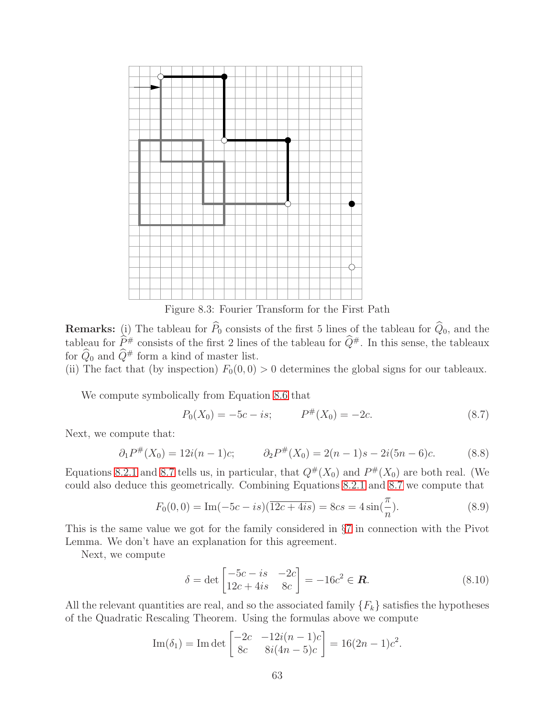

Figure 8.3: Fourier Transform for the First Path

**Remarks:** (i) The tableau for  $P_0$  consists of the first 5 lines of the tableau for  $Q_0$ , and the tableau for  $\widehat{P}^{\#}$  consists of the first 2 lines of the tableau for  $\widehat{Q}^{\#}$ . In this sense, the tableaux for  $\widehat{Q}_0$  and  $\widehat{Q}^{\#}$  form a kind of master list.

(ii) The fact that (by inspection)  $F_0(0, 0) > 0$  determines the global signs for our tableaux.

We compute symbolically from Equation [8.6](#page-61-1) that

<span id="page-62-0"></span>
$$
P_0(X_0) = -5c - is; \qquad P^{\#}(X_0) = -2c. \tag{8.7}
$$

Next, we compute that:

$$
\partial_1 P^{\#}(X_0) = 12i(n-1)c; \qquad \partial_2 P^{\#}(X_0) = 2(n-1)s - 2i(5n-6)c. \tag{8.8}
$$

Equations [8.2.1](#page-61-2) and [8.7](#page-62-0) tells us, in particular, that  $Q^{\#}(X_0)$  and  $P^{\#}(X_0)$  are both real. (We could also deduce this geometrically. Combining Equations [8.2.1](#page-61-2) and [8.7](#page-62-0) we compute that

$$
F_0(0,0) = \text{Im}(-5c - is)(\overline{12c + 4is}) = 8cs = 4\sin(\frac{\pi}{n}).\tag{8.9}
$$

This is the same value we got for the family considered in §[7](#page-54-0) in connection with the Pivot Lemma. We don't have an explanation for this agreement.

Next, we compute

$$
\delta = \det \begin{bmatrix} -5c - is & -2c \\ 12c + 4is & 8c \end{bmatrix} = -16c^2 \in \mathbf{R}.
$$
 (8.10)

All the relevant quantities are real, and so the associated family  $\{F_k\}$  satisfies the hypotheses of the Quadratic Rescaling Theorem. Using the formulas above we compute

Im(
$$
\delta_1
$$
) = Im det  $\begin{bmatrix} -2c & -12i(n-1)c \\ 8c & 8i(4n-5)c \end{bmatrix}$  = 16(2n-1) $c^2$ .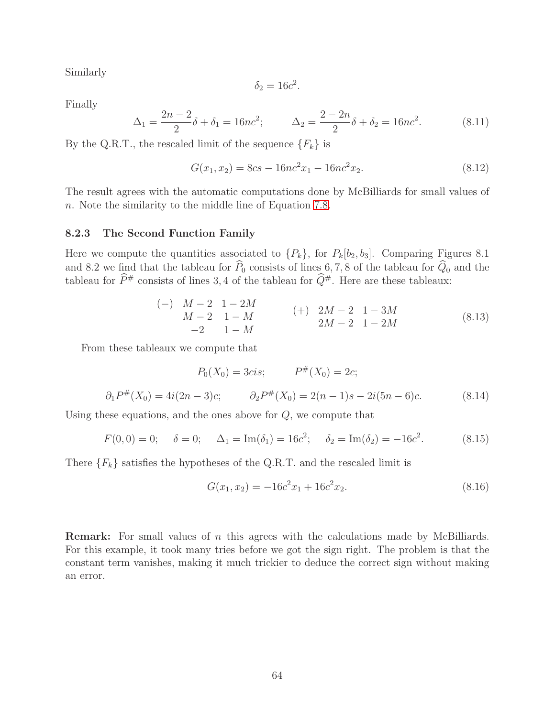Similarly

$$
\delta_2 = 16c^2.
$$

Finally

$$
\Delta_1 = \frac{2n-2}{2}\delta + \delta_1 = 16nc^2; \qquad \Delta_2 = \frac{2-2n}{2}\delta + \delta_2 = 16nc^2. \tag{8.11}
$$

By the Q.R.T., the rescaled limit of the sequence  $\{F_k\}$  is

$$
G(x_1, x_2) = 8cs - 16nc^2x_1 - 16nc^2x_2.
$$
\n(8.12)

The result agrees with the automatic computations done by McBilliards for small values of n. Note the similarity to the middle line of Equation [7.8.](#page-57-2)

#### 8.2.3 The Second Function Family

Here we compute the quantities associated to  $\{P_k\}$ , for  $P_k[b_2, b_3]$ . Comparing Figures 8.1 and 8.2 we find that the tableau for  $P_0$  consists of lines 6, 7, 8 of the tableau for  $Q_0$  and the tableau for  $\widehat{P}^{\#}$  consists of lines 3, 4 of the tableau for  $\widehat{Q}^{\#}$ . Here are these tableaux:

$$
\begin{array}{ll}\n(-) & M-2 & 1-2M \\
 & M-2 & 1-M \\
 & -2 & 1-M\n\end{array}\n\tag{8.13}
$$
\n
$$
\begin{array}{ll}\n(+) & 2M-2 & 1-3M \\
 & 2M-2 & 1-2M\n\end{array}
$$

From these tableaux we compute that

$$
P_0(X_0) = 3cis; \qquad P^{\#}(X_0) = 2c;
$$
  

$$
\partial_1 P^{\#}(X_0) = 4i(2n-3)c; \qquad \partial_2 P^{\#}(X_0) = 2(n-1)s - 2i(5n-6)c.
$$
 (8.14)

Using these equations, and the ones above for  $Q$ , we compute that

$$
F(0,0) = 0;
$$
  $\delta = 0;$   $\Delta_1 = \text{Im}(\delta_1) = 16c^2;$   $\delta_2 = \text{Im}(\delta_2) = -16c^2.$  (8.15)

There  ${F_k}$  satisfies the hypotheses of the Q.R.T. and the rescaled limit is

$$
G(x_1, x_2) = -16c^2x_1 + 16c^2x_2.
$$
\n(8.16)

**Remark:** For small values of  $n$  this agrees with the calculations made by McBilliards. For this example, it took many tries before we got the sign right. The problem is that the constant term vanishes, making it much trickier to deduce the correct sign without making an error.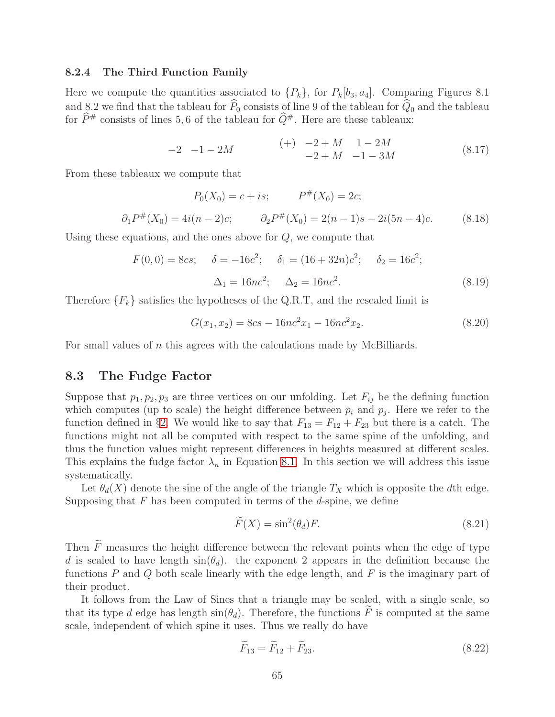#### 8.2.4 The Third Function Family

Here we compute the quantities associated to  $\{P_k\}$ , for  $P_k[b_3, a_4]$ . Comparing Figures 8.1 and 8.2 we find that the tableau for  $\widehat{P}_0$  consists of line 9 of the tableau for  $\widehat{Q}_0$  and the tableau for  $\widehat{P}^{\#}$  consists of lines 5, 6 of the tableau for  $\widehat{Q}^{\#}$ . Here are these tableaux:

$$
\begin{array}{ccc}\n-2 & -1 - 2M & \quad (+) & -2 + M & 1 - 2M \\
 & & -2 + M & -1 - 3M\n\end{array} \tag{8.17}
$$

From these tableaux we compute that

$$
P_0(X_0) = c + is; \qquad P^{\#}(X_0) = 2c;
$$
  

$$
\partial_1 P^{\#}(X_0) = 4i(n-2)c; \qquad \partial_2 P^{\#}(X_0) = 2(n-1)s - 2i(5n-4)c. \qquad (8.18)
$$

Using these equations, and the ones above for  $Q$ , we compute that

$$
F(0,0) = 8cs; \quad \delta = -16c^2; \quad \delta_1 = (16+32n)c^2; \quad \delta_2 = 16c^2; \Delta_1 = 16nc^2; \quad \Delta_2 = 16nc^2.
$$
\n(8.19)

Therefore  ${F_k}$  satisfies the hypotheses of the Q.R.T, and the rescaled limit is

$$
G(x_1, x_2) = 8cs - 16nc^2x_1 - 16nc^2x_2.
$$
\n(8.20)

<span id="page-64-0"></span>For small values of n this agrees with the calculations made by McBilliards.

### 8.3 The Fudge Factor

Suppose that  $p_1, p_2, p_3$  are three vertices on our unfolding. Let  $F_{ij}$  be the defining function which computes (up to scale) the height difference between  $p_i$  and  $p_j$ . Here we refer to the function defined in §[2.](#page-8-0) We would like to say that  $F_{13} = F_{12} + F_{23}$  but there is a catch. The functions might not all be computed with respect to the same spine of the unfolding, and thus the function values might represent differences in heights measured at different scales. This explains the fudge factor  $\lambda_n$  in Equation [8.1.](#page-60-0) In this section we will address this issue systematically.

Let  $\theta_d(X)$  denote the sine of the angle of the triangle  $T_X$  which is opposite the dth edge. Supposing that  $F$  has been computed in terms of the  $d$ -spine, we define

$$
\widetilde{F}(X) = \sin^2(\theta_d) F. \tag{8.21}
$$

Then  $\widetilde{F}$  measures the height difference between the relevant points when the edge of type d is scaled to have length  $\sin(\theta_d)$ , the exponent 2 appears in the definition because the functions  $P$  and  $Q$  both scale linearly with the edge length, and  $F$  is the imaginary part of their product.

It follows from the Law of Sines that a triangle may be scaled, with a single scale, so that its type d edge has length  $sin(\theta_d)$ . Therefore, the functions F is computed at the same scale, independent of which spine it uses. Thus we really do have

$$
\overline{F}_{13} = \overline{F}_{12} + \overline{F}_{23}.
$$
\n(8.22)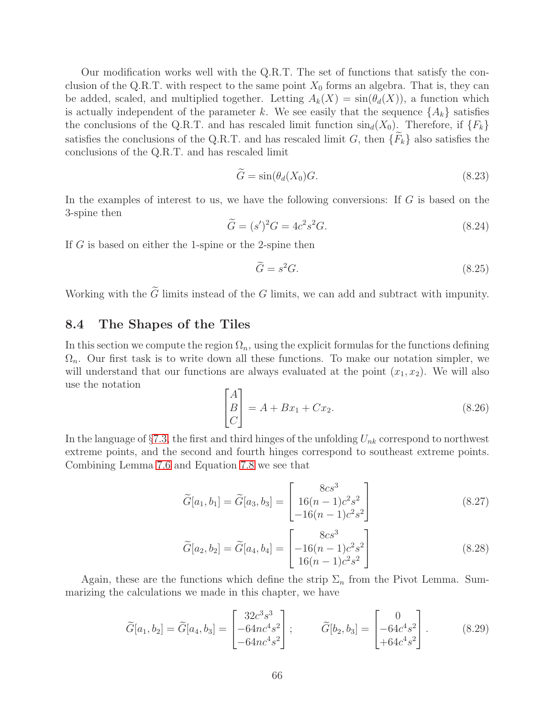Our modification works well with the Q.R.T. The set of functions that satisfy the conclusion of the Q.R.T. with respect to the same point  $X_0$  forms an algebra. That is, they can be added, scaled, and multiplied together. Letting  $A_k(X) = \sin(\theta_d(X))$ , a function which is actually independent of the parameter k. We see easily that the sequence  $\{A_k\}$  satisfies the conclusions of the Q.R.T. and has rescaled limit function  $\sin_d(X_0)$ . Therefore, if  $\{F_k\}$ satisfies the conclusions of the Q.R.T. and has rescaled limit G, then  ${F_k}$  also satisfies the conclusions of the Q.R.T. and has rescaled limit

$$
\widetilde{G} = \sin(\theta_d(X_0)G). \tag{8.23}
$$

In the examples of interest to us, we have the following conversions: If G is based on the 3-spine then

$$
\widetilde{G} = (s')^2 G = 4c^2 s^2 G. \tag{8.24}
$$

If G is based on either the 1-spine or the 2-spine then

$$
\widetilde{G} = s^2 G. \tag{8.25}
$$

Working with the  $\widetilde{G}$  limits instead of the G limits, we can add and subtract with impunity.

# 8.4 The Shapes of the Tiles

In this section we compute the region  $\Omega_n$ , using the explicit formulas for the functions defining  $\Omega_n$ . Our first task is to write down all these functions. To make our notation simpler, we will understand that our functions are always evaluated at the point  $(x_1, x_2)$ . We will also use the notation

$$
\begin{bmatrix} A \\ B \\ C \end{bmatrix} = A + Bx_1 + Cx_2.
$$
 (8.26)

In the language of  $\S 7.3$ , the first and third hinges of the unfolding  $U_{nk}$  correspond to northwest extreme points, and the second and fourth hinges correspond to southeast extreme points. Combining Lemma [7.6](#page-56-1) and Equation [7.8](#page-57-2) we see that

$$
\widetilde{G}[a_1, b_1] = \widetilde{G}[a_3, b_3] = \begin{bmatrix} 8cs^3 \\ 16(n-1)c^2s^2 \\ -16(n-1)c^2s^2 \end{bmatrix}
$$
\n(8.27)

$$
\widetilde{G}[a_2, b_2] = \widetilde{G}[a_4, b_4] = \begin{bmatrix} 8cs^3 \\ -16(n-1)c^2s^2 \\ 16(n-1)c^2s^2 \end{bmatrix}
$$
\n(8.28)

Again, these are the functions which define the strip  $\Sigma_n$  from the Pivot Lemma. Summarizing the calculations we made in this chapter, we have

$$
\widetilde{G}[a_1, b_2] = \widetilde{G}[a_4, b_3] = \begin{bmatrix} 32c^3s^3 \\ -64nc^4s^2 \\ -64nc^4s^2 \end{bmatrix}; \qquad \widetilde{G}[b_2, b_3] = \begin{bmatrix} 0 \\ -64c^4s^2 \\ +64c^4s^2 \end{bmatrix}.
$$
 (8.29)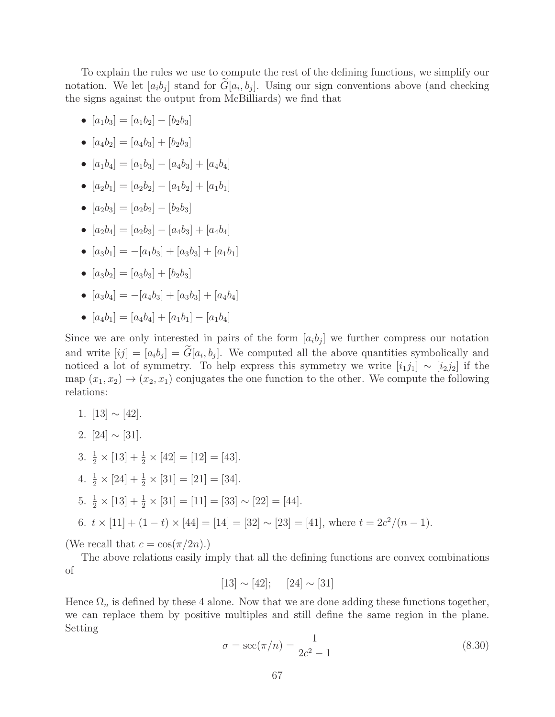To explain the rules we use to compute the rest of the defining functions, we simplify our notation. We let  $[a_i b_j]$  stand for  $G[a_i, b_j]$ . Using our sign conventions above (and checking the signs against the output from McBilliards) we find that

- $[a_1b_3] = [a_1b_2] [b_2b_3]$
- $[a_4b_2] = [a_4b_3] + [b_2b_3]$
- $[a_1b_4] = [a_1b_3] [a_4b_3] + [a_4b_4]$
- $[a_2b_1] = [a_2b_2] [a_1b_2] + [a_1b_1]$
- $[a_2b_3] = [a_2b_2] [b_2b_3]$
- $[a_2b_4] = [a_2b_3] [a_4b_3] + [a_4b_4]$
- $[a_3b_1] = -[a_1b_3] + [a_3b_3] + [a_1b_1]$
- $[a_3b_2] = [a_3b_3] + [b_2b_3]$
- $[a_3b_4] = -[a_4b_3] + [a_3b_3] + [a_4b_4]$
- $[a_4b_1] = [a_4b_4] + [a_1b_1] [a_1b_4]$

Since we are only interested in pairs of the form  $[a_i b_j]$  we further compress our notation and write  $[ij] = [a_i b_j] = G[a_i, b_j]$ . We computed all the above quantities symbolically and noticed a lot of symmetry. To help express this symmetry we write  $[i_1j_1] \sim [i_2j_2]$  if the map  $(x_1, x_2) \rightarrow (x_2, x_1)$  conjugates the one function to the other. We compute the following relations:

- 1.  $[13] \sim [42]$ .
- 2.  $[24] \sim [31]$ .
- 3.  $\frac{1}{2} \times [13] + \frac{1}{2} \times [42] = [12] = [43]$ .
- 4.  $\frac{1}{2} \times [24] + \frac{1}{2} \times [31] = [21] = [34]$ .
- 5.  $\frac{1}{2} \times [13] + \frac{1}{2} \times [31] = [11] = [33] \sim [22] = [44]$ .

6. 
$$
t \times [11] + (1 - t) \times [44] = [14] = [32] \sim [23] = [41]
$$
, where  $t = 2c^2/(n - 1)$ .

(We recall that  $c = \cos(\pi/2n)$ .)

The above relations easily imply that all the defining functions are convex combinations of

$$
[13] \sim [42]; \quad [24] \sim [31]
$$

Hence  $\Omega_n$  is defined by these 4 alone. Now that we are done adding these functions together, we can replace them by positive multiples and still define the same region in the plane. Setting

$$
\sigma = \sec(\pi/n) = \frac{1}{2c^2 - 1} \tag{8.30}
$$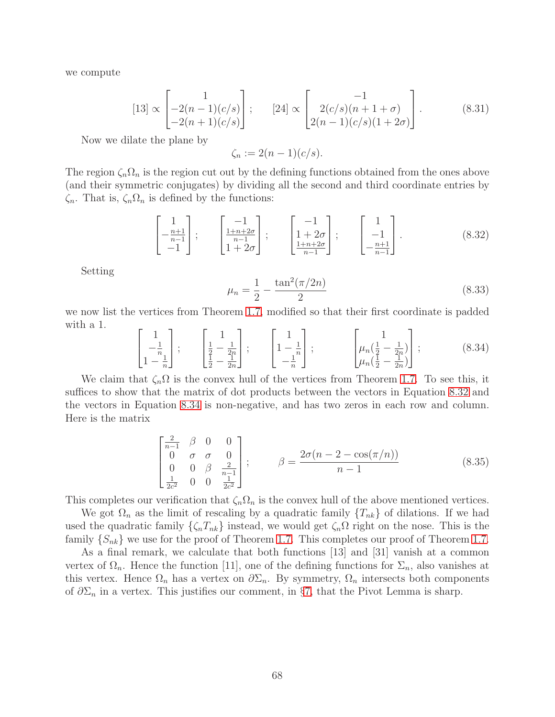we compute

$$
[13] \propto \begin{bmatrix} 1 \\ -2(n-1)(c/s) \\ -2(n+1)(c/s) \end{bmatrix}; \qquad [24] \propto \begin{bmatrix} -1 \\ 2(c/s)(n+1+\sigma) \\ 2(n-1)(c/s)(1+2\sigma) \end{bmatrix}.
$$
 (8.31)

Now we dilate the plane by

$$
\zeta_n := 2(n-1)(c/s).
$$

The region  $\zeta_n\Omega_n$  is the region cut out by the defining functions obtained from the ones above (and their symmetric conjugates) by dividing all the second and third coordinate entries by  $\zeta_n$ . That is,  $\zeta_n \Omega_n$  is defined by the functions:

<span id="page-67-0"></span>
$$
\begin{bmatrix} 1 \ -\frac{n+1}{n-1} \\ -1 \end{bmatrix}; \qquad \begin{bmatrix} -1 \ \frac{1+n+2\sigma}{n-1} \\ 1+2\sigma \end{bmatrix}; \qquad \begin{bmatrix} -1 \ 1+2\sigma \\ \frac{1+n+2\sigma}{n-1} \end{bmatrix}; \qquad \begin{bmatrix} 1 \ -1 \\ -\frac{n+1}{n-1} \end{bmatrix}.
$$
 (8.32)

Setting

$$
\mu_n = \frac{1}{2} - \frac{\tan^2(\pi/2n)}{2} \tag{8.33}
$$

we now list the vertices from Theorem [1.7,](#page-5-0) modified so that their first coordinate is padded with a 1.

<span id="page-67-1"></span>
$$
\begin{bmatrix} 1 \\ -\frac{1}{n} \\ 1 - \frac{1}{n} \end{bmatrix}; \qquad \begin{bmatrix} 1 \\ \frac{1}{2} - \frac{1}{2n} \\ \frac{1}{2} - \frac{1}{2n} \end{bmatrix}; \qquad \begin{bmatrix} 1 \\ 1 - \frac{1}{n} \\ -\frac{1}{n} \end{bmatrix}; \qquad \begin{bmatrix} 1 \\ \mu_n(\frac{1}{2} - \frac{1}{2n}) \\ \mu_n(\frac{1}{2} - \frac{1}{2n}) \end{bmatrix}; \tag{8.34}
$$

We claim that  $\zeta_n\Omega$  is the convex hull of the vertices from Theorem [1.7.](#page-5-0) To see this, it suffices to show that the matrix of dot products between the vectors in Equation [8.32](#page-67-0) and the vectors in Equation [8.34](#page-67-1) is non-negative, and has two zeros in each row and column. Here is the matrix

$$
\begin{bmatrix}\n\frac{2}{n-1} & \beta & 0 & 0 \\
0 & \sigma & \sigma & 0 \\
0 & 0 & \beta & \frac{2}{n-1} \\
\frac{1}{2c^2} & 0 & 0 & \frac{1}{2c^2}\n\end{bmatrix}; \qquad \beta = \frac{2\sigma(n-2-\cos(\pi/n))}{n-1}
$$
\n(8.35)

This completes our verification that  $\zeta_n \Omega_n$  is the convex hull of the above mentioned vertices.

We got  $\Omega_n$  as the limit of rescaling by a quadratic family  $\{T_{nk}\}\$  of dilations. If we had used the quadratic family  $\{\zeta_n T_{nk}\}\$  instead, we would get  $\zeta_n \Omega$  right on the nose. This is the family  $\{S_{nk}\}\$  we use for the proof of Theorem [1.7.](#page-5-0) This completes our proof of Theorem 1.7.

As a final remark, we calculate that both functions [13] and [31] vanish at a common vertex of  $\Omega_n$ . Hence the function [11], one of the defining functions for  $\Sigma_n$ , also vanishes at this vertex. Hence  $\Omega_n$  has a vertex on  $\partial \Sigma_n$ . By symmetry,  $\Omega_n$  intersects both components of  $\partial \Sigma_n$  in a vertex. This justifies our comment, in §[7,](#page-54-0) that the Pivot Lemma is sharp.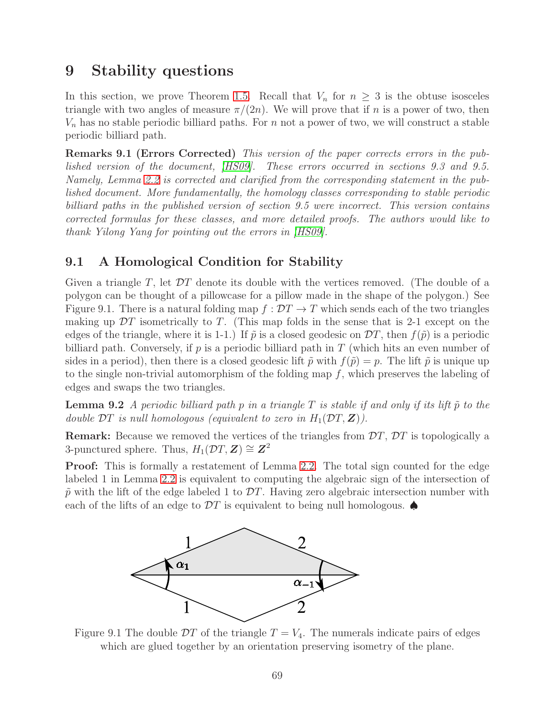# 9 Stability questions

In this section, we prove Theorem [1.5.](#page-3-0) Recall that  $V_n$  for  $n \geq 3$  is the obtuse isosceles triangle with two angles of measure  $\pi/(2n)$ . We will prove that if n is a power of two, then  $V_n$  has no stable periodic billiard paths. For n not a power of two, we will construct a stable periodic billiard path.

Remarks 9.1 (Errors Corrected) This version of the paper corrects errors in the published version of the document, [\[HS09\]](#page-80-0). These errors occurred in sections 9.3 and 9.5. Namely, Lemma [2.2](#page-9-0) is corrected and clarified from the corresponding statement in the published document. More fundamentally, the homology classes corresponding to stable periodic billiard paths in the published version of section 9.5 were incorrect. This version contains corrected formulas for these classes, and more detailed proofs. The authors would like to thank Yilong Yang for pointing out the errors in [\[HS09\]](#page-80-0).

# 9.1 A Homological Condition for Stability

Given a triangle T, let  $DT$  denote its double with the vertices removed. (The double of a polygon can be thought of a pillowcase for a pillow made in the shape of the polygon.) See Figure 9.1. There is a natural folding map  $f : DT \to T$  which sends each of the two triangles making up  $DT$  isometrically to T. (This map folds in the sense that is 2-1 except on the edges of the triangle, where it is 1-1.) If  $\tilde{p}$  is a closed geodesic on  $\mathcal{D}T$ , then  $f(\tilde{p})$  is a periodic billiard path. Conversely, if  $p$  is a periodic billiard path in  $T$  (which hits an even number of sides in a period), then there is a closed geodesic lift  $\tilde{p}$  with  $f(\tilde{p}) = p$ . The lift  $\tilde{p}$  is unique up to the single non-trivial automorphism of the folding map f, which preserves the labeling of edges and swaps the two triangles.

<span id="page-68-0"></span>**Lemma 9.2** A periodic billiard path p in a triangle T is stable if and only if its lift  $\tilde{p}$  to the double  $DT$  is null homologous (equivalent to zero in  $H_1(DT, \mathbf{Z})$ ).

**Remark:** Because we removed the vertices of the triangles from  $DT$ ,  $DT$  is topologically a 3-punctured sphere. Thus,  $H_1(\mathcal{D}T, \mathbf{Z}) \cong \mathbf{Z}^2$ 

Proof: This is formally a restatement of Lemma [2.2.](#page-9-0) The total sign counted for the edge labeled 1 in Lemma [2.2](#page-9-0) is equivalent to computing the algebraic sign of the intersection of  $\tilde{p}$  with the lift of the edge labeled 1 to  $DT$ . Having zero algebraic intersection number with each of the lifts of an edge to  $\mathcal{D}T$  is equivalent to being null homologous.



Figure 9.1 The double  $DT$  of the triangle  $T = V_4$ . The numerals indicate pairs of edges which are glued together by an orientation preserving isometry of the plane.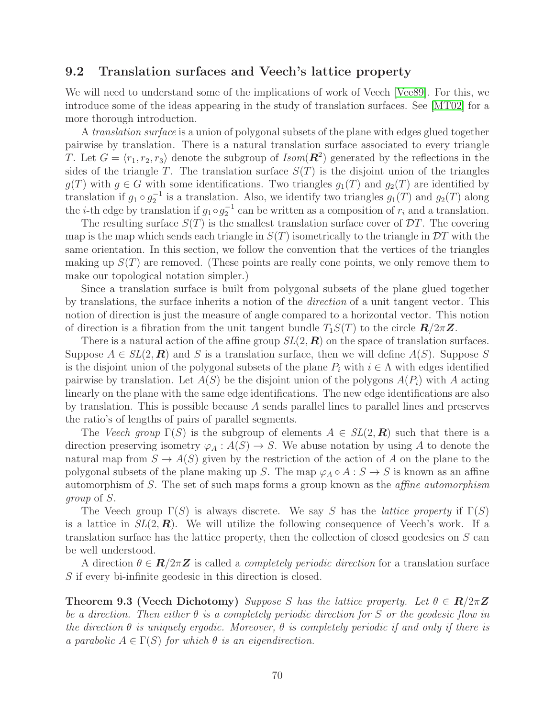# 9.2 Translation surfaces and Veech's lattice property

We will need to understand some of the implications of work of Veech [\[Vee89\]](#page-80-1). For this, we introduce some of the ideas appearing in the study of translation surfaces. See [\[MT02\]](#page-80-2) for a more thorough introduction.

A *translation surface* is a union of polygonal subsets of the plane with edges glued together pairwise by translation. There is a natural translation surface associated to every triangle T. Let  $G = \langle r_1, r_2, r_3 \rangle$  denote the subgroup of  $Isom(\mathbf{R}^2)$  generated by the reflections in the sides of the triangle T. The translation surface  $S(T)$  is the disjoint union of the triangles  $g(T)$  with  $g \in G$  with some identifications. Two triangles  $g_1(T)$  and  $g_2(T)$  are identified by translation if  $g_1 \circ g_2^{-1}$  is a translation. Also, we identify two triangles  $g_1(T)$  and  $g_2(T)$  along the *i*-th edge by translation if  $g_1 \circ g_2^{-1}$  can be written as a composition of  $r_i$  and a translation.

The resulting surface  $S(T)$  is the smallest translation surface cover of  $DT$ . The covering map is the map which sends each triangle in  $S(T)$  isometrically to the triangle in  $DT$  with the same orientation. In this section, we follow the convention that the vertices of the triangles making up  $S(T)$  are removed. (These points are really cone points, we only remove them to make our topological notation simpler.)

Since a translation surface is built from polygonal subsets of the plane glued together by translations, the surface inherits a notion of the direction of a unit tangent vector. This notion of direction is just the measure of angle compared to a horizontal vector. This notion of direction is a fibration from the unit tangent bundle  $T_1S(T)$  to the circle  $\mathbf{R}/2\pi\mathbf{Z}$ .

There is a natural action of the affine group  $SL(2, \mathbb{R})$  on the space of translation surfaces. Suppose  $A \in SL(2, \mathbb{R})$  and S is a translation surface, then we will define  $A(S)$ . Suppose S is the disjoint union of the polygonal subsets of the plane  $P_i$  with  $i \in \Lambda$  with edges identified pairwise by translation. Let  $A(S)$  be the disjoint union of the polygons  $A(P_i)$  with A acting linearly on the plane with the same edge identifications. The new edge identifications are also by translation. This is possible because A sends parallel lines to parallel lines and preserves the ratio's of lengths of pairs of parallel segments.

The Veech group  $\Gamma(S)$  is the subgroup of elements  $A \in SL(2, \mathbb{R})$  such that there is a direction preserving isometry  $\varphi_A : A(S) \to S$ . We abuse notation by using A to denote the natural map from  $S \to A(S)$  given by the restriction of the action of A on the plane to the polygonal subsets of the plane making up S. The map  $\varphi_A \circ A : S \to S$  is known as an affine automorphism of S. The set of such maps forms a group known as the affine automorphism group of S.

The Veech group  $\Gamma(S)$  is always discrete. We say S has the *lattice property* if  $\Gamma(S)$ is a lattice in  $SL(2,\mathbf{R})$ . We will utilize the following consequence of Veech's work. If a translation surface has the lattice property, then the collection of closed geodesics on S can be well understood.

A direction  $\theta \in \mathbf{R}/2\pi\mathbf{Z}$  is called a *completely periodic direction* for a translation surface S if every bi-infinite geodesic in this direction is closed.

**Theorem 9.3 (Veech Dichotomy)** Suppose S has the lattice property. Let  $\theta \in \mathbb{R}/2\pi\mathbb{Z}$ be a direction. Then either  $\theta$  is a completely periodic direction for S or the geodesic flow in the direction  $\theta$  is uniquely ergodic. Moreover,  $\theta$  is completely periodic if and only if there is a parabolic  $A \in \Gamma(S)$  for which  $\theta$  is an eigendirection.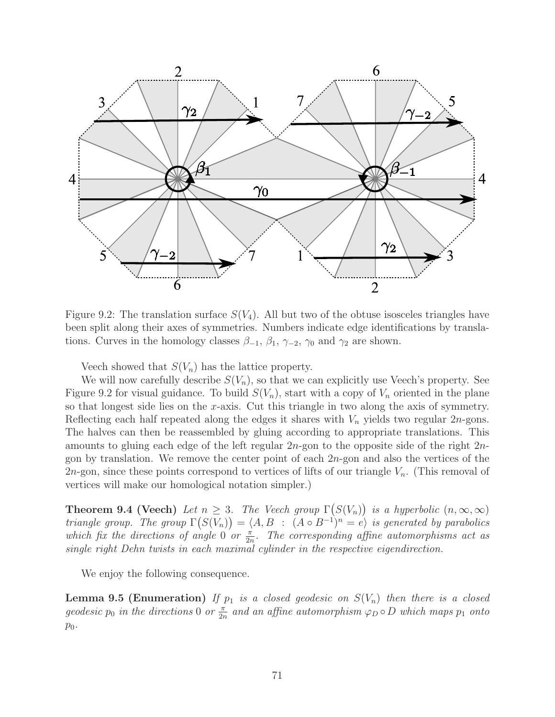

Figure 9.2: The translation surface  $S(V_4)$ . All but two of the obtuse isosceles triangles have been split along their axes of symmetries. Numbers indicate edge identifications by translations. Curves in the homology classes  $\beta_{-1}$ ,  $\beta_1$ ,  $\gamma_{-2}$ ,  $\gamma_0$  and  $\gamma_2$  are shown.

Veech showed that  $S(V_n)$  has the lattice property.

We will now carefully describe  $S(V_n)$ , so that we can explicitly use Veech's property. See Figure 9.2 for visual guidance. To build  $S(V_n)$ , start with a copy of  $V_n$  oriented in the plane so that longest side lies on the x-axis. Cut this triangle in two along the axis of symmetry. Reflecting each half repeated along the edges it shares with  $V_n$  yields two regular 2n-gons. The halves can then be reassembled by gluing according to appropriate translations. This amounts to gluing each edge of the left regular 2n-gon to the opposite side of the right 2ngon by translation. We remove the center point of each  $2n$ -gon and also the vertices of the 2*n*-gon, since these points correspond to vertices of lifts of our triangle  $V_n$ . (This removal of vertices will make our homological notation simpler.)

**Theorem 9.4 (Veech)** Let  $n \geq 3$ . The Veech group  $\Gamma(S(V_n))$  is a hyperbolic  $(n, \infty, \infty)$ triangle group. The group  $\Gamma(S(V_n)) = \langle A, B : (A \circ B^{-1})^n = e \rangle$  is generated by parabolics which fix the directions of angle 0 or  $\frac{\pi}{2n}$ . The corresponding affine automorphisms act as single right Dehn twists in each maximal cylinder in the respective eigendirection.

We enjoy the following consequence.

**Lemma 9.5 (Enumeration)** If  $p_1$  is a closed geodesic on  $S(V_n)$  then there is a closed geodesic  $p_0$  in the directions 0 or  $\frac{\pi}{2n}$  and an affine automorphism  $\varphi_D \circ D$  which maps  $p_1$  onto  $p_0$ .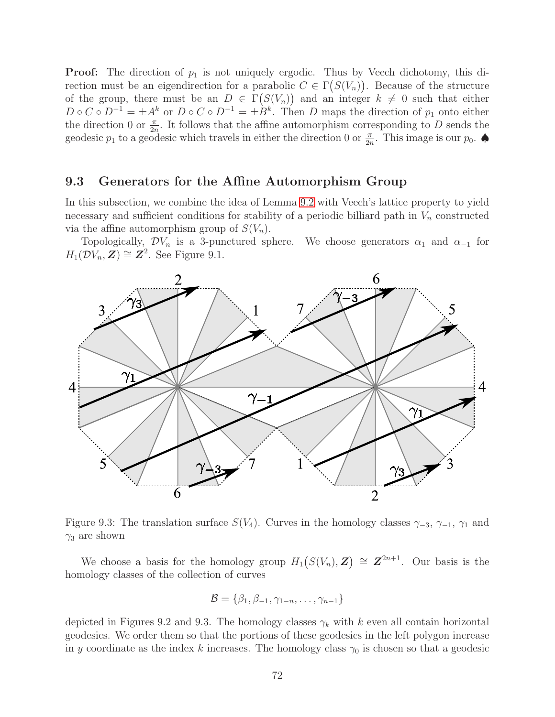**Proof:** The direction of  $p_1$  is not uniquely ergodic. Thus by Veech dichotomy, this direction must be an eigendirection for a parabolic  $C \in \Gamma(S(V_n))$ . Because of the structure of the group, there must be an  $D \in \Gamma(S(V_n))$  and an integer  $k \neq 0$  such that either  $D \circ C \circ D^{-1} = \pm A^k$  or  $D \circ C \circ D^{-1} = \pm B^k$ . Then D maps the direction of  $p_1$  onto either the direction 0 or  $\frac{\pi}{2n}$ . It follows that the affine automorphism corresponding to D sends the geodesic  $p_1$  to a geodesic which travels in either the direction 0 or  $\frac{\pi}{2n}$ . This image is our  $p_0$ .

## 9.3 Generators for the Affine Automorphism Group

In this subsection, we combine the idea of Lemma [9.2](#page-68-0) with Veech's lattice property to yield necessary and sufficient conditions for stability of a periodic billiard path in  $V_n$  constructed via the affine automorphism group of  $S(V_n)$ .

Topologically,  $\mathcal{D}V_n$  is a 3-punctured sphere. We choose generators  $\alpha_1$  and  $\alpha_{-1}$  for  $H_1(\mathcal{D}V_n, \mathbf{Z}) \cong \mathbf{Z}^2$ . See Figure 9.1.



Figure 9.3: The translation surface  $S(V_4)$ . Curves in the homology classes  $\gamma_{-3}, \gamma_{-1}, \gamma_1$  and  $\gamma_3$  are shown

We choose a basis for the homology group  $H_1(S(V_n), Z) \cong Z^{2n+1}$ . Our basis is the homology classes of the collection of curves

$$
\mathcal{B} = \{\beta_1, \beta_{-1}, \gamma_{1-n}, \ldots, \gamma_{n-1}\}
$$

depicted in Figures 9.2 and 9.3. The homology classes  $\gamma_k$  with k even all contain horizontal geodesics. We order them so that the portions of these geodesics in the left polygon increase in y coordinate as the index k increases. The homology class  $\gamma_0$  is chosen so that a geodesic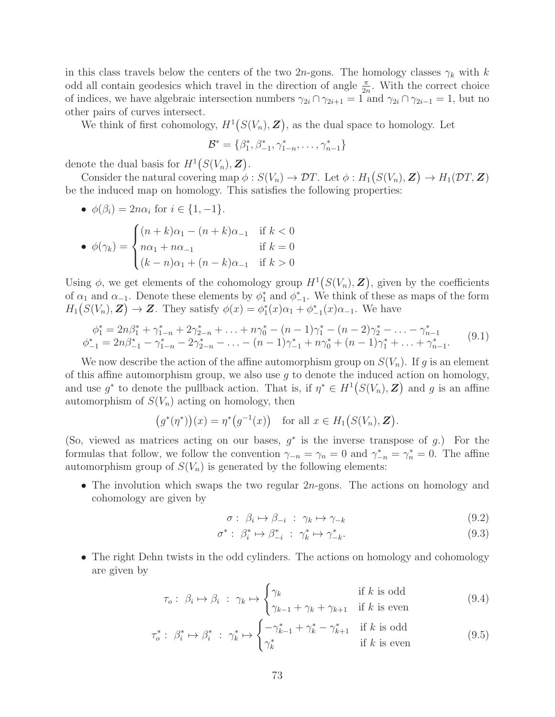in this class travels below the centers of the two 2n-gons. The homology classes  $\gamma_k$  with k odd all contain geodesics which travel in the direction of angle  $\frac{\pi}{2n}$ . With the correct choice of indices, we have algebraic intersection numbers  $\gamma_{2i} \cap \gamma_{2i+1} = 1$  and  $\gamma_{2i} \cap \gamma_{2i-1} = 1$ , but no other pairs of curves intersect.

We think of first cohomology,  $H^1(S(V_n), Z)$ , as the dual space to homology. Let

$$
\mathcal{B}^* = \{\beta_1^*, \beta_{-1}^*, \gamma_{1-n}^*, \ldots, \gamma_{n-1}^*\}
$$

denote the dual basis for  $H^1(S(V_n), Z)$ .

Consider the natural covering map  $\phi: S(V_n) \to \mathcal{D}T$ . Let  $\phi: H_1(S(V_n), \mathbf{Z}) \to H_1(\mathcal{D}T, \mathbf{Z})$ be the induced map on homology. This satisfies the following properties:

• 
$$
\phi(\beta_i) = 2n\alpha_i
$$
 for  $i \in \{1, -1\}$ .  
\n•  $\phi(\gamma_k) = \begin{cases} (n+k)\alpha_1 - (n+k)\alpha_{-1} & \text{if } k < 0 \\ n\alpha_1 + n\alpha_{-1} & \text{if } k = 0 \\ (k-n)\alpha_1 + (n-k)\alpha_{-1} & \text{if } k > 0 \end{cases}$ 

Using  $\phi$ , we get elements of the cohomology group  $H^1(S(V_n), \mathbf{Z})$ , given by the coefficients of  $\alpha_1$  and  $\alpha_{-1}$ . Denote these elements by  $\phi_1^*$  and  $\phi_{-1}^*$ . We think of these as maps of the form  $H_1(S(V_n), Z) \to Z$ . They satisfy  $\phi(x) = \phi_1^*(x)\alpha_1 + \phi_{-1}^*(x)\alpha_{-1}$ . We have

<span id="page-72-0"></span>
$$
\phi_1^* = 2n\beta_1^* + \gamma_{1-n}^* + 2\gamma_{2-n}^* + \ldots + n\gamma_0^* - (n-1)\gamma_1^* - (n-2)\gamma_2^* - \ldots - \gamma_{n-1}^*
$$
  
\n
$$
\phi_{-1}^* = 2n\beta_{-1}^* - \gamma_{1-n}^* - 2\gamma_{2-n}^* - \ldots - (n-1)\gamma_{-1}^* + n\gamma_0^* + (n-1)\gamma_1^* + \ldots + \gamma_{n-1}^*.
$$
\n(9.1)

We now describe the action of the affine automorphism group on  $S(V_n)$ . If g is an element of this affine automorphism group, we also use  $q$  to denote the induced action on homology, and use  $g^*$  to denote the pullback action. That is, if  $\eta^* \in H^1(S(V_n), \mathbb{Z})$  and g is an affine automorphism of  $S(V_n)$  acting on homology, then

$$
(g^*(\eta^*))
$$
 $(x) = \eta^*(g^{-1}(x))$  for all  $x \in H_1(S(V_n), \mathbf{Z})$ .

(So, viewed as matrices acting on our bases,  $g^*$  is the inverse transpose of  $g$ .) For the formulas that follow, we follow the convention  $\gamma_{-n} = \gamma_n = 0$  and  $\gamma_{-n}^* = \gamma_n^* = 0$ . The affine automorphism group of  $S(V_n)$  is generated by the following elements:

• The involution which swaps the two regular 2*n*-gons. The actions on homology and cohomology are given by

<span id="page-72-1"></span>
$$
\sigma: \ \beta_i \mapsto \beta_{-i} \ : \ \gamma_k \mapsto \gamma_{-k} \tag{9.2}
$$

$$
\sigma^* : \ \beta_i^* \mapsto \beta_{-i}^* \ : \ \gamma_k^* \mapsto \gamma_{-k}^*.
$$
\n
$$
(9.3)
$$

• The right Dehn twists in the odd cylinders. The actions on homology and cohomology are given by

$$
\tau_o: \ \beta_i \mapsto \beta_i \ : \ \gamma_k \mapsto \begin{cases} \gamma_k & \text{if } k \text{ is odd} \\ \gamma_{k-1} + \gamma_k + \gamma_{k+1} & \text{if } k \text{ is even} \end{cases} \tag{9.4}
$$

$$
\tau_o^* : \ \beta_i^* \mapsto \beta_i^* \ : \ \gamma_k^* \mapsto \begin{cases} -\gamma_{k-1}^* + \gamma_k^* - \gamma_{k+1}^* & \text{if } k \text{ is odd} \\ \gamma_k^* & \text{if } k \text{ is even} \end{cases} \tag{9.5}
$$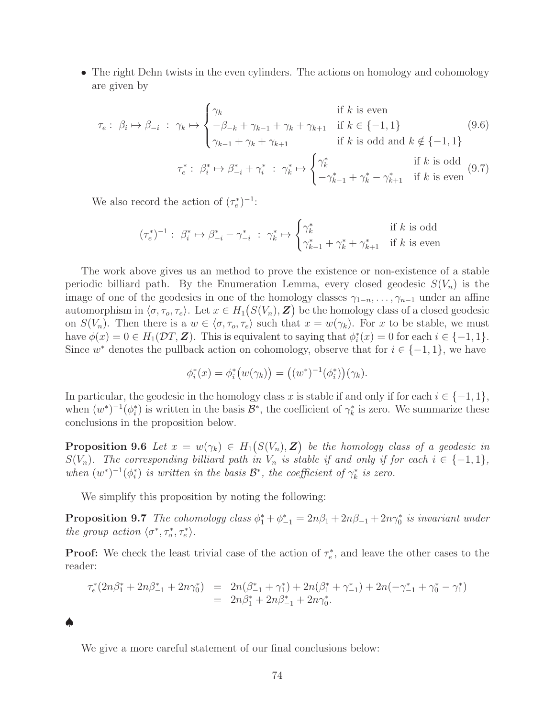• The right Dehn twists in the even cylinders. The actions on homology and cohomology are given by

$$
\tau_{e}: \beta_{i} \mapsto \beta_{-i} : \gamma_{k} \mapsto \begin{cases} \gamma_{k} & \text{if } k \text{ is even} \\ -\beta_{-k} + \gamma_{k-1} + \gamma_{k} + \gamma_{k+1} & \text{if } k \in \{-1, 1\} \\ \gamma_{k-1} + \gamma_{k} + \gamma_{k+1} & \text{if } k \text{ is odd and } k \notin \{-1, 1\} \end{cases} \tag{9.6}
$$
\n
$$
\tau_{e}^{*} : \beta_{i}^{*} \mapsto \beta_{-i}^{*} + \gamma_{i}^{*} : \gamma_{k}^{*} \mapsto \begin{cases} \gamma_{k}^{*} & \text{if } k \text{ is odd} \\ -\gamma_{k-1}^{*} + \gamma_{k}^{*} - \gamma_{k+1}^{*} & \text{if } k \text{ is even} \end{cases} \tag{9.7}
$$

We also record the action of  $(\tau_e^*)^{-1}$ :

$$
(\tau_e^*)^{-1}:\ \beta_i^*\mapsto \beta_{-i}^*-\gamma_{-i}^* \ : \ \gamma_k^*\mapsto \begin{cases} \gamma_k^* & \text{if $k$ is odd} \\ \gamma_{k-1}^*+\gamma_k^*+\gamma_{k+1}^* & \text{if $k$ is even} \end{cases}
$$

The work above gives us an method to prove the existence or non-existence of a stable periodic billiard path. By the Enumeration Lemma, every closed geodesic  $S(V_n)$  is the image of one of the geodesics in one of the homology classes  $\gamma_{1-n}, \ldots, \gamma_{n-1}$  under an affine automorphism in  $\langle \sigma, \tau_o, \tau_e \rangle$ . Let  $x \in H_1(S(V_n), \mathbf{Z})$  be the homology class of a closed geodesic on  $S(V_n)$ . Then there is a  $w \in \langle \sigma, \tau_o, \tau_e \rangle$  such that  $x = w(\gamma_k)$ . For x to be stable, we must have  $\phi(x) = 0 \in H_1(\mathcal{D}T, \mathbf{Z})$ . This is equivalent to saying that  $\phi_i^*(x) = 0$  for each  $i \in \{-1, 1\}$ . Since  $w^*$  denotes the pullback action on cohomology, observe that for  $i \in \{-1,1\}$ , we have

$$
\phi_i^*(x) = \phi_i^*\big(w(\gamma_k)\big) = ((w^*)^{-1}(\phi_i^*)\big)(\gamma_k).
$$

In particular, the geodesic in the homology class x is stable if and only if for each  $i \in \{-1, 1\}$ , when  $(w^*)^{-1}(\phi_i^*)$  is written in the basis  $\mathcal{B}^*$ , the coefficient of  $\gamma_k^*$  is zero. We summarize these conclusions in the proposition below.

<span id="page-73-0"></span>**Proposition 9.6** Let  $x = w(\gamma_k) \in H_1(S(V_n), \mathbf{Z})$  be the homology class of a geodesic in  $S(V_n)$ . The corresponding billiard path in  $V_n$  is stable if and only if for each  $i \in \{-1,1\}$ , when  $(w^*)^{-1}(\phi_i^*)$  is written in the basis  $\mathcal{B}^*$ , the coefficient of  $\gamma_k^*$  is zero.

We simplify this proposition by noting the following:

♠

**Proposition 9.7** The cohomology class  $\phi_1^* + \phi_{-1}^* = 2n\beta_1 + 2n\beta_{-1} + 2n\gamma_0^*$  is invariant under the group action  $\langle \sigma^*, \tau_o^*, \tau_e^* \rangle$ .

**Proof:** We check the least trivial case of the action of  $\tau_e^*$ , and leave the other cases to the reader:

$$
\tau_e^*(2n\beta_1^* + 2n\beta_{-1}^* + 2n\gamma_0^*) = 2n(\beta_{-1}^* + \gamma_1^*) + 2n(\beta_1^* + \gamma_{-1}^*) + 2n(-\gamma_{-1}^* + \gamma_0^* - \gamma_1^*)
$$
  
=  $2n\beta_1^* + 2n\beta_{-1}^* + 2n\gamma_0^*.$ 

We give a more careful statement of our final conclusions below: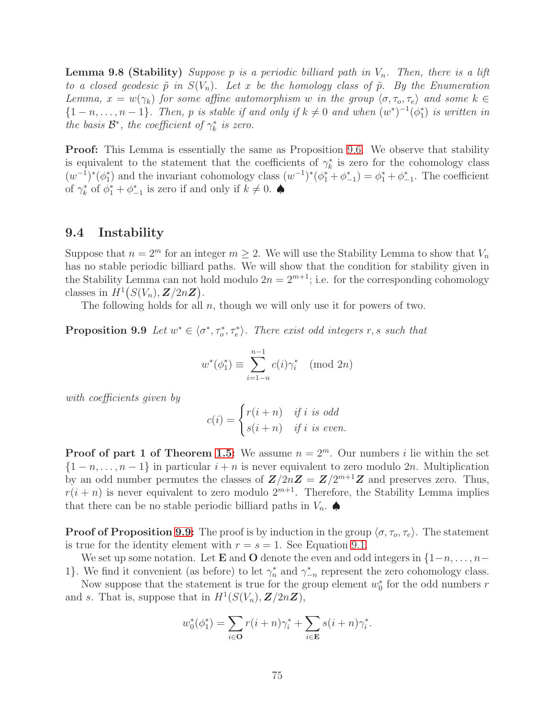**Lemma 9.8 (Stability)** Suppose p is a periodic billiard path in  $V_n$ . Then, there is a lift to a closed geodesic  $\tilde{p}$  in  $S(V_n)$ . Let x be the homology class of  $\tilde{p}$ . By the Enumeration Lemma,  $x = w(\gamma_k)$  for some affine automorphism w in the group  $\langle \sigma, \tau_o, \tau_e \rangle$  and some  $k \in$  $\{1-n,\ldots,n-1\}$ . Then, p is stable if and only if  $k \neq 0$  and when  $(w^*)^{-1}(\phi_1^*)$  is written in the basis  $\mathcal{B}^*$ , the coefficient of  $\gamma_k^*$  is zero.

**Proof:** This Lemma is essentially the same as Proposition [9.6.](#page-73-0) We observe that stability is equivalent to the statement that the coefficients of  $\gamma_k^*$  is zero for the cohomology class  $(w^{-1})^*(\phi_1^*)$  and the invariant cohomology class  $(w^{-1})^*(\phi_1^* + \phi_{-1}^*) = \phi_1^* + \phi_{-1}^*$ . The coefficient of  $\gamma_k^*$  of  $\phi_1^* + \phi_{-1}^*$  is zero if and only if  $k \neq 0$ .

## 9.4 Instability

Suppose that  $n = 2^m$  for an integer  $m \geq 2$ . We will use the Stability Lemma to show that  $V_n$ has no stable periodic billiard paths. We will show that the condition for stability given in the Stability Lemma can not hold modulo  $2n = 2^{m+1}$ ; i.e. for the corresponding cohomology classes in  $H^1(S(V_n), Z/2nZ)$ .

<span id="page-74-0"></span>The following holds for all  $n$ , though we will only use it for powers of two.

**Proposition 9.9** Let  $w^* \in \langle \sigma^*, \tau_o^*, \tau_e^* \rangle$ . There exist odd integers r, s such that

$$
w^*(\phi_1^*) \equiv \sum_{i=1-n}^{n-1} c(i)\gamma_i^* \pmod{2n}
$$

with coefficients given by

$$
c(i) = \begin{cases} r(i+n) & if i is odd \\ s(i+n) & if i is even. \end{cases}
$$

**Proof of part 1 of Theorem [1.5:](#page-3-0)** We assume  $n = 2^m$ . Our numbers i lie within the set  $\{1-n,\ldots,n-1\}$  in particular  $i+n$  is never equivalent to zero modulo 2n. Multiplication by an odd number permutes the classes of  $\mathbb{Z}/2n\mathbb{Z} = \mathbb{Z}/2^{m+1}\mathbb{Z}$  and preserves zero. Thus,  $r(i + n)$  is never equivalent to zero modulo  $2^{m+1}$ . Therefore, the Stability Lemma implies that there can be no stable periodic billiard paths in  $V_n$ .

**Proof of Proposition [9.9:](#page-74-0)** The proof is by induction in the group  $\langle \sigma, \tau_o, \tau_e \rangle$ . The statement is true for the identity element with  $r = s = 1$ . See Equation [9.1.](#page-72-0)

We set up some notation. Let **E** and O denote the even and odd integers in  $\{1-n,\ldots,n-\}$ 1}. We find it convenient (as before) to let  $\gamma_n^*$  and  $\gamma_{-n}^*$  represent the zero cohomology class.

Now suppose that the statement is true for the group element  $w_0^*$  for the odd numbers r and s. That is, suppose that in  $H^1(S(V_n), Z/2nZ)$ ,

$$
w_0^*(\phi_1^*) = \sum_{i \in \mathbf{O}} r(i+n)\gamma_i^* + \sum_{i \in \mathbf{E}} s(i+n)\gamma_i^*.
$$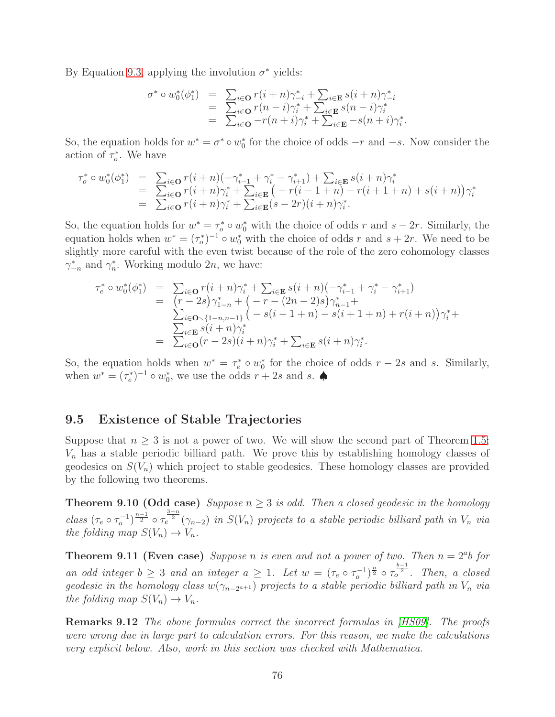By Equation [9.3,](#page-72-1) applying the involution  $\sigma^*$  yields:

$$
\begin{array}{rcl}\n\sigma^* \circ w_0^*(\phi_1^*) & = & \sum_{i \in \mathbf{O}} r(i+n)\gamma_{-i}^* + \sum_{i \in \mathbf{E}} s(i+n)\gamma_{-i}^* \\
& = & \sum_{i \in \mathbf{O}} r(n-i)\gamma_i^* + \sum_{i \in \mathbf{E}} s(n-i)\gamma_i^* \\
& = & \sum_{i \in \mathbf{O}} -r(n+i)\gamma_i^* + \sum_{i \in \mathbf{E}} -s(n+i)\gamma_i^*.\n\end{array}
$$

So, the equation holds for  $w^* = \sigma^* \circ w_0^*$  for the choice of odds  $-r$  and  $-s$ . Now consider the action of  $\tau_o^*$ . We have

$$
\tau_o^* \circ w_0^*(\phi_1^*) = \sum_{i \in \mathbf{O}} r(i+n)(-\gamma_{i-1}^* + \gamma_i^* - \gamma_{i+1}^*) + \sum_{i \in \mathbf{E}} s(i+n)\gamma_i^*
$$
\n
$$
= \sum_{i \in \mathbf{O}} r(i+n)\gamma_i^* + \sum_{i \in \mathbf{E}} (-r(i-1+n) - r(i+1+n) + s(i+n))\gamma_i^*
$$
\n
$$
= \sum_{i \in \mathbf{O}} r(i+n)\gamma_i^* + \sum_{i \in \mathbf{E}} (s-2r)(i+n)\gamma_i^*.
$$

So, the equation holds for  $w^* = \tau_o^* \circ w_0^*$  with the choice of odds r and  $s - 2r$ . Similarly, the equation holds when  $w^* = (\tau_o^*)^{-1} \circ w_0^*$  with the choice of odds r and  $s + 2r$ . We need to be slightly more careful with the even twist because of the role of the zero cohomology classes  $\gamma_{-n}^*$  and  $\gamma_n^*$ . Working modulo 2n, we have:

$$
\tau_e^* \circ w_0^*(\phi_1^*) = \sum_{i \in \mathbf{O}} r(i+n)\gamma_i^* + \sum_{i \in \mathbf{E}} s(i+n)(-\gamma_{i-1}^* + \gamma_i^* - \gamma_{i+1}^*)
$$
  
\n
$$
= (r-2s)\gamma_{1-n}^* + (-r - (2n-2)s)\gamma_{n-1}^* +
$$
  
\n
$$
\sum_{i \in \mathbf{O}} (r-2s)(i+n)\gamma_i^*
$$
  
\n
$$
= \sum_{i \in \mathbf{O}} (r-2s)(i+n)\gamma_i^* + \sum_{i \in \mathbf{E}} s(i+n)\gamma_i^*.
$$

So, the equation holds when  $w^* = \tau_e^* \circ w_0^*$  for the choice of odds  $r - 2s$  and s. Similarly, when  $w^* = (\tau_e^*)^{-1} \circ w_0^*$ , we use the odds  $r + 2s$  and  $s$ .

## 9.5 Existence of Stable Trajectories

Suppose that  $n \geq 3$  is not a power of two. We will show the second part of Theorem [1.5;](#page-3-0)  $V_n$  has a stable periodic billiard path. We prove this by establishing homology classes of geodesics on  $S(V_n)$  which project to stable geodesics. These homology classes are provided by the following two theorems.

<span id="page-75-0"></span>**Theorem 9.10 (Odd case)** Suppose  $n \geq 3$  is odd. Then a closed geodesic in the homology class  $(\tau_e \circ \tau_o^{-1})^{\frac{n-1}{2}} \circ \tau_e^{\frac{3-n}{2}}(\gamma_{n-2})$  in  $S(V_n)$  projects to a stable periodic billiard path in  $V_n$  via the folding map  $S(V_n) \to V_n$ .

<span id="page-75-1"></span>**Theorem 9.11 (Even case)** Suppose n is even and not a power of two. Then  $n = 2<sup>a</sup>b$  for an odd integer  $b \geq 3$  and an integer  $a \geq 1$ . Let  $w = (\tau_e \circ \tau_o^{-1})^{\frac{n}{2}} \circ \tau_o^{\frac{b-1}{2}}$ . Then, a closed geodesic in the homology class  $w(\gamma_{n-2^{a+1}})$  projects to a stable periodic billiard path in  $V_n$  via the folding map  $S(V_n) \to V_n$ .

Remarks 9.12 The above formulas correct the incorrect formulas in [\[HS09\]](#page-80-0). The proofs were wrong due in large part to calculation errors. For this reason, we make the calculations very explicit below. Also, work in this section was checked with Mathematica.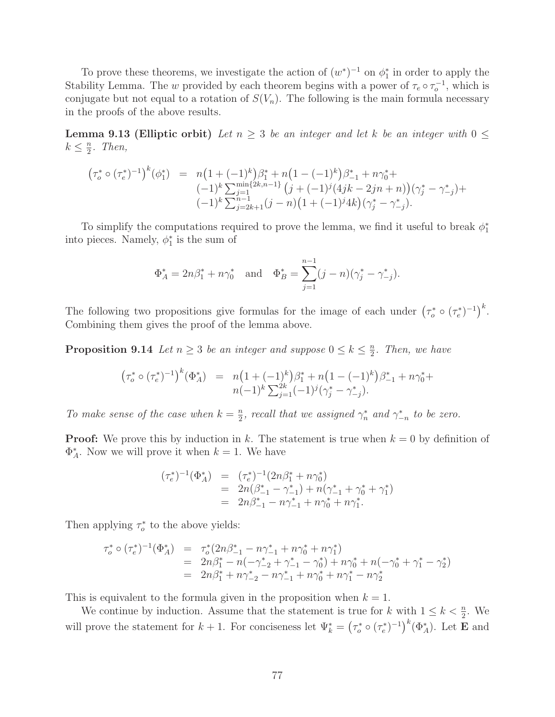To prove these theorems, we investigate the action of  $(w^*)^{-1}$  on  $\phi_1^*$  in order to apply the Stability Lemma. The w provided by each theorem begins with a power of  $\tau_e \circ \tau_o^{-1}$ , which is conjugate but not equal to a rotation of  $S(V_n)$ . The following is the main formula necessary in the proofs of the above results.

**Lemma 9.13 (Elliptic orbit)** Let  $n \geq 3$  be an integer and let k be an integer with  $0 \leq$  $k \leq \frac{n}{2}$  $\frac{n}{2}$ . Then,

$$
\begin{array}{rcl}\n\left(\tau_o^* \circ (\tau_e^*)^{-1}\right)^k (\phi_1^*) &=& n\left(1 + (-1)^k\right) \beta_1^* + n\left(1 - (-1)^k\right) \beta_{-1}^* + n\gamma_0^* + \\
& & \left(-1\right)^k \sum_{j=1}^{\min\{2k, n-1\}} \left(j + (-1)^j (4jk - 2jn + n)\right) (\gamma_j^* - \gamma_{-j}^*) + \\
& & \left(-1\right)^k \sum_{j=2k+1}^{\min\{2k, n-1\}} (j - n) \left(1 + (-1)^j 4k\right) (\gamma_j^* - \gamma_{-j}^*).\n\end{array}
$$

To simplify the computations required to prove the lemma, we find it useful to break  $\phi_1^*$ into pieces. Namely,  $\phi_1^*$  is the sum of

$$
\Phi_A^* = 2n\beta_1^* + n\gamma_0^*
$$
 and  $\Phi_B^* = \sum_{j=1}^{n-1} (j-n)(\gamma_j^* - \gamma_{-j}^*).$ 

The following two propositions give formulas for the image of each under  $(\tau_o^* \circ (\tau_e^*)^{-1})^k$ . Combining them gives the proof of the lemma above.

**Proposition 9.14** Let  $n \geq 3$  be an integer and suppose  $0 \leq k \leq \frac{n}{2}$  $\frac{n}{2}$ . Then, we have

$$
(\tau_o^* \circ (\tau_e^*)^{-1})^k (\Phi_A^*) = n(1 + (-1)^k) \beta_1^* + n(1 - (-1)^k) \beta_{-1}^* + n \gamma_0^* + n(-1)^k \sum_{j=1}^{2k} (-1)^j (\gamma_j^* - \gamma_{-j}^*).
$$

To make sense of the case when  $k = \frac{n}{2}$  $\frac{n}{2}$ , recall that we assigned  $\gamma_n^*$  and  $\gamma_{-n}^*$  to be zero.

**Proof:** We prove this by induction in k. The statement is true when  $k = 0$  by definition of  $\Phi_A^*$ . Now we will prove it when  $k = 1$ . We have

$$
\begin{array}{rcl}\n(\tau_e^*)^{-1}(\Phi_A^*) &=& (\tau_e^*)^{-1}(2n\beta_1^* + n\gamma_0^*) \\
&=& 2n(\beta_{-1}^* - \gamma_{-1}^*) + n(\gamma_{-1}^* + \gamma_0^* + \gamma_1^*) \\
&=& 2n\beta_{-1}^* - n\gamma_{-1}^* + n\gamma_0^* + n\gamma_1^*.\n\end{array}
$$

Then applying  $\tau_o^*$  to the above yields:

$$
\tau_o^* \circ (\tau_e^*)^{-1}(\Phi_A^*) = \tau_o^*(2n\beta_{-1}^* - n\gamma_{-1}^* + n\gamma_0^* + n\gamma_1^*)
$$
  
=  $2n\beta_1^* - n(-\gamma_{-2}^* + \gamma_{-1}^* - \gamma_0^*) + n\gamma_0^* + n(-\gamma_0^* + \gamma_1^* - \gamma_2^*)$   
=  $2n\beta_1^* + n\gamma_{-2}^* - n\gamma_{-1}^* + n\gamma_0^* + n\gamma_1^* - n\gamma_2^*$ 

This is equivalent to the formula given in the proposition when  $k = 1$ .

We continue by induction. Assume that the statement is true for k with  $1 \leq k < \frac{n}{2}$ . We will prove the statement for  $k+1$ . For conciseness let  $\Psi_k^* = (\tau_o^* \circ (\tau_e^*)^{-1})^k (\Phi_A^*)$ . Let **E** and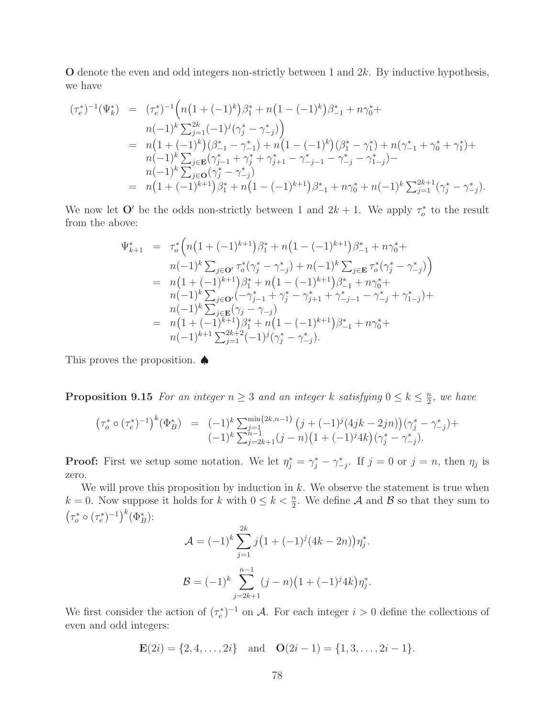$\mathbf O$  denote the even and odd integers non-strictly between 1 and 2k. By inductive hypothesis, we have

$$
(\tau_e^*)^{-1}(\Psi_k^*) = (\tau_e^*)^{-1} \Big( n \big( 1 + (-1)^k \big) \beta_1^* + n \big( 1 - (-1)^k \big) \beta_{-1}^* + n \gamma_0^* +
$$
  
\n
$$
n(-1)^k \sum_{j=1}^{2k} (-1)^j (\gamma_j^* - \gamma_{-j}^*) \Big)
$$
  
\n
$$
= n \big( 1 + (-1)^k \big) (\beta_{-1}^* - \gamma_{-1}^*) + n \big( 1 - (-1)^k \big) (\beta_1^* - \gamma_1^*) + n (\gamma_{-1}^* + \gamma_0^* + \gamma_1^*) +
$$
  
\n
$$
n(-1)^k \sum_{j \in \mathbf{E}} (\gamma_{j-1}^* + \gamma_j^* + \gamma_{j+1}^* - \gamma_{-j-1}^* - \gamma_{-j}^* - \gamma_{1-j}^*) -
$$
  
\n
$$
n(-1)^k \sum_{j \in \mathbf{O}} (\gamma_j^* - \gamma_{-j}^*)
$$
  
\n
$$
= n \big( 1 + (-1)^{k+1} \big) \beta_1^* + n \big( 1 - (-1)^{k+1} \big) \beta_{-1}^* + n \gamma_0^* + n (-1)^k \sum_{j=1}^{2k+1} (\gamma_j^* - \gamma_{-j}^*).
$$

We now let  $\mathbf{O}'$  be the odds non-strictly between 1 and  $2k+1$ . We apply  $\tau_o^*$  to the result from the above:

$$
\Psi_{k+1}^{*} = \tau_{o}^{*} \Big( n \big( 1 + (-1)^{k+1} \big) \beta_{1}^{*} + n \big( 1 - (-1)^{k+1} \big) \beta_{-1}^{*} + n \gamma_{0}^{*} + n \big( 1 - (1)^{k} \sum_{j \in \mathbf{D}} \tau_{o}^{*} \big( \gamma_{j}^{*} - \gamma_{-j}^{*} \big) + n(-1)^{k} \sum_{j \in \mathbf{E}} \tau_{o}^{*} \big( \gamma_{j}^{*} - \gamma_{-j}^{*} \big) \Big)
$$
\n
$$
= n \big( 1 + (-1)^{k+1} \big) \beta_{1}^{*} + n \big( 1 - (-1)^{k+1} \big) \beta_{-1}^{*} + n \gamma_{0}^{*} + n(-1)^{k} \sum_{j \in \mathbf{D}} \big( \big( -\gamma_{j-1}^{*} + \gamma_{j}^{*} - \gamma_{j+1}^{*} + \gamma_{-j-1}^{*} - \gamma_{-j}^{*} + \gamma_{1-j}^{*} \big) + n(-1)^{k} \sum_{j \in \mathbf{E}} \big( \gamma_{j} - \gamma_{-j} \big)
$$
\n
$$
= n \big( 1 + (-1)^{k+1} \big) \beta_{1}^{*} + n \big( 1 - (-1)^{k+1} \big) \beta_{-1}^{*} + n \gamma_{0}^{*} + n(-1)^{k+1} \sum_{j=1}^{2k+2} (-1)^{j} \big( \gamma_{j}^{*} - \gamma_{-j}^{*} \big).
$$

This proves the proposition. ♠

**Proposition 9.15** For an integer  $n \geq 3$  and an integer k satisfying  $0 \leq k \leq \frac{n}{2}$  $\frac{n}{2}$ , we have

$$
\begin{array}{rcl}\n\left(\tau_o^* \circ (\tau_e^*)^{-1}\right)^k (\Phi_B^*) & = & (-1)^k \sum_{j=1}^{\min\{2k, n-1\}} \left(j + (-1)^j (4jk - 2jn)\right) (\gamma_j^* - \gamma_{-j}^*) + \\
& (-1)^k \sum_{j=2k+1}^{n-1} (j - n) \left(1 + (-1)^j 4k\right) (\gamma_j^* - \gamma_{-j}^*)\n\end{array}
$$

**Proof:** First we setup some notation. We let  $\eta_j^* = \gamma_j^* - \gamma_{-j}^*$ . If  $j = 0$  or  $j = n$ , then  $\eta_j$  is zero.

We will prove this proposition by induction in  $k$ . We observe the statement is true when  $k = 0$ . Now suppose it holds for k with  $0 \leq k < \frac{n}{2}$ . We define A and B so that they sum to  $(\tau_o^* \circ (\tau_e^*)^{-1})^k (\Phi_B^*)$ :

$$
\mathcal{A} = (-1)^k \sum_{j=1}^{2k} j \left( 1 + (-1)^j (4k - 2n) \right) \eta_j^*.
$$

$$
\mathcal{B} = (-1)^k \sum_{j=2k+1}^{n-1} (j - n) \left( 1 + (-1)^j 4k \right) \eta_j^*.
$$

We first consider the action of  $(\tau_e^*)^{-1}$  on A. For each integer  $i > 0$  define the collections of even and odd integers:

$$
\mathbf{E}(2i) = \{2, 4, \dots, 2i\} \text{ and } \mathbf{O}(2i - 1) = \{1, 3, \dots, 2i - 1\}.
$$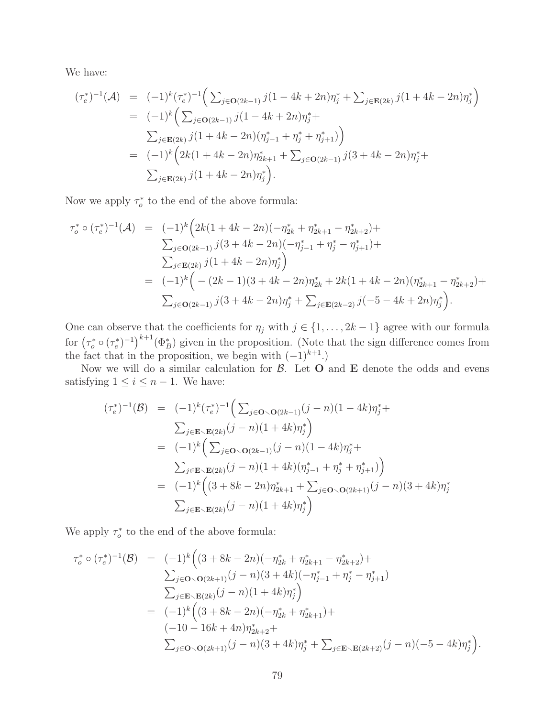We have:

$$
(\tau_e^*)^{-1}(\mathcal{A}) = (-1)^k (\tau_e^*)^{-1} \Big( \sum_{j \in \mathbf{O}(2k-1)} j(1 - 4k + 2n) \eta_j^* + \sum_{j \in \mathbf{E}(2k)} j(1 + 4k - 2n) \eta_j^* \Big)
$$
  
\n
$$
= (-1)^k \Big( \sum_{j \in \mathbf{O}(2k-1)} j(1 - 4k + 2n) \eta_j^* + \sum_{j \in \mathbf{E}(2k)} j(1 + 4k - 2n) (\eta_{j-1}^* + \eta_j^* + \eta_{j+1}^*) \Big)
$$
  
\n
$$
= (-1)^k \Big( 2k(1 + 4k - 2n) \eta_{2k+1}^* + \sum_{j \in \mathbf{O}(2k-1)} j(3 + 4k - 2n) \eta_j^* + \sum_{j \in \mathbf{E}(2k)} j(1 + 4k - 2n) \eta_j^* \Big).
$$

Now we apply  $\tau_o^*$  to the end of the above formula:

$$
\tau_o^* \circ (\tau_e^*)^{-1}(\mathcal{A}) = (-1)^k \Big( 2k(1+4k-2n)(-\eta_{2k}^* + \eta_{2k+1}^* - \eta_{2k+2}^*) +
$$
  
\n
$$
\sum_{j \in \mathbf{O}(2k-1)} j(3+4k-2n)(-\eta_{j-1}^* + \eta_j^* - \eta_{j+1}^*) +
$$
  
\n
$$
\sum_{j \in \mathbf{E}(2k)} j(1+4k-2n)\eta_j^* \Big)
$$
  
\n
$$
= (-1)^k \Big( -(2k-1)(3+4k-2n)\eta_{2k}^* + 2k(1+4k-2n)(\eta_{2k+1}^* - \eta_{2k+2}^*) +
$$
  
\n
$$
\sum_{j \in \mathbf{O}(2k-1)} j(3+4k-2n)\eta_j^* + \sum_{j \in \mathbf{E}(2k-2)} j(-5-4k+2n)\eta_j^* \Big).
$$

One can observe that the coefficients for  $\eta_j$  with  $j \in \{1, \ldots, 2k-1\}$  agree with our formula for  $(\tau_o^* \circ (\tau_e^*)^{-1})^{k+1}(\Phi_B^*)$  given in the proposition. (Note that the sign difference comes from the fact that in the proposition, we begin with  $(-1)^{k+1}$ .)

Now we will do a similar calculation for  $\beta$ . Let  $O$  and  $E$  denote the odds and evens satisfying  $1 \leq i \leq n-1$ . We have:

$$
(\tau_e^*)^{-1}(\mathcal{B}) = (-1)^k (\tau_e^*)^{-1} \Big( \sum_{j \in \mathbf{O} \setminus \mathbf{O}(2k-1)} (j - n)(1 - 4k)\eta_j^* +
$$
  

$$
\sum_{j \in \mathbf{E} \setminus \mathbf{E}(2k)} (j - n)(1 + 4k)\eta_j^* \Big)
$$
  

$$
= (-1)^k \Big( \sum_{j \in \mathbf{O} \setminus \mathbf{O}(2k-1)} (j - n)(1 - 4k)\eta_j^* +
$$
  

$$
\sum_{j \in \mathbf{E} \setminus \mathbf{E}(2k)} (j - n)(1 + 4k)(\eta_{j-1}^* + \eta_j^* + \eta_{j+1}^*) \Big)
$$
  

$$
= (-1)^k \Big( (3 + 8k - 2n)\eta_{2k+1}^* + \sum_{j \in \mathbf{O} \setminus \mathbf{O}(2k+1)} (j - n)(3 + 4k)\eta_j^* \Big)
$$
  

$$
\sum_{j \in \mathbf{E} \setminus \mathbf{E}(2k)} (j - n)(1 + 4k)\eta_j^* \Big)
$$

We apply  $\tau_o^*$  to the end of the above formula:

$$
\tau_o^* \circ (\tau_e^*)^{-1}(\mathcal{B}) = (-1)^k \Big( (3+8k-2n)(-\eta_{2k}^* + \eta_{2k+1}^* - \eta_{2k+2}^*) +
$$
  
\n
$$
\sum_{j \in \mathbf{O} \backslash \mathbf{O}(2k+1)} (j-n)(3+4k)(-\eta_{j-1}^* + \eta_j^* - \eta_{j+1}^*)
$$
  
\n
$$
\sum_{j \in \mathbf{E} \backslash \mathbf{E}(2k)} (j-n)(1+4k)\eta_j^* \Big)
$$
  
\n
$$
= (-1)^k \Big( (3+8k-2n)(-\eta_{2k}^* + \eta_{2k+1}^*) +
$$
  
\n
$$
(-10-16k+4n)\eta_{2k+2}^* +
$$
  
\n
$$
\sum_{j \in \mathbf{O} \backslash \mathbf{O}(2k+1)} (j-n)(3+4k)\eta_j^* + \sum_{j \in \mathbf{E} \backslash \mathbf{E}(2k+2)} (j-n)(-5-4k)\eta_j^* \Big).
$$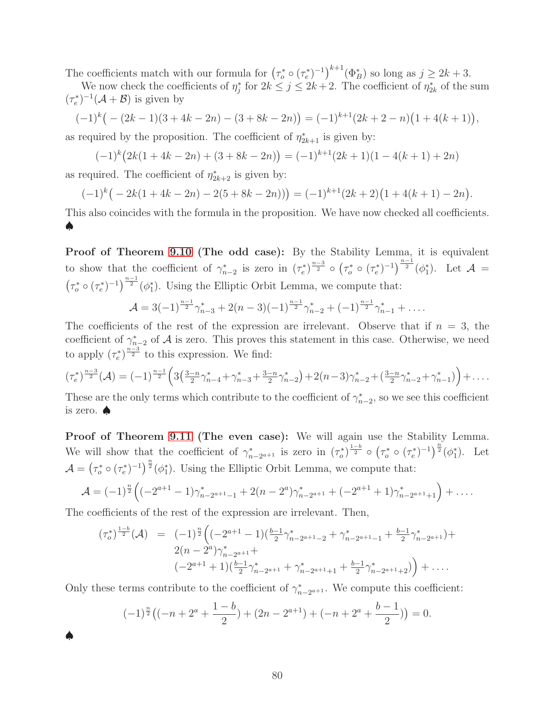The coefficients match with our formula for  $(\tau_o^* \circ (\tau_e^*)^{-1})^{k+1}(\Phi_B^*)$  so long as  $j \geq 2k+3$ .

We now check the coefficients of  $\eta_j^*$  for  $2k \leq j \leq 2k+2$ . The coefficient of  $\eta_{2k}^*$  of the sum  $(\tau_e^*)^{-1}(\mathcal{A}+\mathcal{B})$  is given by

$$
(-1)^k\big(-(2k-1)(3+4k-2n)-(3+8k-2n)\big)=(-1)^{k+1}(2k+2-n)\big(1+4(k+1)\big),
$$

as required by the proposition. The coefficient of  $\eta_{2k+1}^*$  is given by:

$$
(-1)^{k} (2k(1+4k-2n) + (3+8k-2n)) = (-1)^{k+1} (2k+1)(1-4(k+1)+2n)
$$

as required. The coefficient of  $\eta_{2k+2}^*$  is given by:

$$
(-1)^k \big(-2k(1+4k-2n)-2(5+8k-2n)\big)\big) = (-1)^{k+1}(2k+2)\big(1+4(k+1)-2n\big).
$$

This also coincides with the formula in the proposition. We have now checked all coefficients. ♠

Proof of Theorem [9.10](#page-75-0) (The odd case): By the Stability Lemma, it is equivalent to show that the coefficient of  $\gamma_{n-2}^*$  is zero in  $(\tau_e^*)^{\frac{n-3}{2}} \circ (\tau_o^* \circ (\tau_e^*)^{-1})^{\frac{n-1}{2}} (\phi_1^*).$  Let  $\mathcal{A} =$  $(\tau_o^* \circ (\tau_e^*)^{-1})^{\frac{n-1}{2}}(\phi_1^*)$ . Using the Elliptic Orbit Lemma, we compute that:

$$
\mathcal{A} = 3(-1)^{\frac{n-1}{2}} \gamma_{n-3}^* + 2(n-3)(-1)^{\frac{n-1}{2}} \gamma_{n-2}^* + (-1)^{\frac{n-1}{2}} \gamma_{n-1}^* + \dots
$$

The coefficients of the rest of the expression are irrelevant. Observe that if  $n = 3$ , the coefficient of  $\gamma_{n-2}^*$  of A is zero. This proves this statement in this case. Otherwise, we need to apply  $(\tau_e^*)^{\frac{n-3}{2}}$  to this expression. We find:

$$
(\tau_e^*)^{\frac{n-3}{2}}(\mathcal{A}) = (-1)^{\frac{n-1}{2}} \left( 3 \left( \frac{3-n}{2} \gamma_{n-4}^* + \gamma_{n-3}^* + \frac{3-n}{2} \gamma_{n-2}^* \right) + 2(n-3) \gamma_{n-2}^* + \left( \frac{3-n}{2} \gamma_{n-2}^* + \gamma_{n-1}^* \right) \right) + \dots
$$

These are the only terms which contribute to the coefficient of  $\gamma_{n-2}^*$ , so we see this coefficient is zero. ♠

Proof of Theorem [9.11](#page-75-1) (The even case): We will again use the Stability Lemma. We will show that the coefficient of  $\gamma_n^*$ \*<sub>n−2a+1</sub> is zero in  $(\tau_o^*)^{\frac{1-b}{2}} \circ (\tau_o^* \circ (\tau_e^*)^{-1})^{\frac{n}{2}} (\phi_1^*).$  Let  $\mathcal{A} = (\tau_o^* \circ (\tau_e^*)^{-1})^{\frac{n}{2}} (\phi_1^*).$  Using the Elliptic Orbit Lemma, we compute that:

$$
\mathcal{A} = (-1)^{\frac{n}{2}} \Big( (-2^{a+1} - 1) \gamma_{n-2^{a+1}-1}^{*} + 2(n - 2^{a}) \gamma_{n-2^{a+1}}^{*} + (-2^{a+1} + 1) \gamma_{n-2^{a+1}+1}^{*} \Big) + \dots
$$

The coefficients of the rest of the expression are irrelevant. Then,

♠

$$
(\tau_o^*)^{\frac{1-b}{2}}(\mathcal{A}) = (-1)^{\frac{n}{2}} \left( (-2^{a+1} - 1)(\frac{b-1}{2}\gamma_{n-2^{a+1}-2}^* + \gamma_{n-2^{a+1}-1}^* + \frac{b-1}{2}\gamma_{n-2^{a+1}}^*) + (2(n-2^a)\gamma_{n-2^{a+1}}^* + (2^{a+1} + 1)(\frac{b-1}{2}\gamma_{n-2^{a+1}}^* + \gamma_{n-2^{a+1}+1}^* + \frac{b-1}{2}\gamma_{n-2^{a+1}+2}^*) \right) + \dots
$$

Only these terms contribute to the coefficient of  $\gamma_n^*$  $n_{n-2^{a+1}}$ . We compute this coefficient:

$$
(-1)^{\frac{n}{2}}\left((-n+2^a+\frac{1-b}{2})+(2n-2^{a+1})+(-n+2^a+\frac{b-1}{2})\right)=0.
$$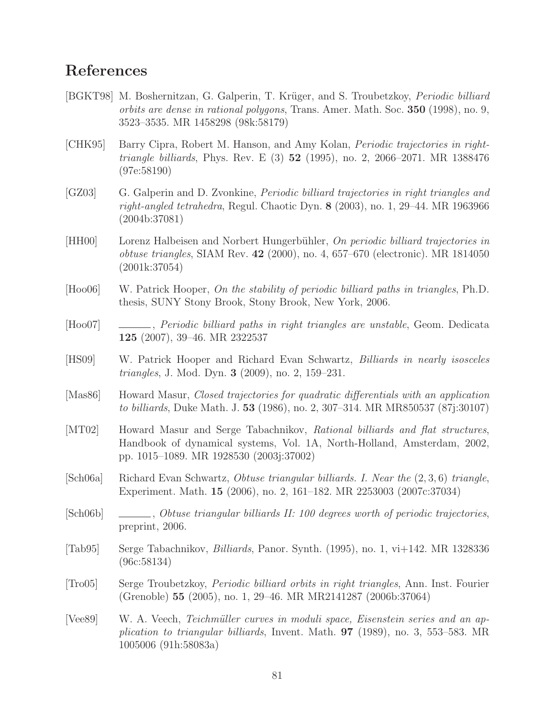## References

- [BGKT98] M. Boshernitzan, G. Galperin, T. Krüger, and S. Troubetzkoy, *Periodic billiard* orbits are dense in rational polygons, Trans. Amer. Math. Soc. 350 (1998), no. 9, 3523–3535. MR 1458298 (98k:58179)
- [CHK95] Barry Cipra, Robert M. Hanson, and Amy Kolan, Periodic trajectories in right*triangle billiards*, Phys. Rev. E  $(3)$  52  $(1995)$ , no. 2, 2066–2071. MR 1388476 (97e:58190)
- [GZ03] G. Galperin and D. Zvonkine, Periodic billiard trajectories in right triangles and right-angled tetrahedra, Regul. Chaotic Dyn. 8 (2003), no. 1, 29–44. MR 1963966 (2004b:37081)
- [HH00] Lorenz Halbeisen and Norbert Hungerbühler, On periodic billiard trajectories in obtuse triangles, SIAM Rev. 42 (2000), no. 4, 657–670 (electronic). MR 1814050 (2001k:37054)
- [Hoo06] W. Patrick Hooper, On the stability of periodic billiard paths in triangles, Ph.D. thesis, SUNY Stony Brook, Stony Brook, New York, 2006.
- [Hoo07] , Periodic billiard paths in right triangles are unstable, Geom. Dedicata 125 (2007), 39–46. MR 2322537
- <span id="page-80-0"></span>[HS09] W. Patrick Hooper and Richard Evan Schwartz, Billiards in nearly isosceles triangles, J. Mod. Dyn. 3 (2009), no. 2, 159–231.
- [Mas86] Howard Masur, Closed trajectories for quadratic differentials with an application to billiards, Duke Math. J. 53 (1986), no. 2, 307–314. MR MR850537 (87j:30107)
- [MT02] Howard Masur and Serge Tabachnikov, Rational billiards and flat structures, Handbook of dynamical systems, Vol. 1A, North-Holland, Amsterdam, 2002, pp. 1015–1089. MR 1928530 (2003j:37002)
- [Sch06a] Richard Evan Schwartz, Obtuse triangular billiards. I. Near the (2, 3, 6) triangle, Experiment. Math. 15 (2006), no. 2, 161–182. MR 2253003 (2007c:37034)
- [Sch06b] , Obtuse triangular billiards II: 100 degrees worth of periodic trajectories, preprint, 2006.
- [Tab95] Serge Tabachnikov, Billiards, Panor. Synth. (1995), no. 1, vi+142. MR 1328336 (96c:58134)
- [Tro05] Serge Troubetzkoy, Periodic billiard orbits in right triangles, Ann. Inst. Fourier (Grenoble) 55 (2005), no. 1, 29–46. MR MR2141287 (2006b:37064)
- [Vee89] W. A. Veech, Teichmüller curves in moduli space, Eisenstein series and an application to triangular billiards, Invent. Math. 97 (1989), no. 3, 553–583. MR 1005006 (91h:58083a)